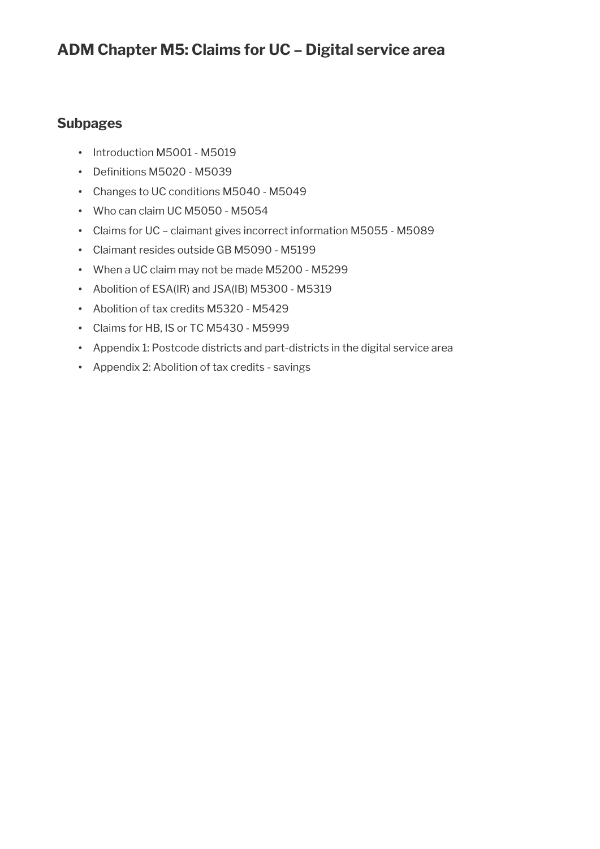## **ADM Chapter M5: Claims for UC – Digital service area**

### **Subpages**

- Introduction M5001 M5019
- Definitions M5020 M5039
- Changes to UC conditions M5040 M5049
- Who can claim UC M5050 M5054
- Claims for UC claimant gives incorrect information M5055 M5089
- Claimant resides outside GB M5090 M5199
- When a UC claim may not be made M5200 M5299
- Abolition of ESA(IR) and JSA(IB) M5300 M5319
- Abolition of tax credits M5320 M5429
- Claims for HB, IS or TC M5430 M5999
- Appendix 1: Postcode districts and part-districts in the digital service area
- Appendix 2: Abolition of tax credits savings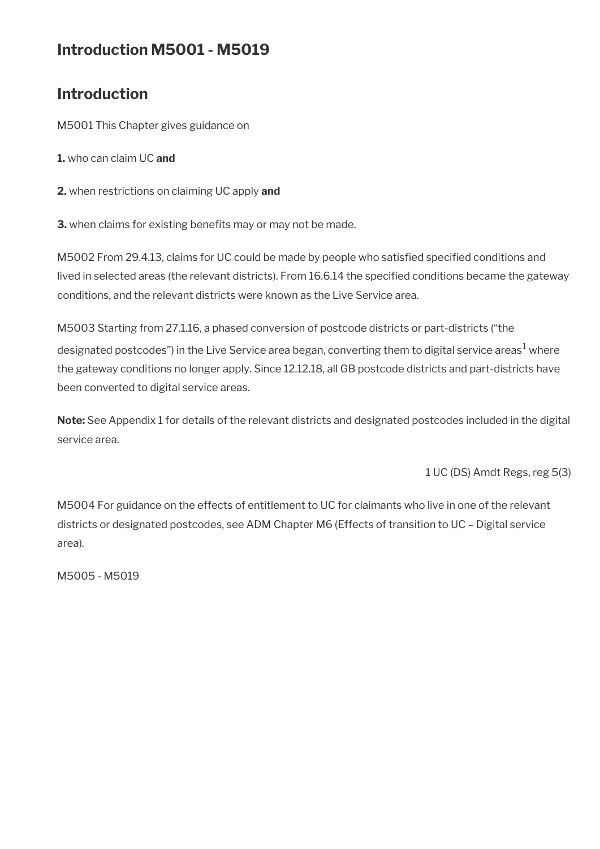## **Introduction M5001 - M5019**

## **Introduction**

M5001 This Chapter gives guidance on

- **1.** who can claim UC **and**
- **2.** when restrictions on claiming UC apply **and**
- **3.** when claims for existing benefits may or may not be made.

M5002 From 29.4.13, claims for UC could be made by people who satisfied specified conditions and lived in selected areas (the relevant districts). From 16.6.14 the specifed conditions became the gateway conditions, and the relevant districts were known as the Live Service area.

M5003 Starting from 27.1.16, a phased conversion of postcode districts or part-districts ("the designated postcodes") in the Live Service area began, converting them to digital service areas $^1$  where the gateway conditions no longer apply. Since 12.12.18, all GB postcode districts and part-districts have been converted to digital service areas.

**Note:** See Appendix 1 for details of the relevant districts and designated postcodes included in the digital service area.

1 UC (DS) Amdt Regs, reg 5(3)

M5004 For guidance on the effects of entitlement to UC for claimants who live in one of the relevant districts or designated postcodes, see ADM Chapter M6 (Effects of transition to UC – Digital service area).

M5005 - M5019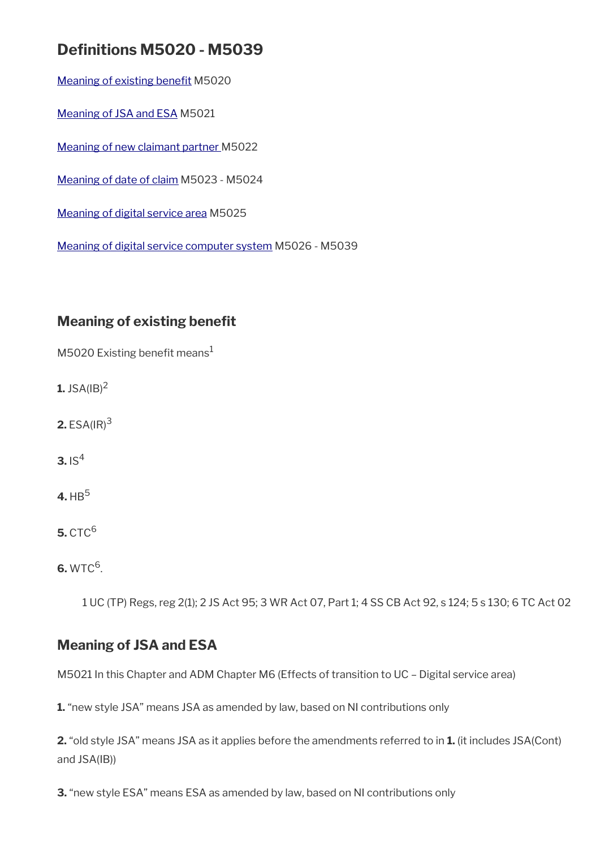## **Defnitions M5020 - M5039**

Meaning of existing benefit M5020

[Meaning of JSA and ESA](#page-2-1) M5021

[Meaning of new claimant partner M](#page-3-1)5022

[Meaning of date of claim](#page-3-0) M5023 - M5024

[Meaning of digital service area](#page-4-1) M5025

[Meaning of digital service computer system](#page-4-0) M5026 - M5039

## <span id="page-2-0"></span>**Meaning of existing benefit**

M5020 Existing benefit means<sup>1</sup>

**1.** JSA( $|B|^2$ 

**2.** ESA(IR)<sup>3</sup>

**3.**  $IS^4$ 

 $4.$  HB<sup>5</sup>

**5.** CTC<sup>6</sup>

 $6. WTC<sup>6</sup>$ .

1 UC (TP) Regs, reg 2(1); 2 JS Act 95; 3 WR Act 07, Part 1; 4 SS CB Act 92, s 124; 5 s 130; 6 TC Act 02

## <span id="page-2-1"></span>**Meaning of JSA and ESA**

M5021 In this Chapter and ADM Chapter M6 (Effects of transition to UC – Digital service area)

**1.** "new style JSA" means JSA as amended by law, based on NI contributions only

**2.** "old style JSA" means JSA as it applies before the amendments referred to in **1.** (it includes JSA(Cont) and JSA(IB))

**3.** "new style ESA" means ESA as amended by law, based on NI contributions only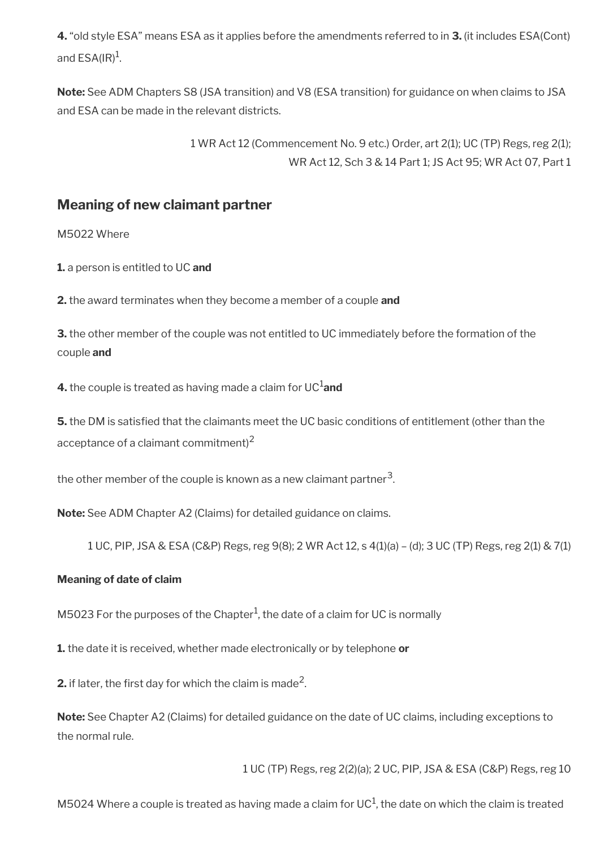**4.** "old style ESA" means ESA as it applies before the amendments referred to in **3.** (it includes ESA(Cont) and ESA(IR) $^{\rm 1}$ .

**Note:** See ADM Chapters S8 (JSA transition) and V8 (ESA transition) for guidance on when claims to JSA and ESA can be made in the relevant districts.

> 1 WR Act 12 (Commencement No. 9 etc.) Order, art 2(1); UC (TP) Regs, reg 2(1); WR Act 12, Sch 3 & 14 Part 1; JS Act 95; WR Act 07, Part 1

### <span id="page-3-1"></span>**Meaning of new claimant partner**

M5022 Where

**1.** a person is entitled to UC **and**

**2.** the award terminates when they become a member of a couple **and**

**3.** the other member of the couple was not entitled to UC immediately before the formation of the couple **and**

**4.** the couple is treated as having made a claim for UC<sup>1</sup>and

**5.** the DM is satisfed that the claimants meet the UC basic conditions of entitlement (other than the acceptance of a claimant commitment) $2$ 

the other member of the couple is known as a new claimant partner $^{\mathsf{3}}$ .

**Note:** See ADM Chapter A2 (Claims) for detailed guidance on claims.

1 UC, PIP, JSA & ESA (C&P) Regs, reg 9(8); 2 WR Act 12, s 4(1)(a) – (d); 3 UC (TP) Regs, reg 2(1) & 7(1)

#### <span id="page-3-0"></span>**Meaning of date of claim**

M5023 For the purposes of the Chapter<sup>1</sup>, the date of a claim for UC is normally

**1.** the date it is received, whether made electronically or by telephone **or**

**2.** if later, the first day for which the claim is made<sup>2</sup>.

**Note:** See Chapter A2 (Claims) for detailed guidance on the date of UC claims, including exceptions to the normal rule.

1 UC (TP) Regs, reg 2(2)(a); 2 UC, PIP, JSA & ESA (C&P) Regs, reg 10

M5024 Where a couple is treated as having made a claim for UC $^1$ , the date on which the claim is treated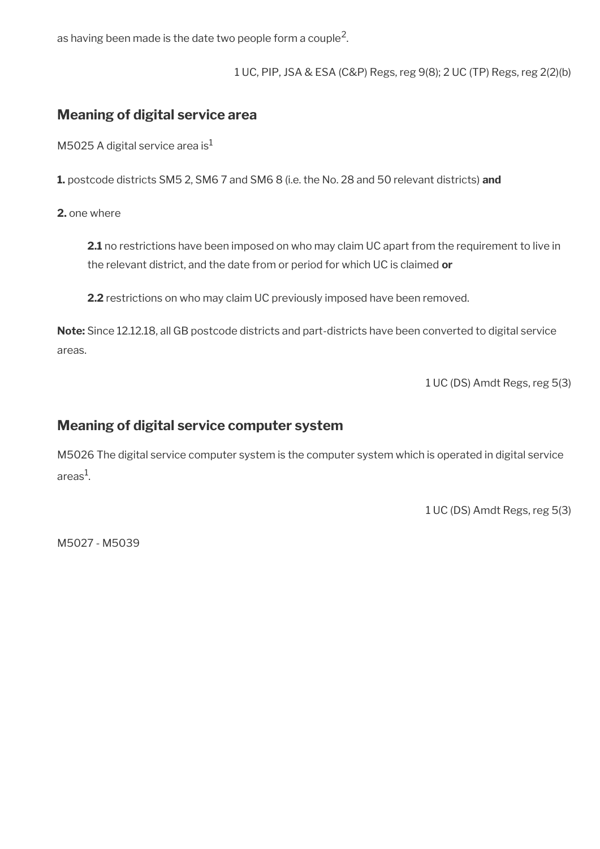as having been made is the date two people form a couple<sup>2</sup>.

1 UC, PIP, JSA & ESA (C&P) Regs, reg 9(8); 2 UC (TP) Regs, reg 2(2)(b)

### <span id="page-4-1"></span>**Meaning of digital service area**

M5025 A digital service area is $<sup>1</sup>$ </sup>

**1.** postcode districts SM5 2, SM6 7 and SM6 8 (i.e. the No. 28 and 50 relevant districts) **and**

**2.** one where

**2.1** no restrictions have been imposed on who may claim UC apart from the requirement to live in the relevant district, and the date from or period for which UC is claimed **or**

**2.2** restrictions on who may claim UC previously imposed have been removed.

**Note:** Since 12.12.18, all GB postcode districts and part-districts have been converted to digital service areas.

1 UC (DS) Amdt Regs, reg 5(3)

### <span id="page-4-0"></span>**Meaning of digital service computer system**

M5026 The digital service computer system is the computer system which is operated in digital service areas $^{\rm 1}$ .

1 UC (DS) Amdt Regs, reg 5(3)

M5027 - M5039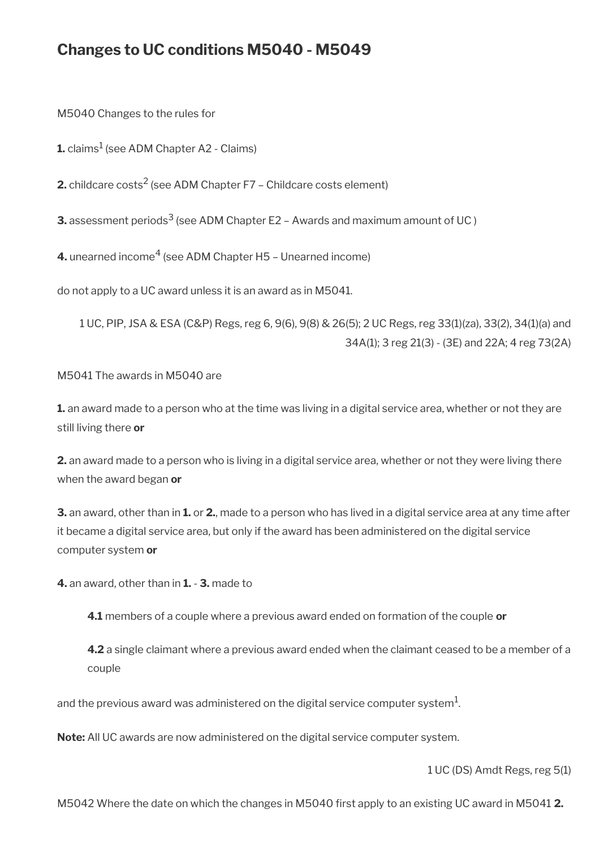## **Changes to UC conditions M5040 - M5049**

M5040 Changes to the rules for

 ${\mathbf L}$  claims $^1$  (see ADM Chapter A2 - Claims)

**2.** childcare costs $^2$  (see ADM Chapter F7 – Childcare costs element)

**3.** assessment periods $^3$  (see ADM Chapter E2 – Awards and maximum amount of UC )

**4.** unearned income<sup>4</sup> (see ADM Chapter H5 – Unearned income)

do not apply to a UC award unless it is an award as in M5041.

1 UC, PIP, JSA & ESA (C&P) Regs, reg 6, 9(6), 9(8) & 26(5); 2 UC Regs, reg 33(1)(za), 33(2), 34(1)(a) and 34A(1); 3 reg 21(3) - (3E) and 22A; 4 reg 73(2A)

M5041 The awards in M5040 are

**1.** an award made to a person who at the time was living in a digital service area, whether or not they are still living there **or**

**2.** an award made to a person who is living in a digital service area, whether or not they were living there when the award began **or**

**3.** an award, other than in **1.** or **2.**, made to a person who has lived in a digital service area at any time after it became a digital service area, but only if the award has been administered on the digital service computer system **or**

**4.** an award, other than in **1.** - **3.** made to

**4.1** members of a couple where a previous award ended on formation of the couple **or**

**4.2** a single claimant where a previous award ended when the claimant ceased to be a member of a couple

and the previous award was administered on the digital service computer system $^{\mathrm{1}}$ .

**Note:** All UC awards are now administered on the digital service computer system.

1 UC (DS) Amdt Regs, reg 5(1)

M5042 Where the date on which the changes in M5040 frst apply to an existing UC award in M5041 **2.**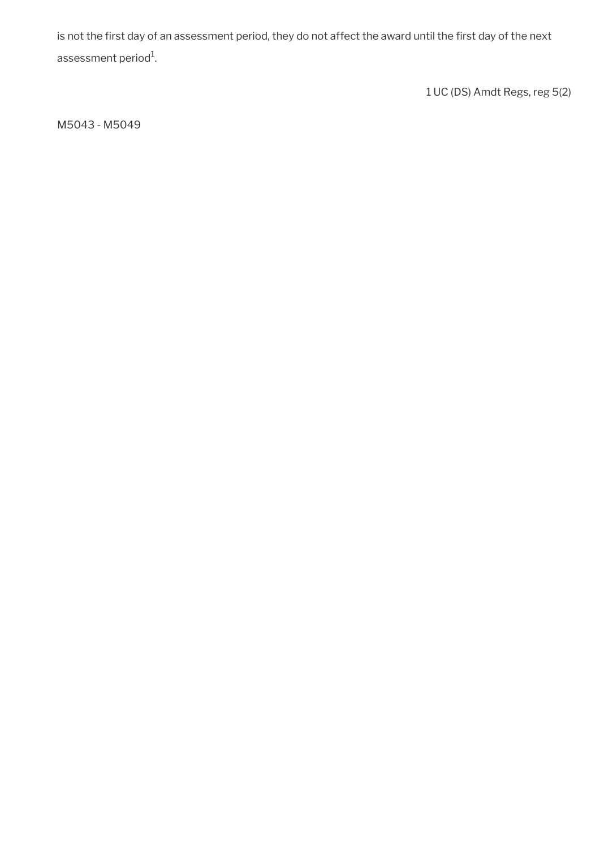is not the first day of an assessment period, they do not affect the award until the first day of the next assessment period $^{\rm 1}$ .

1 UC (DS) Amdt Regs, reg 5(2)

M5043 - M5049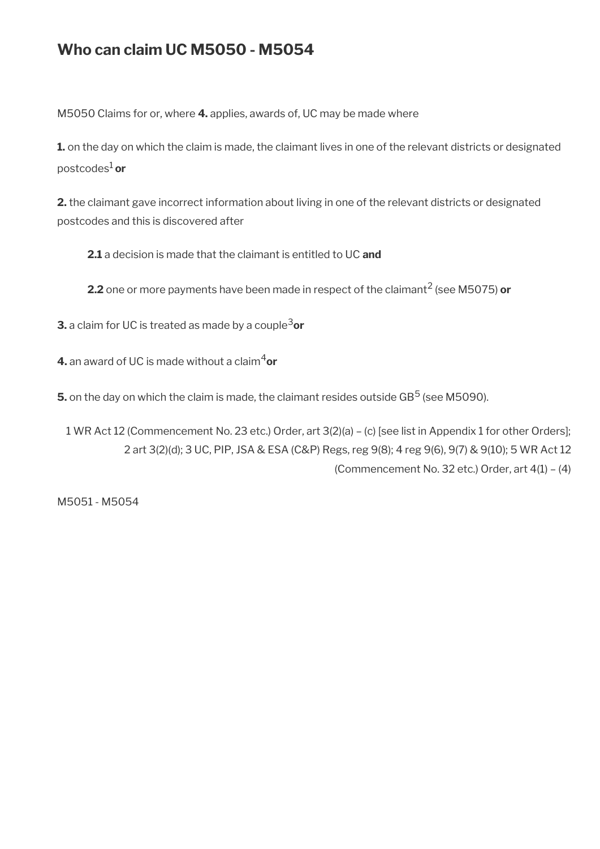## **Who can claim UC M5050 - M5054**

M5050 Claims for or, where **4.** applies, awards of, UC may be made where

**1.** on the day on which the claim is made, the claimant lives in one of the relevant districts or designated postcodes1 **or**

**2.** the claimant gave incorrect information about living in one of the relevant districts or designated postcodes and this is discovered after

**2.1** a decision is made that the claimant is entitled to UC **and**

**2.2** one or more payments have been made in respect of the claimant<sup>2</sup> (see M5075) **or** 

**3.** a claim for UC is treated as made by a couple<sup>3</sup>or

**4.** an award of UC is made without a claim<sup>4</sup>or

 ${\bf 5}.$  on the day on which the claim is made, the claimant resides outside GB $^5$  (see M5090).

1 WR Act 12 (Commencement No. 23 etc.) Order, art 3(2)(a) – (c) [see list in Appendix 1 for other Orders]; 2 art 3(2)(d); 3 UC, PIP, JSA & ESA (C&P) Regs, reg 9(8); 4 reg 9(6), 9(7) & 9(10); 5 WR Act 12 (Commencement No. 32 etc.) Order, art 4(1) – (4)

M5051 - M5054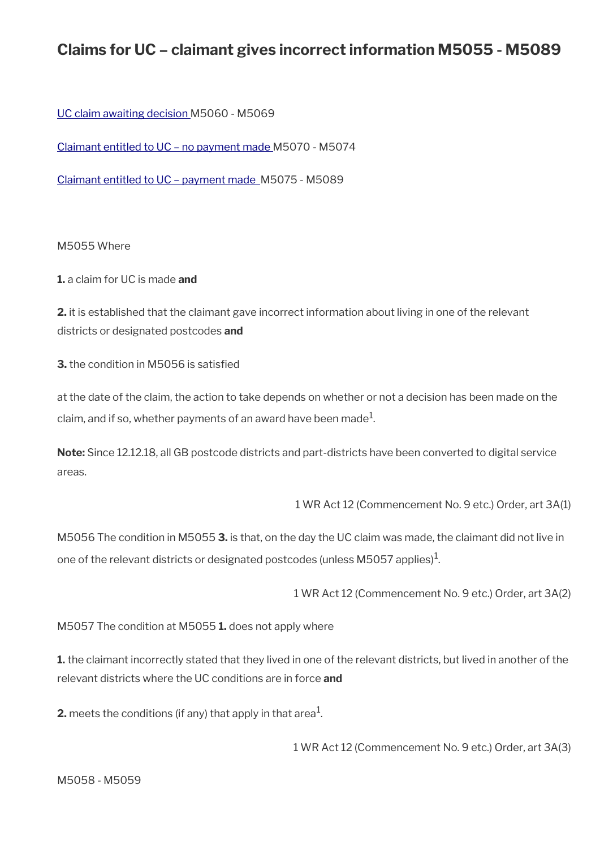## **Claims for UC – claimant gives incorrect information M5055 - M5089**

[UC claim awaiting decision](#page-9-0) M5060 - M5069

[Claimant entitled to UC – no payment made M](#page-11-0)5070 - M5074

[Claimant entitled to UC – payment made](#page-12-0) M5075 - M5089

#### M5055 Where

**1.** a claim for UC is made **and**

**2.** it is established that the claimant gave incorrect information about living in one of the relevant districts or designated postcodes **and**

**3.** the condition in M5056 is satisfed

at the date of the claim, the action to take depends on whether or not a decision has been made on the claim, and if so, whether payments of an award have been made $^1\!$ 

**Note:** Since 12.12.18, all GB postcode districts and part-districts have been converted to digital service areas.

1 WR Act 12 (Commencement No. 9 etc.) Order, art 3A(1)

M5056 The condition in M5055 **3.** is that, on the day the UC claim was made, the claimant did not live in one of the relevant districts or designated postcodes (unless M5057 applies) $^{\rm 1}$ .

1 WR Act 12 (Commencement No. 9 etc.) Order, art 3A(2)

M5057 The condition at M5055 **1.** does not apply where

**1.** the claimant incorrectly stated that they lived in one of the relevant districts, but lived in another of the relevant districts where the UC conditions are in force **and**

**2.** meets the conditions (if any) that apply in that area $^1$ .

1 WR Act 12 (Commencement No. 9 etc.) Order, art 3A(3)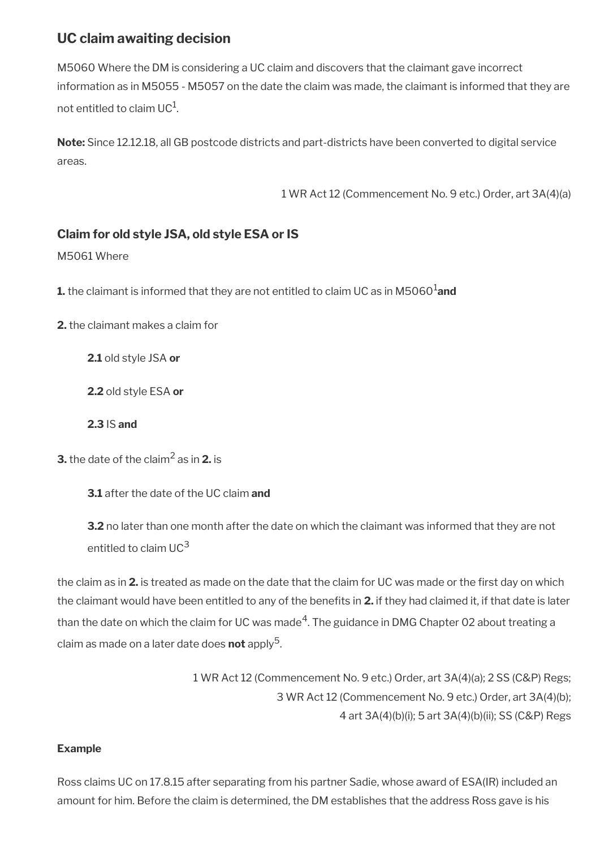### <span id="page-9-0"></span>**UC claim awaiting decision**

M5060 Where the DM is considering a UC claim and discovers that the claimant gave incorrect information as in M5055 - M5057 on the date the claim was made, the claimant is informed that they are not entitled to claim UC $^{\rm 1}$ .

**Note:** Since 12.12.18, all GB postcode districts and part-districts have been converted to digital service areas.

1 WR Act 12 (Commencement No. 9 etc.) Order, art 3A(4)(a)

### **Claim for old style JSA, old style ESA or IS**

#### M5061 Where

**1.** the claimant is informed that they are not entitled to claim UC as in M5060<sup>1</sup>and

**2.** the claimant makes a claim for

**2.1** old style JSA **or**

**2.2** old style ESA **or**

**2.3** IS **and**

**3.** the date of the claim $^2$  as in **2.** is

**3.1** after the date of the UC claim **and**

**3.2** no later than one month after the date on which the claimant was informed that they are not entitled to claim UC<sup>3</sup>

the claim as in **2.** is treated as made on the date that the claim for UC was made or the frst day on which the claimant would have been entitled to any of the benefts in **2.** if they had claimed it, if that date is later than the date on which the claim for UC was made $^4$ . The guidance in DMG Chapter 02 about treating a claim as made on a later date does **not** apply<sup>5</sup>.

> 1 WR Act 12 (Commencement No. 9 etc.) Order, art 3A(4)(a); 2 SS (C&P) Regs; 3 WR Act 12 (Commencement No. 9 etc.) Order, art 3A(4)(b); 4 art 3A(4)(b)(i); 5 art 3A(4)(b)(ii); SS (C&P) Regs

#### **Example**

Ross claims UC on 17.8.15 after separating from his partner Sadie, whose award of ESA(IR) included an amount for him. Before the claim is determined, the DM establishes that the address Ross gave is his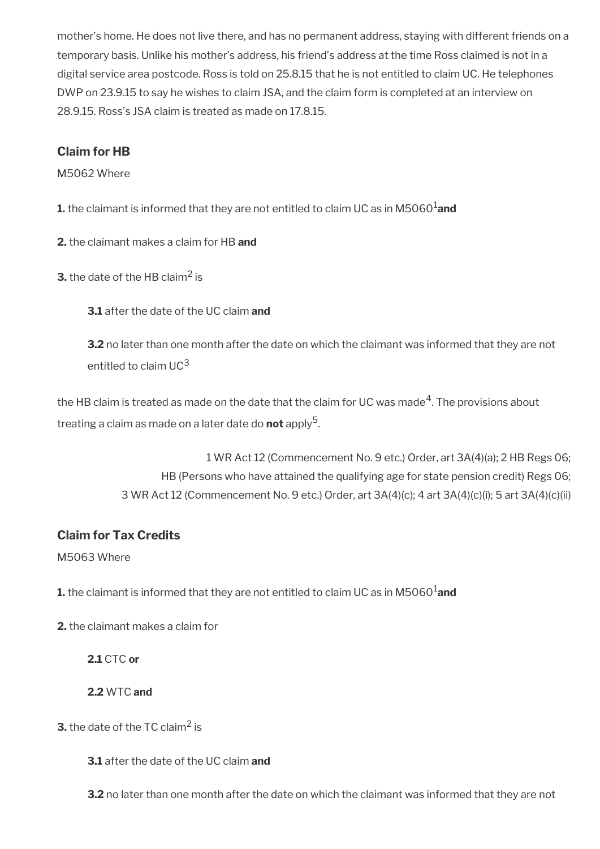mother's home. He does not live there, and has no permanent address, staying with different friends on a temporary basis. Unlike his mother's address, his friend's address at the time Ross claimed is not in a digital service area postcode. Ross is told on 25.8.15 that he is not entitled to claim UC. He telephones DWP on 23.9.15 to say he wishes to claim JSA, and the claim form is completed at an interview on 28.9.15. Ross's JSA claim is treated as made on 17.8.15.

### **Claim for HB**

M5062 Where

**1.** the claimant is informed that they are not entitled to claim UC as in M5060<sup>1</sup> and

**2.** the claimant makes a claim for HB **and**

**3.** the date of the HB claim<sup>2</sup> is

**3.1** after the date of the UC claim **and**

**3.2** no later than one month after the date on which the claimant was informed that they are not entitled to claim  $UC<sup>3</sup>$ 

the HB claim is treated as made on the date that the claim for UC was made $\rm ^4$ . The provisions about treating a claim as made on a later date do **not** apply<sup>5</sup>.

> 1 WR Act 12 (Commencement No. 9 etc.) Order, art 3A(4)(a); 2 HB Regs 06; HB (Persons who have attained the qualifying age for state pension credit) Regs 06; 3 WR Act 12 (Commencement No. 9 etc.) Order, art 3A(4)(c); 4 art 3A(4)(c)(i); 5 art 3A(4)(c)(ii)

### **Claim for Tax Credits**

M5063 Where

**1.** the claimant is informed that they are not entitled to claim UC as in M5060<sup>1</sup>and

**2.** the claimant makes a claim for

**2.1** CTC **or**

**2.2** WTC **and**

**3.** the date of the TC claim<sup>2</sup> is

**3.1** after the date of the UC claim **and**

**3.2** no later than one month after the date on which the claimant was informed that they are not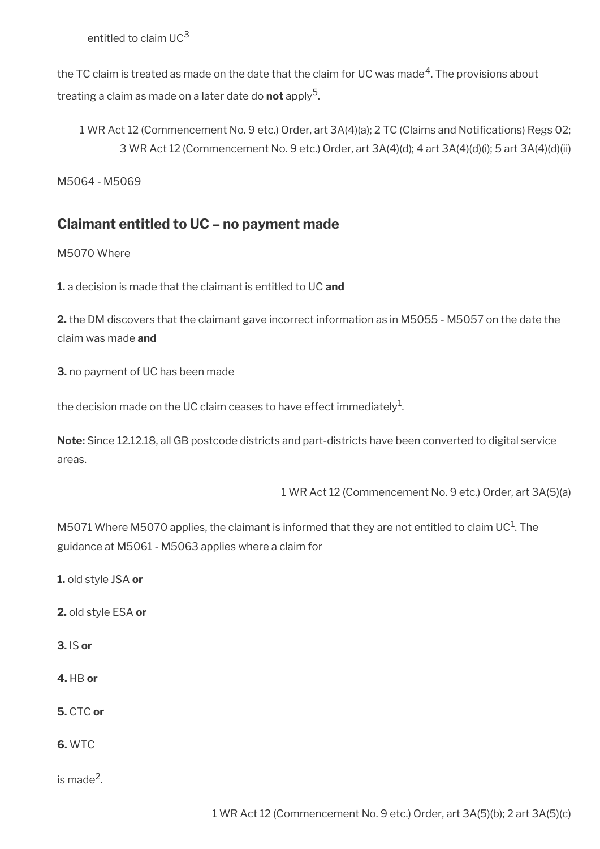entitled to claim  $UC^3$ 

the TC claim is treated as made on the date that the claim for UC was made $\rm ^4$ . The provisions about treating a claim as made on a later date do **not** apply<sup>5</sup>.

1 WR Act 12 (Commencement No. 9 etc.) Order, art 3A(4)(a); 2 TC (Claims and Notifcations) Regs 02; 3 WR Act 12 (Commencement No. 9 etc.) Order, art 3A(4)(d); 4 art 3A(4)(d)(i); 5 art 3A(4)(d)(ii)

M5064 - M5069

### <span id="page-11-0"></span>**Claimant entitled to UC – no payment made**

M5070 Where

**1.** a decision is made that the claimant is entitled to UC **and**

**2.** the DM discovers that the claimant gave incorrect information as in M5055 - M5057 on the date the claim was made **and**

**3.** no payment of UC has been made

the decision made on the UC claim ceases to have effect immediately $^1$ .

**Note:** Since 12.12.18, all GB postcode districts and part-districts have been converted to digital service areas.

1 WR Act 12 (Commencement No. 9 etc.) Order, art 3A(5)(a)

M5071 Where M5070 applies, the claimant is informed that they are not entitled to claim UC $^{\rm 1}$ . The guidance at M5061 - M5063 applies where a claim for

**1.** old style JSA **or**

**2.** old style ESA **or**

**3.** IS **or**

**4.** HB **or**

**5.** CTC **or**

**6.** WTC

is made<sup>2</sup>.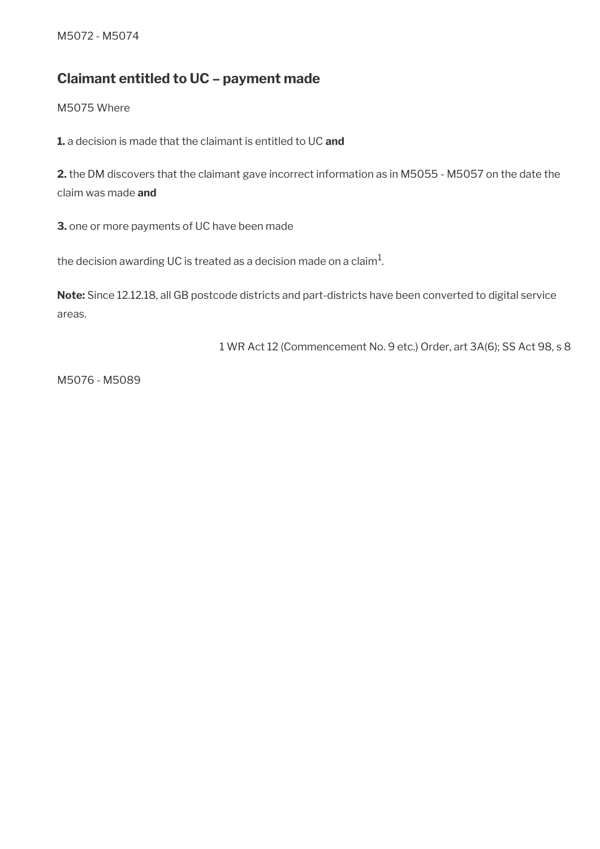### <span id="page-12-0"></span>**Claimant entitled to UC – payment made**

M5075 Where

**1.** a decision is made that the claimant is entitled to UC **and**

**2.** the DM discovers that the claimant gave incorrect information as in M5055 - M5057 on the date the claim was made **and**

**3.** one or more payments of UC have been made

the decision awarding UC is treated as a decision made on a claim $^1\!$ 

**Note:** Since 12.12.18, all GB postcode districts and part-districts have been converted to digital service areas.

1 WR Act 12 (Commencement No. 9 etc.) Order, art 3A(6); SS Act 98, s 8

M5076 - M5089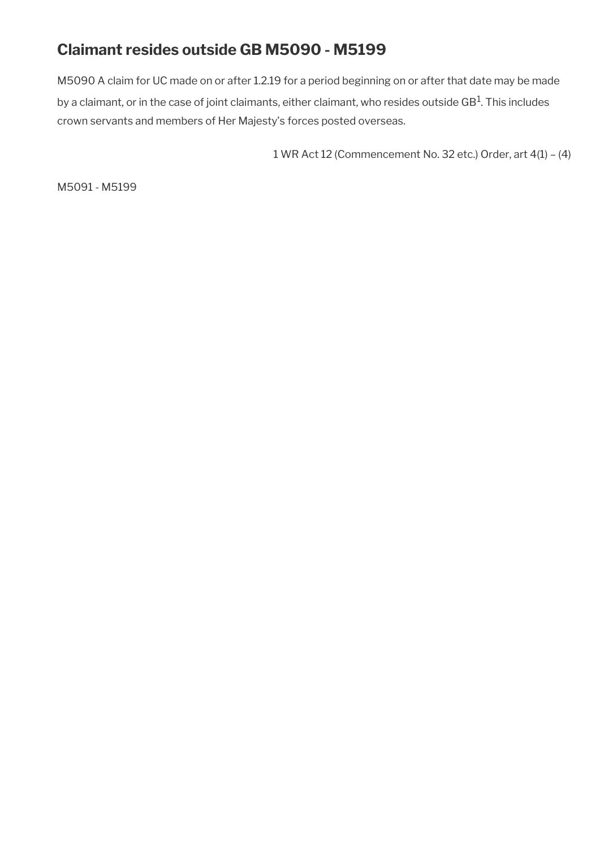## **Claimant resides outside GB M5090 - M5199**

M5090 A claim for UC made on or after 1.2.19 for a period beginning on or after that date may be made by a claimant, or in the case of joint claimants, either claimant, who resides outside GB $^{\rm 1}$ . This includes crown servants and members of Her Majesty's forces posted overseas.

1 WR Act 12 (Commencement No. 32 etc.) Order, art 4(1) – (4)

M5091 - M5199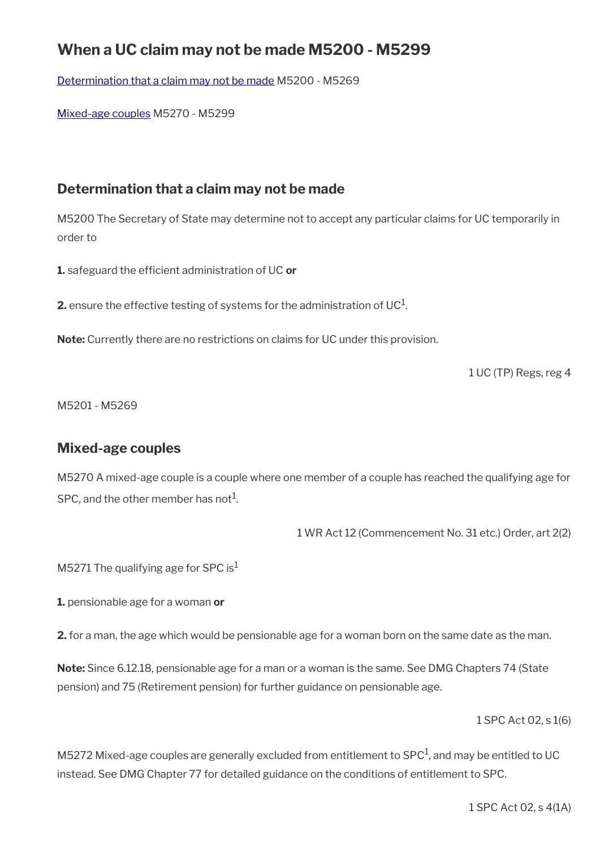## **When a UC claim may not be made M5200 - M5299**

[Determination that a claim may not be made](#page-14-1) M5200 - M5269

[Mixed-age couples](#page-14-0) M5270 - M5299

### <span id="page-14-1"></span>**Determination that a claim may not be made**

M5200 The Secretary of State may determine not to accept any particular claims for UC temporarily in order to

**1.** safeguard the efficient administration of UC or

**2.** ensure the effective testing of systems for the administration of UC $^1$ .

**Note:** Currently there are no restrictions on claims for UC under this provision.

1 UC (TP) Regs, reg 4

M5201 - M5269

### <span id="page-14-0"></span>**Mixed-age couples**

M5270 A mixed-age couple is a couple where one member of a couple has reached the qualifying age for SPC, and the other member has not<sup>1</sup>.

1 WR Act 12 (Commencement No. 31 etc.) Order, art 2(2)

M5271 The qualifying age for SPC is<sup>1</sup>

**1.** pensionable age for a woman **or**

**2.** for a man, the age which would be pensionable age for a woman born on the same date as the man.

**Note:** Since 6.12.18, pensionable age for a man or a woman is the same. See DMG Chapters 74 (State pension) and 75 (Retirement pension) for further guidance on pensionable age.

1 SPC Act 02, s 1(6)

M5272 Mixed-age couples are generally excluded from entitlement to SPC $^1$ , and may be entitled to UC instead. See DMG Chapter 77 for detailed guidance on the conditions of entitlement to SPC.

1 SPC Act 02, s 4(1A)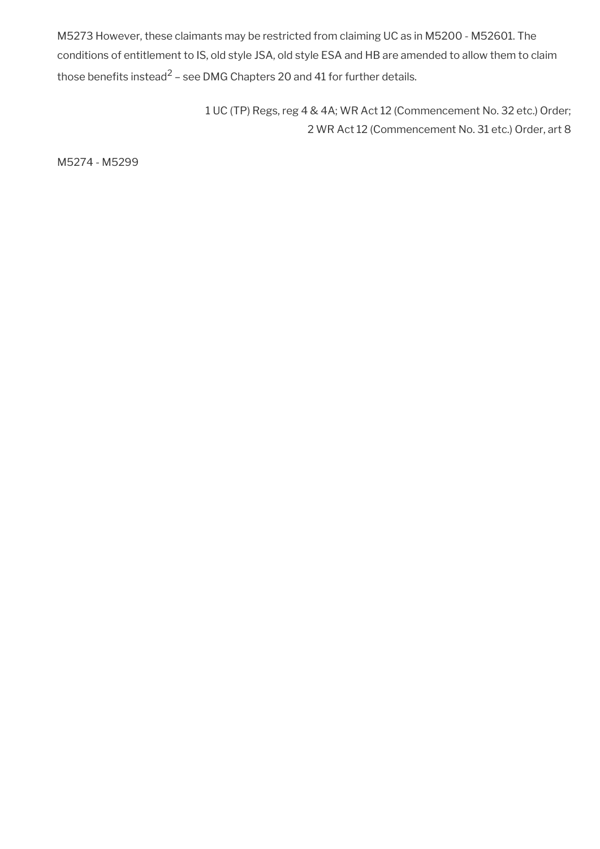M5273 However, these claimants may be restricted from claiming UC as in M5200 - M52601. The conditions of entitlement to IS, old style JSA, old style ESA and HB are amended to allow them to claim those benefits instead<sup>2</sup> – see DMG Chapters 20 and 41 for further details.

> 1 UC (TP) Regs, reg 4 & 4A; WR Act 12 (Commencement No. 32 etc.) Order; 2 WR Act 12 (Commencement No. 31 etc.) Order, art 8

M5274 - M5299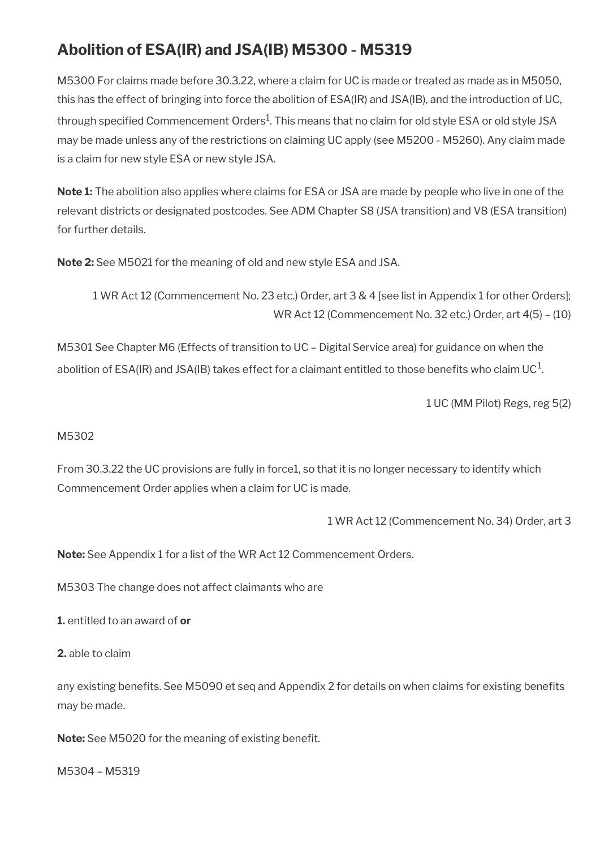# **Abolition of ESA(IR) and JSA(IB) M5300 - M5319**

M5300 For claims made before 30.3.22, where a claim for UC is made or treated as made as in M5050, this has the effect of bringing into force the abolition of ESA(IR) and JSA(IB), and the introduction of UC, through specified Commencement Orders $^{\rm 1}$ . This means that no claim for old style ESA or old style JSA may be made unless any of the restrictions on claiming UC apply (see M5200 - M5260). Any claim made is a claim for new style ESA or new style JSA.

**Note 1:** The abolition also applies where claims for ESA or JSA are made by people who live in one of the relevant districts or designated postcodes. See ADM Chapter S8 (JSA transition) and V8 (ESA transition) for further details.

**Note 2:** See M5021 for the meaning of old and new style ESA and JSA.

1 WR Act 12 (Commencement No. 23 etc.) Order, art 3 & 4 [see list in Appendix 1 for other Orders]; WR Act 12 (Commencement No. 32 etc.) Order, art 4(5) – (10)

M5301 See Chapter M6 (Effects of transition to UC – Digital Service area) for guidance on when the abolition of ESA(IR) and JSA(IB) takes effect for a claimant entitled to those benefits who claim UC $^{\rm 1}$ .

1 UC (MM Pilot) Regs, reg 5(2)

#### M5302

From 30.3.22 the UC provisions are fully in force1, so that it is no longer necessary to identify which Commencement Order applies when a claim for UC is made.

1 WR Act 12 (Commencement No. 34) Order, art 3

**Note:** See Appendix 1 for a list of the WR Act 12 Commencement Orders.

M5303 The change does not affect claimants who are

**1.** entitled to an award of **or**

**2.** able to claim

any existing benefits. See M5090 et seq and Appendix 2 for details on when claims for existing benefits may be made.

Note: See M5020 for the meaning of existing benefit.

M5304 – M5319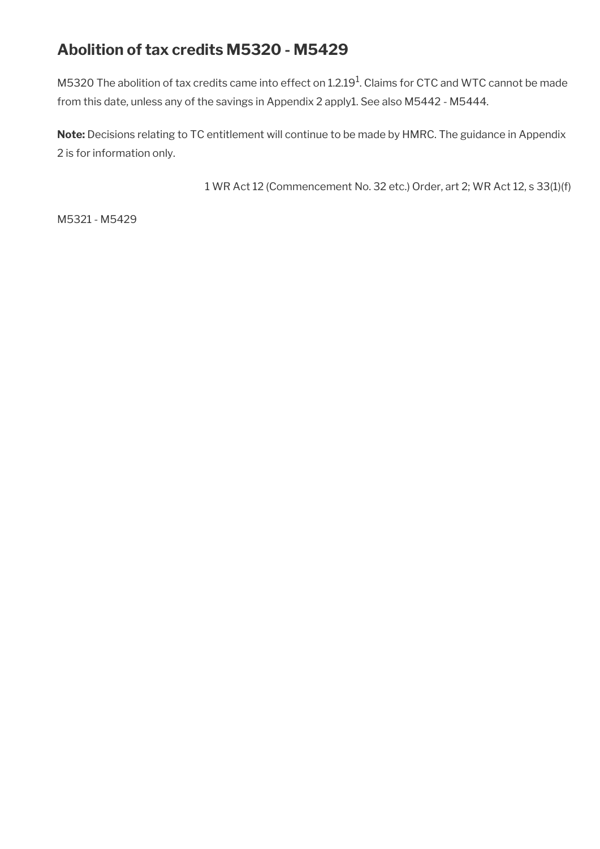## **Abolition of tax credits M5320 - M5429**

M5320 The abolition of tax credits came into effect on 1.2.19<sup>1</sup>. Claims for CTC and WTC cannot be made from this date, unless any of the savings in Appendix 2 apply1. See also M5442 - M5444.

**Note:** Decisions relating to TC entitlement will continue to be made by HMRC. The guidance in Appendix 2 is for information only.

1 WR Act 12 (Commencement No. 32 etc.) Order, art 2; WR Act 12, s 33(1)(f)

M5321 - M5429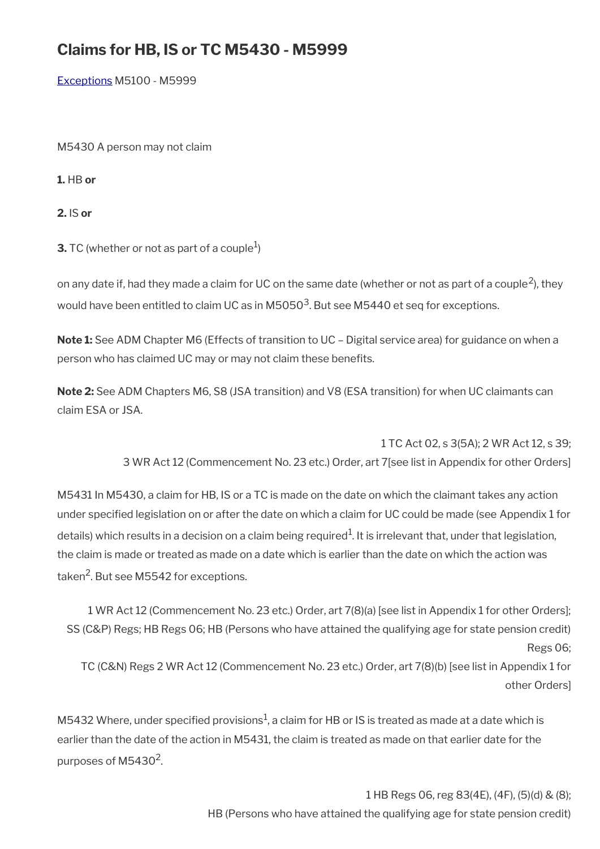## **Claims for HB, IS or TC M5430 - M5999**

[Exceptions](#page-19-0) M5100 - M5999

M5430 A person may not claim

**1.** HB **or**

**2.** IS **or**

**3.** TC (whether or not as part of a couple $^1$ )

on any date if, had they made a claim for UC on the same date (whether or not as part of a couple<sup>2</sup>), they would have been entitled to claim UC as in M5050 $^3$ . But see M5440 et seq for exceptions.

**Note 1:** See ADM Chapter M6 (Effects of transition to UC – Digital service area) for guidance on when a person who has claimed UC may or may not claim these benefits.

**Note 2:** See ADM Chapters M6, S8 (JSA transition) and V8 (ESA transition) for when UC claimants can claim ESA or JSA.

1 TC Act 02, s 3(5A); 2 WR Act 12, s 39;

3 WR Act 12 (Commencement No. 23 etc.) Order, art 7[see list in Appendix for other Orders]

M5431 In M5430, a claim for HB, IS or a TC is made on the date on which the claimant takes any action under specifed legislation on or after the date on which a claim for UC could be made (see Appendix 1 for details) which results in a decision on a claim being required $^1$ . It is irrelevant that, under that legislation, the claim is made or treated as made on a date which is earlier than the date on which the action was taken<sup>2</sup>. But see M5542 for exceptions.

1 WR Act 12 (Commencement No. 23 etc.) Order, art 7(8)(a) [see list in Appendix 1 for other Orders]; SS (C&P) Regs; HB Regs 06; HB (Persons who have attained the qualifying age for state pension credit) Regs 06; TC (C&N) Regs 2 WR Act 12 (Commencement No. 23 etc.) Order, art 7(8)(b) [see list in Appendix 1 for other Orders]

M5432 Where, under specified provisions $^1$ , a claim for HB or IS is treated as made at a date which is earlier than the date of the action in M5431, the claim is treated as made on that earlier date for the purposes of M5430<sup>2</sup>.

> 1 HB Regs 06, reg 83(4E), (4F), (5)(d) & (8); HB (Persons who have attained the qualifying age for state pension credit)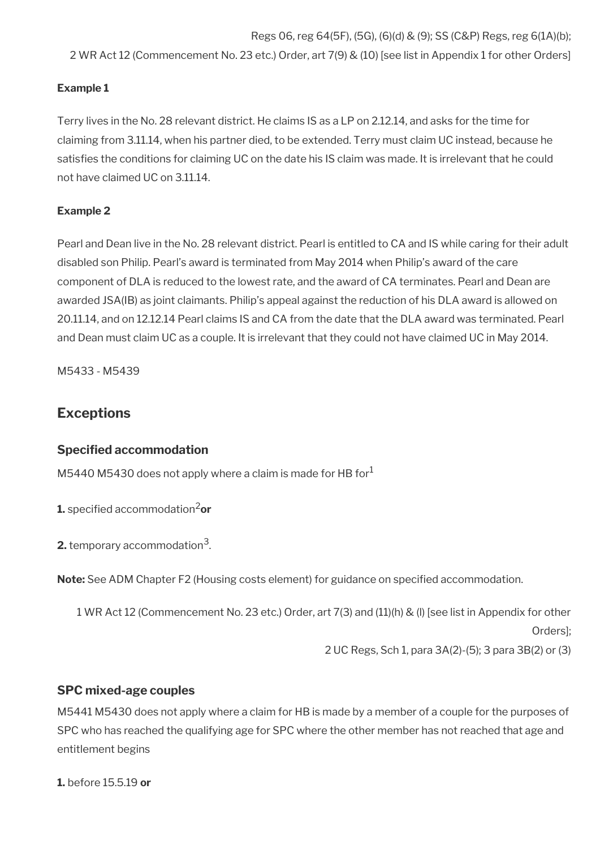Regs 06, reg 64(5F), (5G), (6)(d) & (9); SS (C&P) Regs, reg 6(1A)(b); 2 WR Act 12 (Commencement No. 23 etc.) Order, art 7(9) & (10) [see list in Appendix 1 for other Orders]

#### **Example 1**

Terry lives in the No. 28 relevant district. He claims IS as a LP on 2.12.14, and asks for the time for claiming from 3.11.14, when his partner died, to be extended. Terry must claim UC instead, because he satisfies the conditions for claiming UC on the date his IS claim was made. It is irrelevant that he could not have claimed UC on 3.11.14.

#### **Example 2**

Pearl and Dean live in the No. 28 relevant district. Pearl is entitled to CA and IS while caring for their adult disabled son Philip. Pearl's award is terminated from May 2014 when Philip's award of the care component of DLA is reduced to the lowest rate, and the award of CA terminates. Pearl and Dean are awarded JSA(IB) as joint claimants. Philip's appeal against the reduction of his DLA award is allowed on 20.11.14, and on 12.12.14 Pearl claims IS and CA from the date that the DLA award was terminated. Pearl and Dean must claim UC as a couple. It is irrelevant that they could not have claimed UC in May 2014.

M5433 - M5439

### <span id="page-19-0"></span>**Exceptions**

#### **Specifed accommodation**

M5440 M5430 does not apply where a claim is made for HB for $<sup>1</sup>$ </sup>

**1.** specified accommodation<sup>2</sup>or

**2.** temporary accommodation<sup>3</sup>.

**Note:** See ADM Chapter F2 (Housing costs element) for guidance on specifed accommodation.

1 WR Act 12 (Commencement No. 23 etc.) Order, art 7(3) and (11)(h) & (l) [see list in Appendix for other Orders]; 2 UC Regs, Sch 1, para 3A(2)-(5); 3 para 3B(2) or (3)

#### **SPC mixed-age couples**

M5441 M5430 does not apply where a claim for HB is made by a member of a couple for the purposes of SPC who has reached the qualifying age for SPC where the other member has not reached that age and entitlement begins

**1.** before 15.5.19 **or**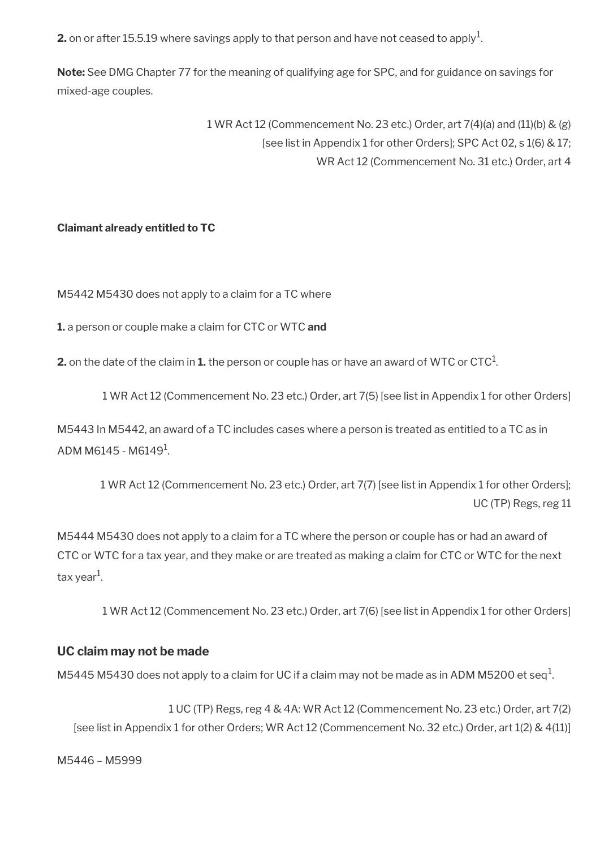**2.** on or after 15.5.19 where savings apply to that person and have not ceased to apply<sup>1</sup>.

**Note:** See DMG Chapter 77 for the meaning of qualifying age for SPC, and for guidance on savings for mixed-age couples.

> 1 WR Act 12 (Commencement No. 23 etc.) Order, art 7(4)(a) and (11)(b) & (g) [see list in Appendix 1 for other Orders]; SPC Act 02, s 1(6) & 17; WR Act 12 (Commencement No. 31 etc.) Order, art 4

#### **Claimant already entitled to TC**

M5442 M5430 does not apply to a claim for a TC where

**1.** a person or couple make a claim for CTC or WTC **and**

**2.** on the date of the claim in **1.** the person or couple has or have an award of WTC or CTC $^1$ .

1 WR Act 12 (Commencement No. 23 etc.) Order, art 7(5) [see list in Appendix 1 for other Orders]

M5443 In M5442, an award of a TC includes cases where a person is treated as entitled to a TC as in ADM M6145 - M6149 $^{\rm 1}$ .

1 WR Act 12 (Commencement No. 23 etc.) Order, art 7(7) [see list in Appendix 1 for other Orders]; UC (TP) Regs, reg 11

M5444 M5430 does not apply to a claim for a TC where the person or couple has or had an award of CTC or WTC for a tax year, and they make or are treated as making a claim for CTC or WTC for the next tax year<sup>1</sup>.

1 WR Act 12 (Commencement No. 23 etc.) Order, art 7(6) [see list in Appendix 1 for other Orders]

#### **UC claim may not be made**

M5445 M5430 does not apply to a claim for UC if a claim may not be made as in ADM M5200 et seq $^1\!$ 

1 UC (TP) Regs, reg 4 & 4A: WR Act 12 (Commencement No. 23 etc.) Order, art 7(2) [see list in Appendix 1 for other Orders; WR Act 12 (Commencement No. 32 etc.) Order, art 1(2) & 4(11)]

M5446 – M5999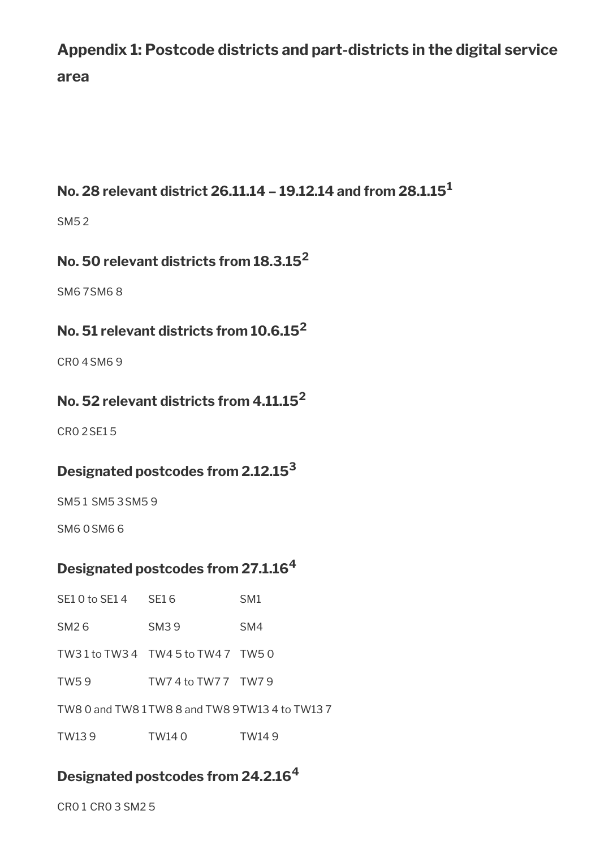# **Appendix 1: Postcode districts and part-districts in the digital service area**

## **No. 28 relevant district 26.11.14 – 19.12.14 and from 28.1.15<sup>1</sup>**

SM5 2

## **No. 50 relevant districts from 18.3.15<sup>2</sup>**

SM6 7SM6 8

## **No. 51 relevant districts from 10.6.15<sup>2</sup>**

CR0 4SM6 9

### **No. 52 relevant districts from 4.11.15<sup>2</sup>**

CR0 2SE1 5

## **Designated postcodes from 2.12.15<sup>3</sup>**

SM5 1 SM5 3SM5 9

SM6 0SM6 6

## **Designated postcodes from 27.1.16<sup>4</sup>**

| SE10 to SE14 SE16 |                                | SM <sub>1</sub>                                  |
|-------------------|--------------------------------|--------------------------------------------------|
| SM26              | SM39                           | SM4                                              |
|                   | TW31 to TW34 TW45 to TW47 TW50 |                                                  |
| TW59              | TW7 4 to TW7 7 TW7 9           |                                                  |
|                   |                                | TW8 0 and TW8 1 TW8 8 and TW8 9 TW13 4 to TW13 7 |
| TW139             | TW140                          | TW149                                            |

## **Designated postcodes from 24.2.16<sup>4</sup>**

CR0 1 CR0 3 SM2 5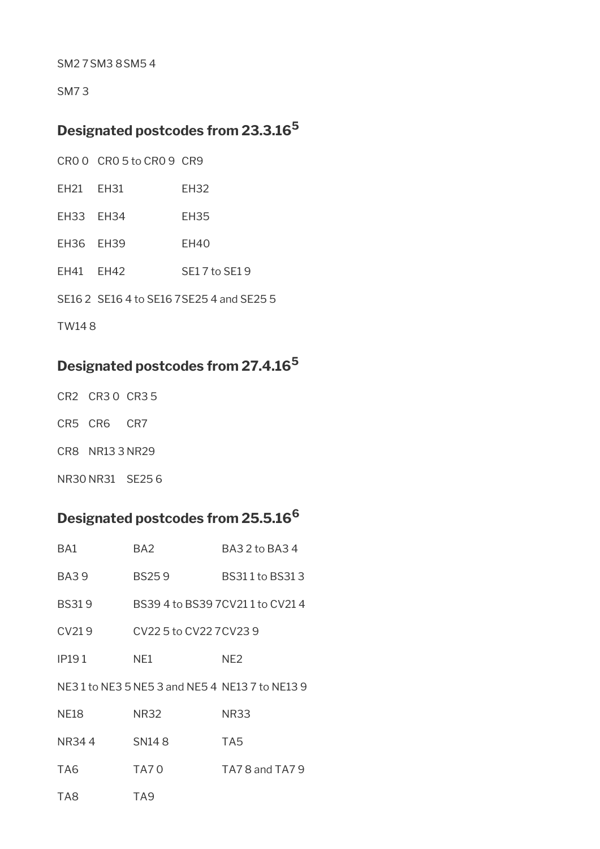SM2 7SM3 8SM5 4

SM7 3

## **Designated postcodes from 23.3.16<sup>5</sup>**

|  | CROO CRO5 to CRO9 CR9 |  |
|--|-----------------------|--|
|  |                       |  |

- EH21 EH31 EH32
- EH33 EH34 EH35
- EH36 EH39 EH40
- EH41 EH42 SE17 to SE19
- SE16 2 SE16 4 to SE16 7SE25 4 and SE25 5

TW14 8

## **Designated postcodes from 27.4.16<sup>5</sup>**

- CR2 CR3 0 CR3 5
- CR5 CR6 CR7
- CR8 NR13 3 NR29
- NR30 NR31 SE25 6

## **Designated postcodes from 25.5.16<sup>6</sup>**

| BA1          | BA <sub>2</sub>         | BA3 2 to BA3 4                            |
|--------------|-------------------------|-------------------------------------------|
| <b>BA39</b>  | <b>BS259</b>            | BS311 to BS313                            |
| <b>BS319</b> |                         | BS39 4 to BS39 7CV211 to CV21 4           |
| CV219        | CV22 5 to CV22 7 CV23 9 |                                           |
| <b>IP191</b> | NE1                     | NE <sub>2</sub>                           |
|              |                         | NE31 to NE35 NE53 and NE54 NE137 to NE139 |
| <b>NE18</b>  | <b>NR32</b>             | <b>NR33</b>                               |
| NR344        | SN <sub>14</sub> 8      | TA <sub>5</sub>                           |
| TA6          | <b>TA70</b>             | TA7 8 and TA7 9                           |
| TA8          | TA <sub>9</sub>         |                                           |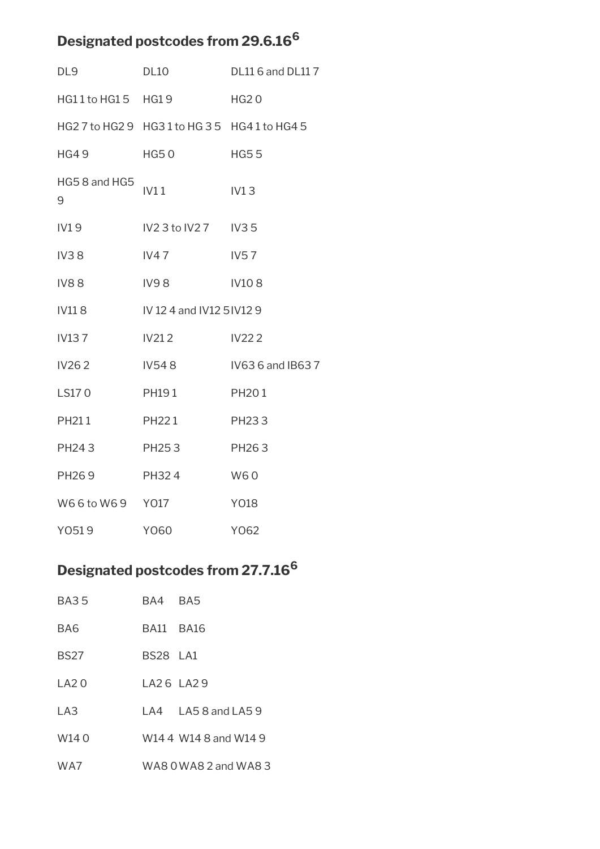# **Designated postcodes from 29.6.16<sup>6</sup>**

| DL9               | DL10                                          | DL11 6 and DL11 7 |
|-------------------|-----------------------------------------------|-------------------|
| HG11 to HG15 HG19 |                                               | <b>HG20</b>       |
|                   | HG2 7 to HG2 9 HG3 1 to HG 3 5 HG4 1 to HG4 5 |                   |
| HG49              | HG50                                          | <b>HG55</b>       |
| HG58 and HG5<br>9 | IV11                                          | IV13              |
| IV19              | IV23to IV27 IV35                              |                   |
| IV38              | IV47                                          | <b>IV57</b>       |
| <b>IV88</b>       | <b>IV98</b>                                   | <b>IV108</b>      |
| <b>IV118</b>      | IV 12 4 and IV12 5 IV12 9                     |                   |
| <b>IV137</b>      | <b>IV212</b>                                  | <b>IV222</b>      |
| IV262             | IV548                                         | IV63 6 and IB63 7 |
| LS170             | PH191                                         | PH201             |
| PH211             | PH221                                         | PH233             |
| PH243             | PH253                                         | PH <sub>263</sub> |
| PH269 PH324       |                                               | W60               |
| W66to W69 Y017    |                                               | <b>YO18</b>       |
| Y0519             | Y060                                          | Y062              |

# **Designated postcodes from 27.7.16<sup>6</sup>**

| <b>BA35</b>       | BA4 BA5   |                       |
|-------------------|-----------|-----------------------|
| BA6               | BA11 BA16 |                       |
| <b>BS27</b>       | BS28 LA1  |                       |
| A20               | LA26 LA29 |                       |
| LA <sub>3</sub>   |           | LA4 LA58 and LA59     |
| W <sub>14</sub> 0 |           | W14 4 W14 8 and W14 9 |
| WA7               |           | WA8 0 WA8 2 and WA8 3 |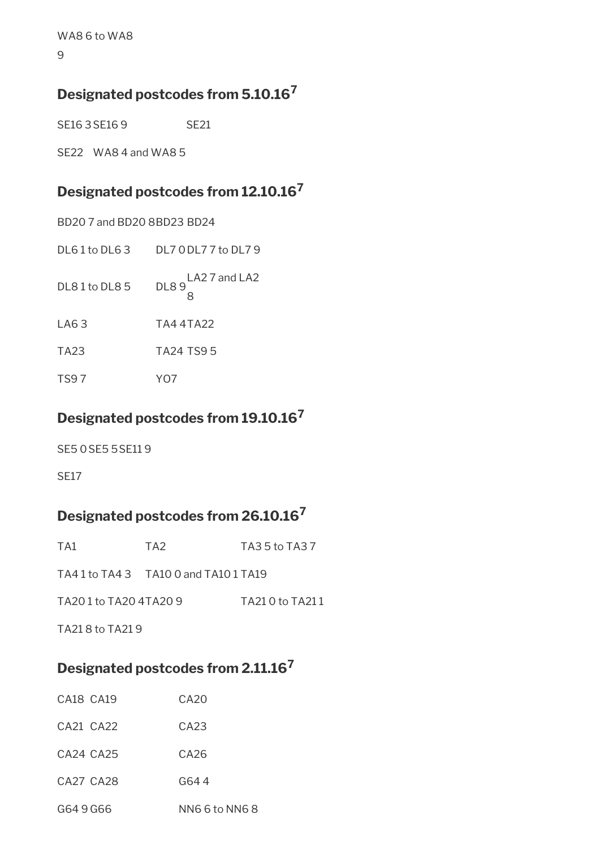WA8 6 to WA8

9

## **Designated postcodes from 5.10.16<sup>7</sup>**

SE16 3 SE16 9 SE21

SE22 WA8 4 and WA8 5

# **Designated postcodes from 12.10.16<sup>7</sup>**

| BD20 7 and BD20 8BD23 BD24         |                              |
|------------------------------------|------------------------------|
| $D\mathsf{L}61$ to $D\mathsf{L}63$ | DL 7 0 DL 7 7 to DL 7 9      |
| DL81 to DL85                       | DL89 <sup>LA27</sup> and LA2 |
| LA63                               | TA4 4TA22                    |
| TA <sub>23</sub>                   | <b>TA24 TS95</b>             |
| <b>TS97</b>                        | YO7                          |

## **Designated postcodes from 19.10.16<sup>7</sup>**

SE5 0SE5 5SE11 9

SE17

## **Designated postcodes from 26.10.16<sup>7</sup>**

| TA1                 | TA <sub>2</sub>                     | TA3 5 to TA3 7   |
|---------------------|-------------------------------------|------------------|
|                     | TA41 to TA43 TA10 0 and TA10 1 TA19 |                  |
| TA201 to TA204TA209 |                                     | TA21 0 to TA21 1 |
| TA218 to TA219      |                                     |                  |

## **Designated postcodes from 2.11.16<sup>7</sup>**

| CA18 CA19 | CA20             |
|-----------|------------------|
| CA21 CA22 | C <sub>A23</sub> |
| CA24 CA25 | CA26             |
| CA27 CA28 | G64 4            |
| G649G66   | NN6 6 to NN6 8   |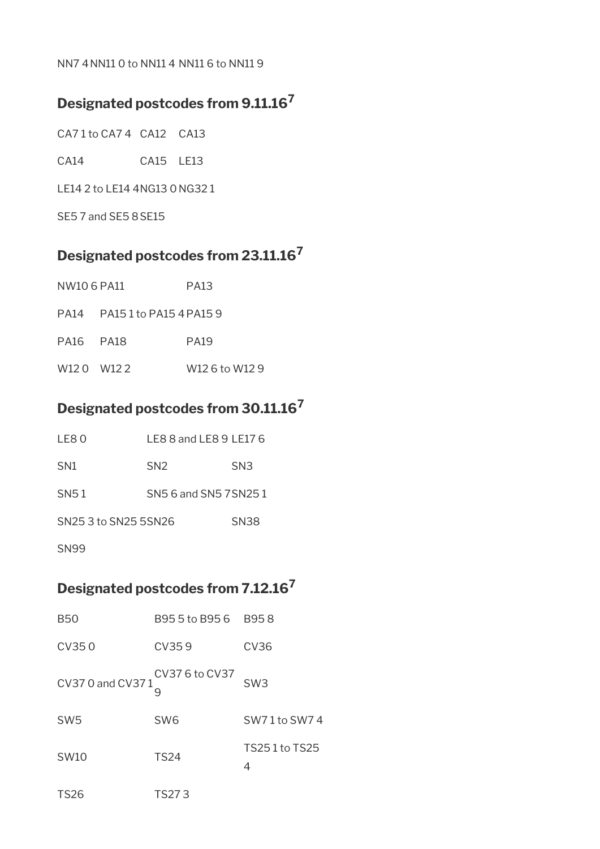#### NN7 4NN11 0 to NN11 4 NN11 6 to NN11 9

## **Designated postcodes from 9.11.16<sup>7</sup>**

CA7 1 to CA7 4 CA12 CA13

CA14 CA15 LE13

LE14 2 to LE14 4NG13 0 NG32 1

SE5 7 and SE5 8SE15

## **Designated postcodes from 23.11.16<sup>7</sup>**

| NW10 6 PA11 | <b>PA13</b> |
|-------------|-------------|
|             |             |

| <b>PA14</b> | PA15 1 to PA15 4 PA15 9 |
|-------------|-------------------------|
|             |                         |

| <b>PA16</b> | <b>PA18</b> | <b>PA19</b> |
|-------------|-------------|-------------|
|             |             |             |

W12 0 W12 2 W12 6 to W12 9

# **Designated postcodes from 30.11.16<sup>7</sup>**

| SN <sub>3</sub>        |
|------------------------|
|                        |
| SN5 6 and SN5 7 SN25 1 |
| <b>SN38</b>            |
|                        |

SN99

# **Designated postcodes from 7.12.16<sup>7</sup>**

| <b>B50</b>        | B95 5 to B95 6 B95 8 |                    |
|-------------------|----------------------|--------------------|
| CV350             | CV359                | CV <sub>36</sub>   |
| CV37 0 and CV37 1 | CV37 6 to CV37       | SW <sub>3</sub>    |
| SW <sub>5</sub>   | SW <sub>6</sub>      | SW71to SW74        |
| <b>SW10</b>       | <b>TS24</b>          | TS251 to TS25<br>4 |
| <b>TS26</b>       | TS27 3               |                    |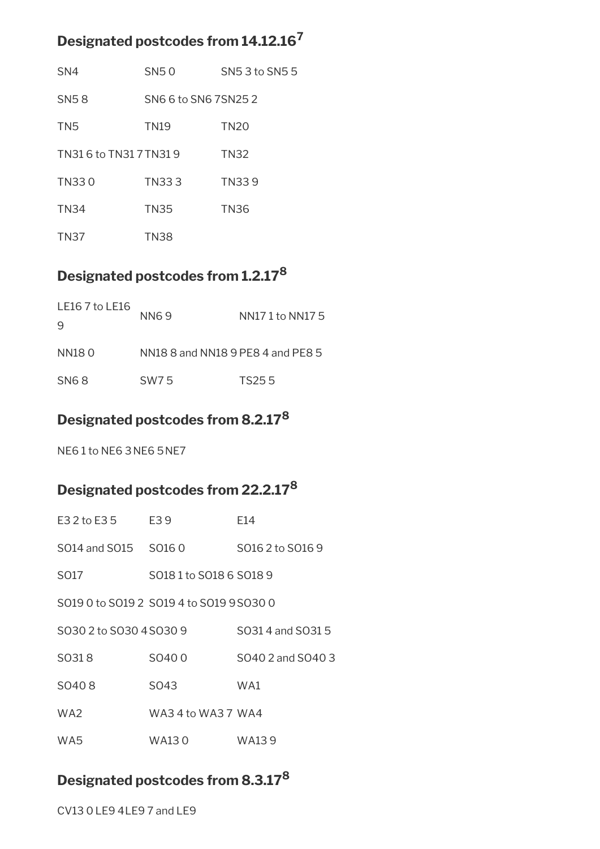## **Designated postcodes from 14.12.16<sup>7</sup>**

| SN <sub>4</sub>         | SN50                | SN5 3 to SN5 5 |
|-------------------------|---------------------|----------------|
| <b>SN58</b>             | SN6 6 to SN6 7SN252 |                |
| TN <sub>5</sub>         | <b>TN19</b>         | <b>TN20</b>    |
| TN31 6 to TN31 7 TN31 9 |                     | <b>TN32</b>    |
| TN330                   | TN333               | TN339          |
| <b>TN34</b>             | <b>TN35</b>         | <b>TN36</b>    |
| <b>TN37</b>             | <b>TN38</b>         |                |

## **Designated postcodes from 1.2.17<sup>8</sup>**

| LE16 7 to LE16<br>9 | NN6.9                             | NN17 1 to NN17 5 |
|---------------------|-----------------------------------|------------------|
| NN180               | NN18 8 and NN18 9 PE8 4 and PE8 5 |                  |
| SN <sub>6</sub> 8   | SW7.5                             | TS25.5           |

## **Designated postcodes from 8.2.17<sup>8</sup>**

NE6 1 to NE6 3NE6 5NE7

# **Designated postcodes from 22.2.17<sup>8</sup>**

| E3 2 to E3 5                             | E39                    | F14               |
|------------------------------------------|------------------------|-------------------|
| S014 and S015 S016 0                     |                        | S016 2 to S016 9  |
| S017                                     | S0181 to S018 6 S018 9 |                   |
| S019 0 to S019 2 S019 4 to S019 9 S030 0 |                        |                   |
| SO30 2 to SO30 4 SO30 9                  |                        | SO31 4 and SO31 5 |
| SO318                                    | SO400                  | SO40 2 and SO40 3 |
| SO408                                    | S <sub>043</sub>       | WA1               |
| WA2                                      | WA34 to WA37 WA4       |                   |
| WA5                                      | WA13 0                 | WA13 9            |

## **Designated postcodes from 8.3.17<sup>8</sup>**

CV13 0LE9 4LE9 7 and LE9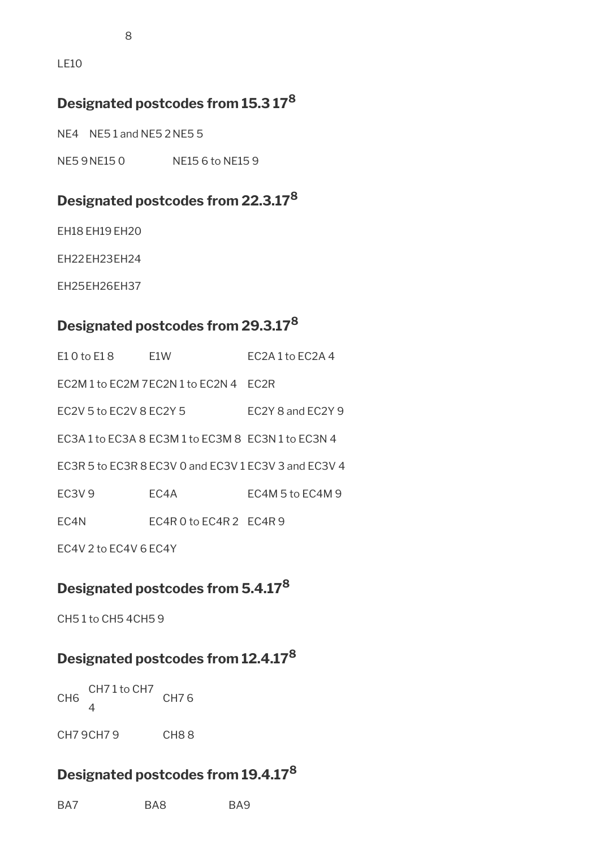LE10

## **Designated postcodes from 15.3 17<sup>8</sup>**

NE4 NE5 1 and NE5 2 NE5 5

NE5 9NE15 0 NE15 6 to NE15 9

## **Designated postcodes from 22.3.17<sup>8</sup>**

EH18 EH19 EH20

EH22EH23EH24

EH25EH26EH37

## **Designated postcodes from 29.3.17<sup>8</sup>**

| $E10$ to $E18$                 | F1W                                                | FC2A1to FC2A4                                        |
|--------------------------------|----------------------------------------------------|------------------------------------------------------|
|                                | EC2M 1 to EC2M 7EC2N 1 to EC2N 4 FC2R              |                                                      |
| EC2V 5 to EC2V 8 EC2Y 5        |                                                    | EC2Y 8 and EC2Y 9                                    |
|                                | EC3A 1 to EC3A 8 EC3M 1 to EC3M 8 EC3N 1 to EC3N 4 |                                                      |
|                                |                                                    | EC3R 5 to EC3R 8 EC3V 0 and EC3V 1 EC3V 3 and EC3V 4 |
| EC <sub>3</sub> V <sub>9</sub> | EC4A                                               | EC4M 5 to EC4M 9                                     |
| EC4N                           | $EC4R0$ to $EC4R2$ $EC4R9$                         |                                                      |
| FC4V 2 to EC4V 6 EC4Y          |                                                    |                                                      |

# **Designated postcodes from 5.4.17<sup>8</sup>**

CH5 1 to CH5 4CH5 9

## **Designated postcodes from 12.4.17<sup>8</sup>**

CH6 CH7 1 to CH7  $\overline{\mathbf{A}}$ CH7 6

CH7 9 CH8 8

## **Designated postcodes from 19.4.17<sup>8</sup>**

BA7 BA8 BA9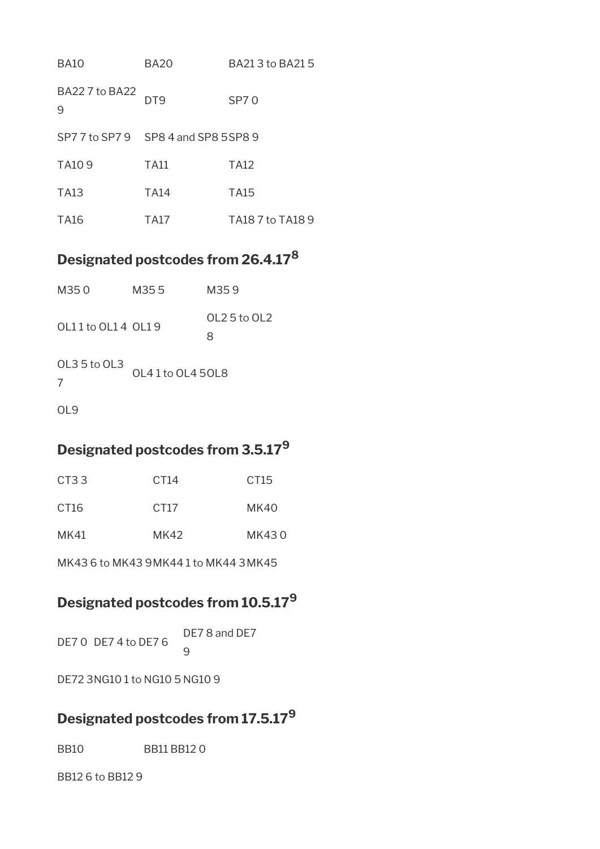| <b>BA10</b>                          | <b>BA20</b> | BA21 3 to BA21 5 |
|--------------------------------------|-------------|------------------|
| <b>BA227 to BA22</b><br>9            | DT9         | SP70             |
| SP7 7 to SP7 9 SP8 4 and SP8 5 SP8 9 |             |                  |
| TA <sub>10</sub> 9                   | <b>TA11</b> | TA12             |
| TA13                                 | <b>TA14</b> | TA15             |
| TA16                                 | TA17        | TA18 7 to TA18 9 |

## **Designated postcodes from 26.4.17<sup>8</sup>**

| M350              | M35.5            | M359              |
|-------------------|------------------|-------------------|
| 0111 to 0114 0119 |                  | OL2 5 to OL2<br>8 |
| OL3 5 to OL3<br>7 | OL41 to OL4 50L8 |                   |
| L9                |                  |                   |

## **Designated postcodes from 3.5.17<sup>9</sup>**

| CT <sub>3</sub> 3 | CT <sub>14</sub> | CT <sub>15</sub> |  |
|-------------------|------------------|------------------|--|
| CT <sub>16</sub>  | CT17             | MK40             |  |
| MK41              | MK42             | MK430            |  |

MK43 6 to MK43 9MK44 1 to MK44 3MK45

# **Designated postcodes from 10.5.17<sup>9</sup>**

DE7 0 DE7 4 to DE7 6 DE7 8 and DE7  $\mathsf{q}$ 

DE72 3NG10 1 to NG10 5 NG10 9

## **Designated postcodes from 17.5.17<sup>9</sup>**

BB10 BB11 BB12 0

BB12 6 to BB12 9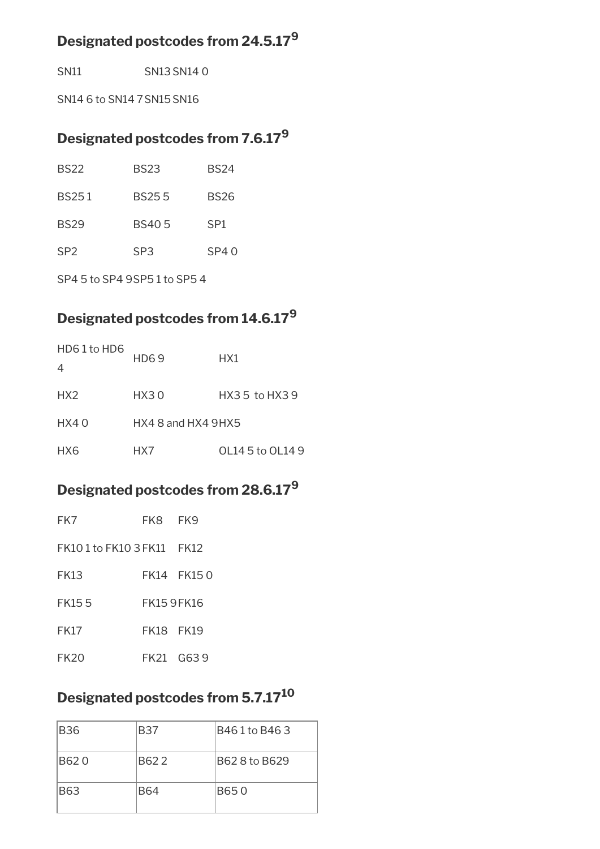## **Designated postcodes from 24.5.17<sup>9</sup>**

SN11 SN13 SN14 0

SN14 6 to SN14 7SN15SN16

## **Designated postcodes from 7.6.17<sup>9</sup>**

| <b>BS22</b>     | <b>BS23</b>     | <b>BS24</b>     |
|-----------------|-----------------|-----------------|
| <b>BS251</b>    | <b>BS255</b>    | <b>BS26</b>     |
| <b>BS29</b>     | <b>BS405</b>    | SP <sub>1</sub> |
| SP <sub>2</sub> | SP <sub>3</sub> | SP40            |

SP4 5 to SP4 9SP5 1 to SP5 4

# **Designated postcodes from 14.6.17<sup>9</sup>**

| HD61 to HD6<br>$\overline{4}$ | <b>HD69</b>            | HX1              |
|-------------------------------|------------------------|------------------|
| HX2                           | HX30                   | HX3 5 to HX3 9   |
| HX40                          | $HX4$ 8 and $HX4$ 9HX5 |                  |
| HX6                           | HX7                    | OL14 5 to OL14 9 |

# **Designated postcodes from 28.6.17<sup>9</sup>**

| FK7                        | FK8 FK9    |  |
|----------------------------|------------|--|
| FK10 1 to FK10 3 FK11 FK12 |            |  |
| <b>FK13</b>                | FK14 FK150 |  |
| <b>FK155</b>               | FK159FK16  |  |
| <b>FK17</b>                | FK18 FK19  |  |
| <b>FK20</b>                | FK21 G639  |  |

## **Designated postcodes from 5.7.17<sup>10</sup>**

| <b>B36</b> | <b>B37</b> | B461 to B463  |
|------------|------------|---------------|
| B620       | B622       | B62 8 to B629 |
| <b>B63</b> | <b>B64</b> | B650          |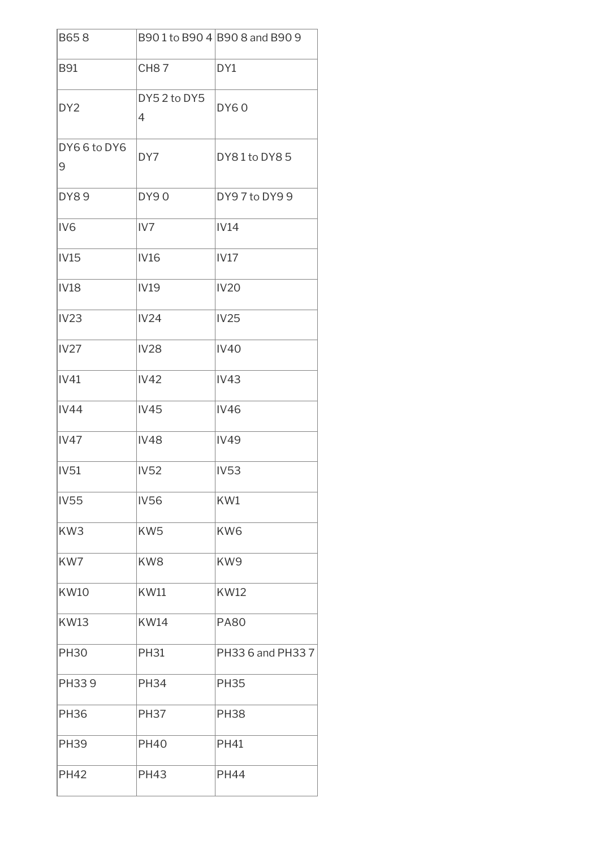| B658             |                  | B90 1 to B90 4 B90 8 and B90 9 |
|------------------|------------------|--------------------------------|
| <b>B91</b>       | <b>CH87</b>      | DY1                            |
| DY <sub>2</sub>  | DY52 to DY5<br>4 | <b>DY60</b>                    |
| DY66 to DY6<br>9 | DY7              | DY81 to DY85                   |
| <b>DY89</b>      | <b>DY90</b>      | DY97 to DY99                   |
| IV <sub>6</sub>  | IV7              | IV14                           |
| IV15             | <b>IV16</b>      | IV17                           |
| <b>IV18</b>      | <b>IV19</b>      | <b>IV20</b>                    |
| <b>IV23</b>      | <b>IV24</b>      | <b>IV25</b>                    |
| <b>IV27</b>      | <b>IV28</b>      | <b>IV40</b>                    |
| IV41             | <b>IV42</b>      | <b>IV43</b>                    |
| <b>IV44</b>      | <b>IV45</b>      | <b>IV46</b>                    |
| IV47             | <b>IV48</b>      | <b>IV49</b>                    |
| <b>IV51</b>      | <b>IV52</b>      | <b>IV53</b>                    |
| <b>IV55</b>      | <b>IV56</b>      | KW1                            |
| KW3              | KW <sub>5</sub>  | KW <sub>6</sub>                |
| KW7              | KW8              | KW9                            |
| <b>KW10</b>      | <b>KW11</b>      | <b>KW12</b>                    |
| <b>KW13</b>      | <b>KW14</b>      | <b>PA80</b>                    |
| <b>PH30</b>      | <b>PH31</b>      | PH33 6 and PH33 7              |
| PH339            | <b>PH34</b>      | <b>PH35</b>                    |
| <b>PH36</b>      | <b>PH37</b>      | <b>PH38</b>                    |
| <b>PH39</b>      | <b>PH40</b>      | <b>PH41</b>                    |
| <b>PH42</b>      | <b>PH43</b>      | <b>PH44</b>                    |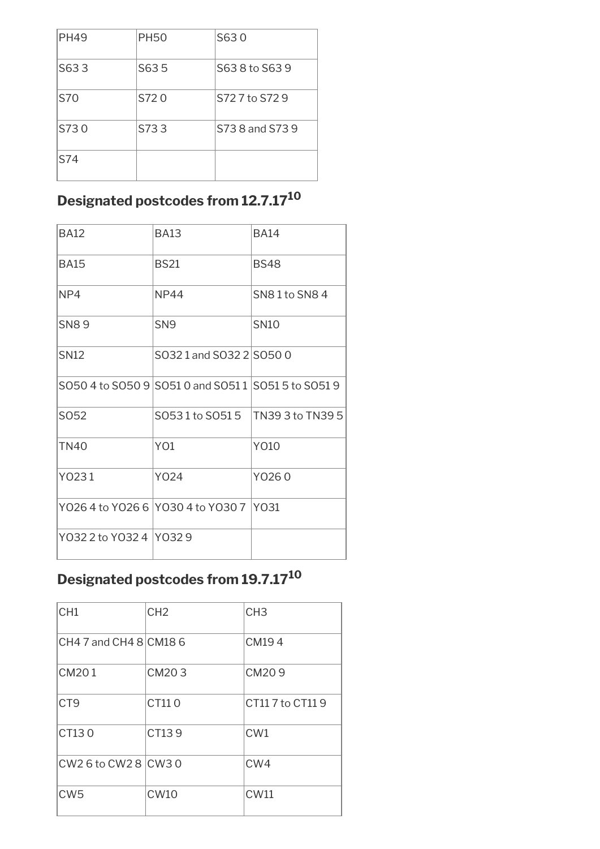| <b>PH49</b> | <b>PH50</b> | S630            |
|-------------|-------------|-----------------|
| S633        | S635        | S63 8 to S63 9  |
| S70         | S720        | S727 to S729    |
| S730        | S733        | S73 8 and S73 9 |
| S74         |             |                 |

# **Designated postcodes from 12.7.17<sup>10</sup>**

| <b>BA12</b>              | <b>BA13</b>                                         | <b>BA14</b>      |
|--------------------------|-----------------------------------------------------|------------------|
| <b>BA15</b>              | <b>BS21</b>                                         | <b>BS48</b>      |
| NP4                      | <b>NP44</b>                                         | SN81 to SN84     |
| <b>SN89</b>              | SN <sub>9</sub>                                     | <b>SN10</b>      |
| SN <sub>12</sub>         | S0321 and S032 2 S050 0                             |                  |
|                          | S050 4 to S050 9 S051 0 and S051 1 S051 5 to S051 9 |                  |
| SO52                     | S0531 to S0515                                      | TN39 3 to TN39 5 |
| TN40                     | Y <sub>O</sub> 1                                    | Y010             |
| Y0231                    | Y024                                                | Y0260            |
|                          | Y026 4 to Y026 6 Y030 4 to Y030 7 Y031              |                  |
| Y032 2 to Y032 4 1Y032 9 |                                                     |                  |

# **Designated postcodes from 19.7.17<sup>10</sup>**

| CH <sub>1</sub>        | CH <sub>2</sub> | CH <sub>3</sub> |
|------------------------|-----------------|-----------------|
| CH4 7 and CH4 8 CM18 6 |                 | CM194           |
| CM201                  | CM203           | CM209           |
| CT <sub>9</sub>        | CT110           | CT117 to CT119  |
| CT130                  | CT139           | CW <sub>1</sub> |
| CW2 6 to CW2 8 CW3 0   |                 | CW4             |
| CW <sub>5</sub>        | CW10            | <b>CW11</b>     |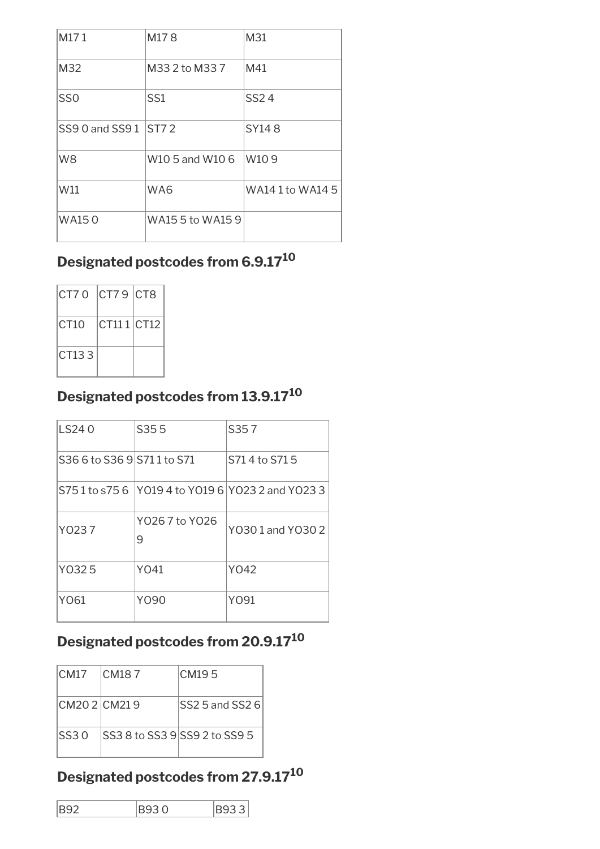| M171            | M178             | M31              |
|-----------------|------------------|------------------|
| M32             | M33 2 to M33 7   | M41              |
| SS <sub>0</sub> | SS <sub>1</sub>  | SS24             |
| SS9 0 and SS9 1 | IST72            | SY148            |
| W <sub>8</sub>  | W10 5 and W10 6  | W <sub>109</sub> |
| W11             | WA6              | WA14 1 to WA14 5 |
| <b>WA150</b>    | WA15 5 to WA15 9 |                  |

# **Designated postcodes from 6.9.17<sup>10</sup>**

| CT70 CT79 CT8 |            |  |
|---------------|------------|--|
| ICT10         | CT111 CT12 |  |
| CT133         |            |  |

# **Designated postcodes from 13.9.17<sup>10</sup>**

| LS240                       | S355                | S357                                            |
|-----------------------------|---------------------|-------------------------------------------------|
| S36 6 to S36 9 S71 1 to S71 |                     | S71 4 to S71 5                                  |
|                             |                     | S751 to s756 Y019 4 to Y019 6 Y023 2 and Y023 3 |
| Y0237                       | Y026 7 to Y026<br>9 | Y0301 and Y0302                                 |
| Y0325                       | Y041                | Y042                                            |
| Y061                        | Y090                | YO91                                            |

# **Designated postcodes from 20.9.17<sup>10</sup>**

| <b>CM17</b>     | ICM187                         | CM195                 |
|-----------------|--------------------------------|-----------------------|
| ICM20 2 ICM21 9 |                                | $ SS25$ and SS2 6 $ $ |
| ISS30           | ISS3 8 to SS3 9ISS9 2 to SS9 5 |                       |

# **Designated postcodes from 27.9.17<sup>10</sup>**

| <b>B92</b> | <b>B930</b> | <b>B933</b> |  |
|------------|-------------|-------------|--|
|            |             |             |  |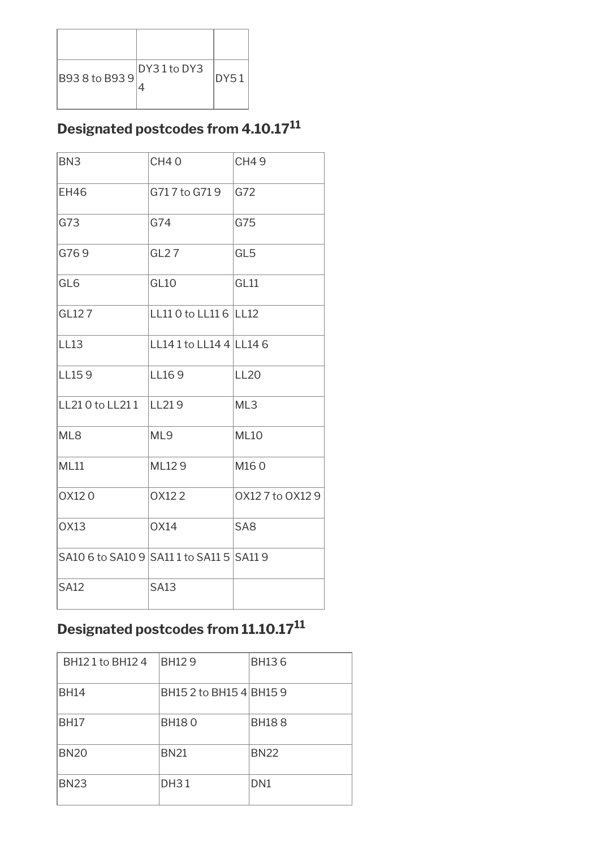| B93 8 to B93 9 | DY31 to DY3 | IDY51 |
|----------------|-------------|-------|

# **Designated postcodes from 4.10.17<sup>11</sup>**

| BN <sub>3</sub>                          | <b>CH40</b>             | <b>CH49</b>      |
|------------------------------------------|-------------------------|------------------|
| <b>EH46</b>                              | G717 to G719            | G72              |
| G73                                      | G74                     | G75              |
| G769                                     | GL27                    | GL <sub>5</sub>  |
| GL <sub>6</sub>                          | GL <sub>10</sub>        | GL11             |
| GL127                                    | LL11 0 to LL11 6 LL12   |                  |
| <b>LL13</b>                              | LL14 1 to LL14 4 LL14 6 |                  |
| LL159                                    | LL169                   | <b>LL20</b>      |
| LL210 to LL211                           | LL219                   | ML3              |
| ML8                                      | ML9                     | <b>ML10</b>      |
| <b>ML11</b>                              | ML129                   | M160             |
| 0X120                                    | OX122                   | 0X12 7 to 0X12 9 |
| <b>OX13</b>                              | <b>OX14</b>             | SA <sub>8</sub>  |
| SA10 6 to SA10 9 SA11 1 to SA11 5 SA11 9 |                         |                  |
| <b>SA12</b>                              | <b>SA13</b>             |                  |

# **Designated postcodes from 11.10.17<sup>11</sup>**

| BH12 1 to BH12 4 | <b>BH129</b>            | <b>BH136</b>    |
|------------------|-------------------------|-----------------|
| <b>BH14</b>      | BH15 2 to BH15 4 BH15 9 |                 |
| <b>BH17</b>      | <b>BH180</b>            | <b>BH188</b>    |
| <b>BN20</b>      | <b>BN21</b>             | <b>BN22</b>     |
| <b>BN23</b>      | <b>DH31</b>             | DN <sub>1</sub> |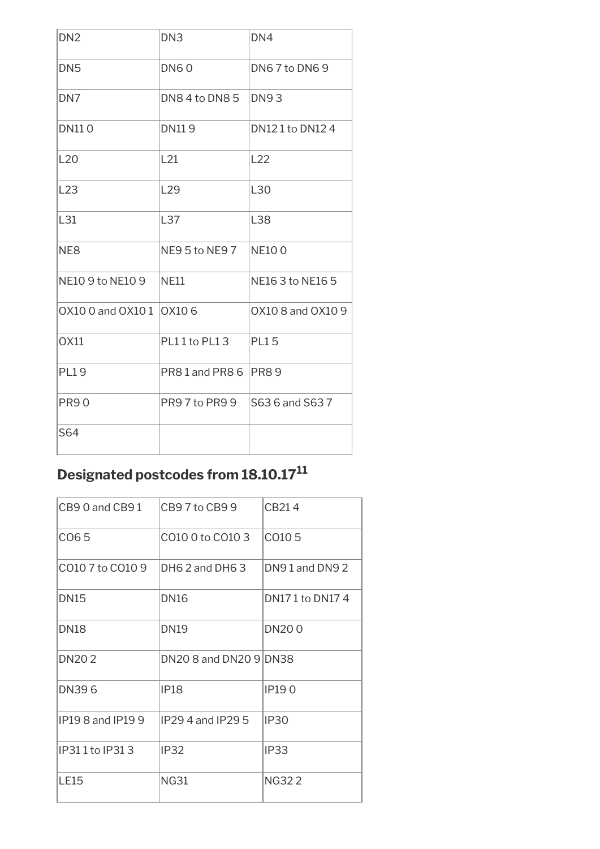| DN <sub>2</sub>          | DN <sub>3</sub> | DN <sub>4</sub>   |
|--------------------------|-----------------|-------------------|
| DN <sub>5</sub>          | <b>DN60</b>     | DN67 to DN69      |
| DN <sub>7</sub>          | DN84 to DN85    | <b>DN93</b>       |
| <b>DN110</b>             | <b>DN119</b>    | DN12 1 to DN12 4  |
| L20                      | L21             | L22               |
| L23                      | L <sub>29</sub> | L30               |
| L31                      | L37             | L38               |
| NE <sub>8</sub>          | NE95 to NE97    | <b>NE100</b>      |
| NE10 9 to NE10 9         | <b>NE11</b>     | NE16 3 to NE16 5  |
| 0X10 0 and 0X10 1 0X10 6 |                 | 0X10 8 and 0X10 9 |
| OX11                     | PL11 to PL13    | <b>PL15</b>       |
| <b>PL19</b>              | PR81 and PR86   | PR89              |
| <b>PR90</b>              | PR9 7 to PR9 9  | S63 6 and S63 7   |
| S64                      |                 |                   |

# **Designated postcodes from 18.10.17<sup>11</sup>**

| $CR90$ and $CR91$   | CB97toCB99             | CB214              |
|---------------------|------------------------|--------------------|
| CO65                | CO10 0 to CO10 3       | CO <sub>10</sub> 5 |
| CO10 7 to CO10 9    | DH6 2 and DH6 3        | DN91 and DN92      |
| <b>DN15</b>         | <b>DN16</b>            | DN17 1 to DN17 4   |
| <b>DN18</b>         | <b>DN19</b>            | <b>DN200</b>       |
| <b>DN202</b>        | DN20 8 and DN20 9 DN38 |                    |
| DN396               | IP <sub>18</sub>       | <b>IP190</b>       |
| $IP198$ and $IP199$ | $IP294$ and $IP295$    | IP <sub>30</sub>   |
| IP311 to IP313      | <b>IP32</b>            | IP <sub>33</sub>   |
| <b>LE15</b>         | NG31                   | NG322              |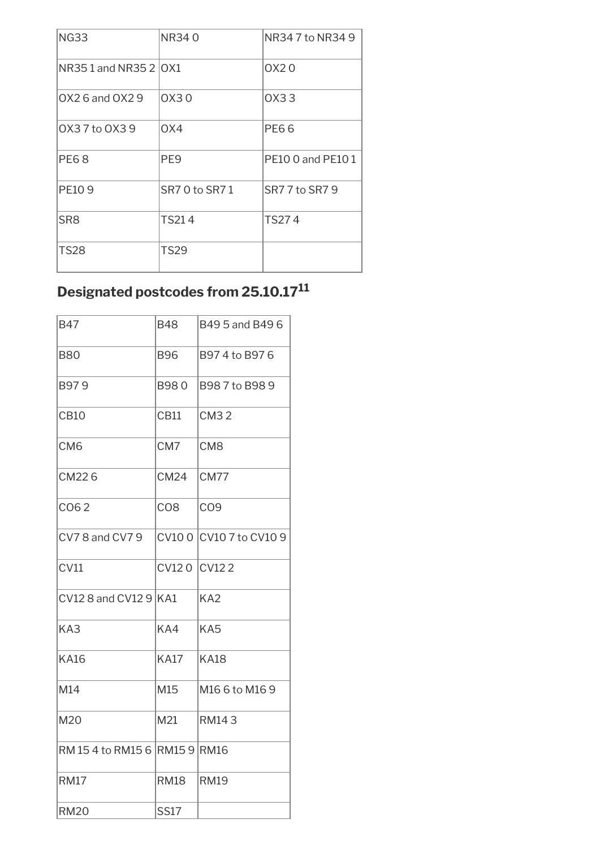| <b>NG33</b>            | NR340          | NR347 to NR349    |
|------------------------|----------------|-------------------|
| NR351 and NR352   0 X1 |                | OX20              |
| $OX26$ and $OX29$      | OX30           | 0X33              |
| 0X37 to 0X39           | OX4            | PE66              |
| <b>PE68</b>            | PE9            | PE10 0 and PE10 1 |
| <b>PE109</b>           | SR7 0 to SR7 1 | SR7 7 to SR7 9    |
| SR8                    | TS214          | TS274             |
| <b>TS28</b>            | <b>TS29</b>    |                   |

# **Designated postcodes from 25.10.17<sup>11</sup>**

| <b>B47</b>                    | <b>B48</b>      | B49 5 and B49 6  |
|-------------------------------|-----------------|------------------|
| <b>B80</b>                    | <b>B96</b>      | B974 to B976     |
| B979                          | B980            | B987 to B989     |
| <b>CB10</b>                   | CB11            | <b>CM32</b>      |
| CM <sub>6</sub>               | CM7             | CM <sub>8</sub>  |
| CM226                         | <b>CM24</b>     | CM77             |
| CO62                          | CO <sub>8</sub> | CO <sub>9</sub>  |
| CV78 and CV79                 | CV100           | CV10 7 to CV10 9 |
| CV11                          | CV120           | CV122            |
| CV12 8 and CV12 $9$ KA1       |                 | KA <sub>2</sub>  |
| KA3                           | KA4             | KA <sub>5</sub>  |
| <b>KA16</b>                   | <b>KA17</b>     | <b>KA18</b>      |
| M14                           | M15             | M16 6 to M16 9   |
| M20                           | M21             | RM143            |
| RM 15 4 to RM15 6 RM15 9 RM16 |                 |                  |
| <b>RM17</b>                   | <b>RM18</b>     | <b>RM19</b>      |
| <b>RM20</b>                   | <b>SS17</b>     |                  |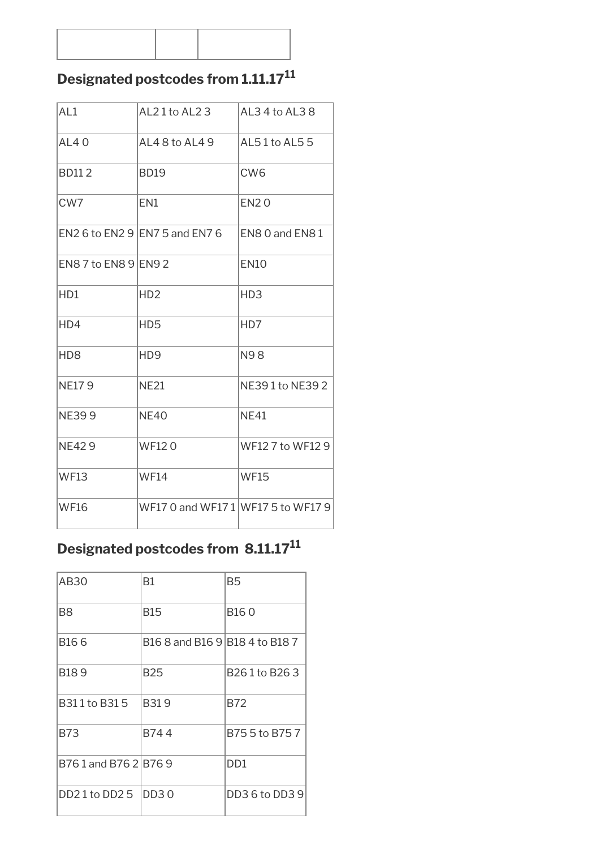#### **Designated postcodes from 1.11.17<sup>11</sup>**

| AL <sub>1</sub>      | $AL21$ to $AL23$                   | AL3 4 to AL3 8   |
|----------------------|------------------------------------|------------------|
| <b>AL40</b>          | AL48 to AL49                       | AL51 to AL55     |
| <b>BD112</b>         | <b>BD19</b>                        | CW <sub>6</sub>  |
| CW <sub>7</sub>      | EN1                                | <b>EN20</b>      |
|                      | EN2 6 to EN2 9 EN7 5 and EN7 6     | EN8 0 and EN8 1  |
| EN8 7 to EN8 9 EN9 2 |                                    | <b>EN10</b>      |
| H <sub>D1</sub>      | HD <sub>2</sub>                    | HD <sub>3</sub>  |
| H <sub>D</sub> 4     | HD <sub>5</sub>                    | HD7              |
| HD <sub>8</sub>      | H <sub>D</sub> 9                   | <b>N98</b>       |
| <b>NE179</b>         | <b>NE21</b>                        | NE391 to NE392   |
| <b>NE399</b>         | <b>NE40</b>                        | <b>NE41</b>      |
| <b>NE429</b>         | <b>WF120</b>                       | WF12 7 to WF12 9 |
| <b>WF13</b>          | <b>WF14</b>                        | <b>WF15</b>      |
| <b>WF16</b>          | WF17 0 and WF17 1 WF17 5 to WF17 9 |                  |

# **Designated postcodes from 8.11.17<sup>11</sup>**

| AB30               | Β1                             | B5             |
|--------------------|--------------------------------|----------------|
| B8                 | B15                            | B16 0          |
| B <sub>16</sub> 6  | B16 8 and B16 9 B18 4 to B18 7 |                |
| B189               | B25                            | B261to B263    |
| B311 to B315       | B319                           | B72            |
| B73                | B744                           | B75 5 to B75 7 |
| B761 and B762 B769 |                                | DD1            |
| DD21 to DD25       | DD <sub>30</sub>               | DD3 6 to DD3 9 |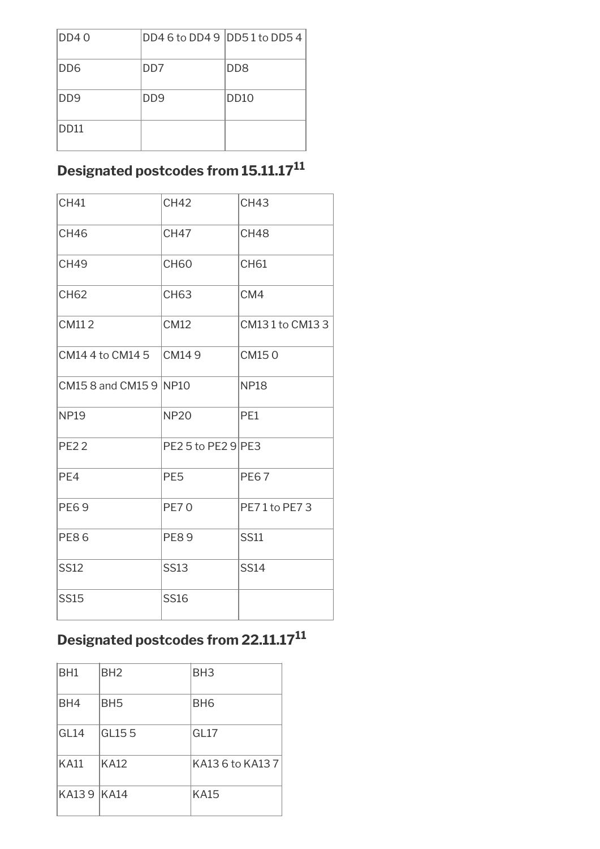| DD40              | DD4 6 to DD4 9   DD5 1 to DD5 4 |                             |
|-------------------|---------------------------------|-----------------------------|
| DD6               | DD <sub>7</sub>                 | D <sub>D</sub> <sub>8</sub> |
| DD9               | D <sub>D</sub> <sub>9</sub>     | DD <sub>10</sub>            |
| D <sub>D</sub> 11 |                                 |                             |

#### **Designated postcodes from 15.11.17<sup>11</sup>**

| <b>CH41</b>            | <b>CH42</b>        | <b>CH43</b>      |
|------------------------|--------------------|------------------|
| <b>CH46</b>            | <b>CH47</b>        | CH <sub>48</sub> |
| <b>CH49</b>            | <b>CH60</b>        | <b>CH61</b>      |
| <b>CH62</b>            | <b>CH63</b>        | CM4              |
| CM112                  | <b>CM12</b>        | CM131 to CM133   |
| CM14 4 to CM14 5       | CM149              | CM150            |
| CM15 8 and CM15 9 NP10 |                    | <b>NP18</b>      |
| <b>NP19</b>            | <b>NP20</b>        | PE1              |
| <b>PE22</b>            | PE2 5 to PE2 9 PE3 |                  |
| PE4                    | PE <sub>5</sub>    | <b>PE67</b>      |
| <b>PE69</b>            | <b>PE70</b>        | PE71 to PE73     |
| <b>PE86</b>            | <b>PE89</b>        | <b>SS11</b>      |
| <b>SS12</b>            | <b>SS13</b>        | <b>SS14</b>      |
| <b>SS15</b>            | <b>SS16</b>        |                  |

### **Designated postcodes from 22.11.17<sup>11</sup>**

| BH1              | BH <sub>2</sub> | BH <sub>3</sub>  |
|------------------|-----------------|------------------|
| BH4              | BH <sub>5</sub> | BH <sub>6</sub>  |
| GL <sub>14</sub> | GL155           | GL17             |
| <b>KA11</b>      | KA12            | KA13 6 to KA13 7 |
| KA139 KA14       |                 | KA15             |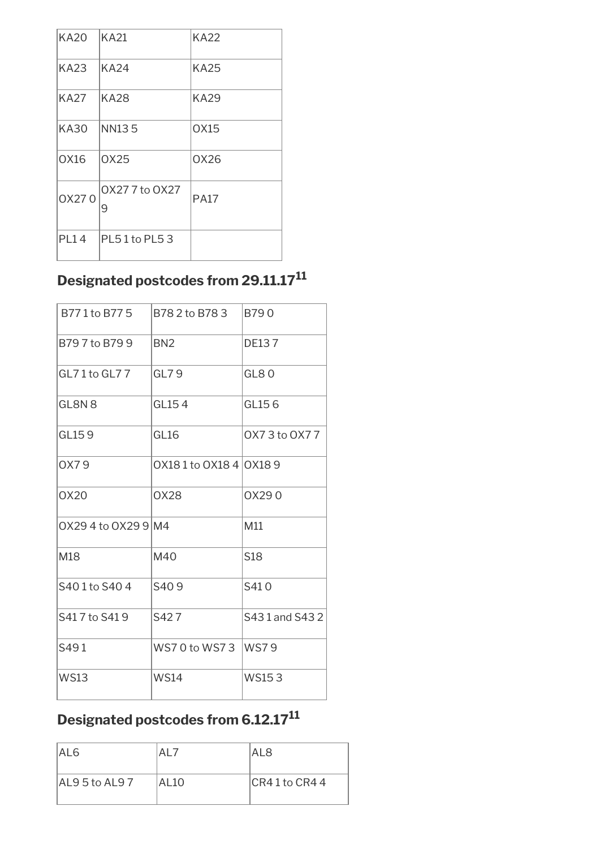| <b>KA20</b> | KA21                | <b>KA22</b> |
|-------------|---------------------|-------------|
| KA23        | KA24                | KA25        |
| KA27        | <b>KA28</b>         | <b>KA29</b> |
| KA30        | <b>NN135</b>        | OX15        |
| <b>OX16</b> | 0X25                | OX26        |
| 0X270       | OX27 7 to OX27<br>9 | <b>PA17</b> |
| <b>PL14</b> | $PL51$ to PL5 3     |             |

## **Designated postcodes from 29.11.17<sup>11</sup>**

| B771 to B775        | B782to B783             | B790            |
|---------------------|-------------------------|-----------------|
| B797to B799         | BN <sub>2</sub>         | <b>DE137</b>    |
| GL71to GL77         | GL79                    | GL80            |
| GL8N <sub>8</sub>   | GL154                   | GL156           |
| GL159               | GL <sub>16</sub>        | 0X73 to 0X77    |
| 0X79                | 0X18 1 to 0X18 4 0X18 9 |                 |
| 0X20                | <b>OX28</b>             | OX290           |
| 0X29 4 to 0X29 9 M4 |                         | M11             |
| M18                 | M40                     | S <sub>18</sub> |
| S401 to S404        | S409                    | S410            |
| S417 to S419        | S427                    | S431 and S432   |
| S491                | WS70 to WS73            | WS79            |
| <b>WS13</b>         | <b>WS14</b>             | <b>WS153</b>    |

## **Designated postcodes from 6.12.17<sup>11</sup>**

| IAL6            | AL7   | AL 8             |
|-----------------|-------|------------------|
| IAL9 5 to AL9 7 | AL 10 | $CR41$ to $CR44$ |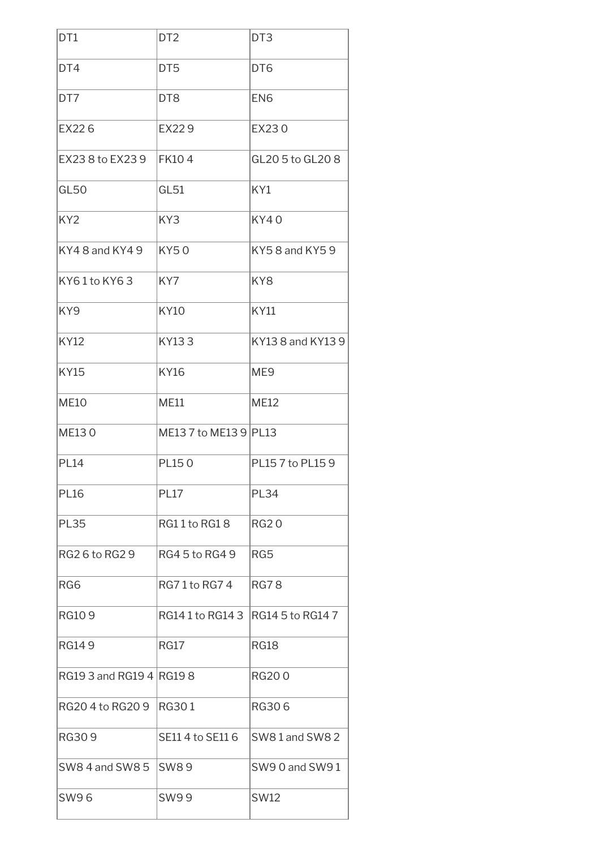| DT1                      | DT <sub>2</sub>       | DT <sub>3</sub>   |
|--------------------------|-----------------------|-------------------|
| DT4                      | DT <sub>5</sub>       | DT6               |
| DT7                      | DT <sub>8</sub>       | EN <sub>6</sub>   |
| EX226                    | EX229                 | EX230             |
| EX23 8 to EX23 9         | <b>FK104</b>          | GL20 5 to GL20 8  |
| GL50                     | GL51                  | KY1               |
| KY <sub>2</sub>          | KY3                   | <b>KY40</b>       |
| KY4 8 and KY4 9          | KY50                  | KY58 and KY59     |
| KY61to KY63              | KY7                   | KY <sub>8</sub>   |
| KY9                      | <b>KY10</b>           | <b>KY11</b>       |
| <b>KY12</b>              | KY133                 | KY13 8 and KY13 9 |
| <b>KY15</b>              | <b>KY16</b>           | ME <sub>9</sub>   |
| <b>ME10</b>              | <b>ME11</b>           | <b>ME12</b>       |
| <b>ME130</b>             | ME13 7 to ME13 9 PL13 |                   |
| <b>PL14</b>              | <b>PL150</b>          | PL15 7 to PL15 9  |
| <b>PL16</b>              | <b>PL17</b>           | <b>PL34</b>       |
| <b>PL35</b>              | RG11 to RG18          | <b>RG20</b>       |
| RG2 6 to RG2 9           | IRG4 5 to RG4 9       | RG5               |
| RG6                      | RG71to RG74           | <b>RG78</b>       |
| <b>RG109</b>             | RG141 to RG143        | RG14 5 to RG14 7  |
| <b>RG149</b>             | <b>RG17</b>           | <b>RG18</b>       |
| RG19 3 and RG19 4 RG19 8 |                       | <b>RG200</b>      |
| RG20 4 to RG20 9         | <b>RG301</b>          | <b>RG306</b>      |
| <b>RG309</b>             | SE11 4 to SE11 6      | SW81 and SW82     |
| SW8 4 and SW8 5          | SW89                  | SW90 and SW91     |
| <b>SW96</b>              | <b>SW99</b>           | <b>SW12</b>       |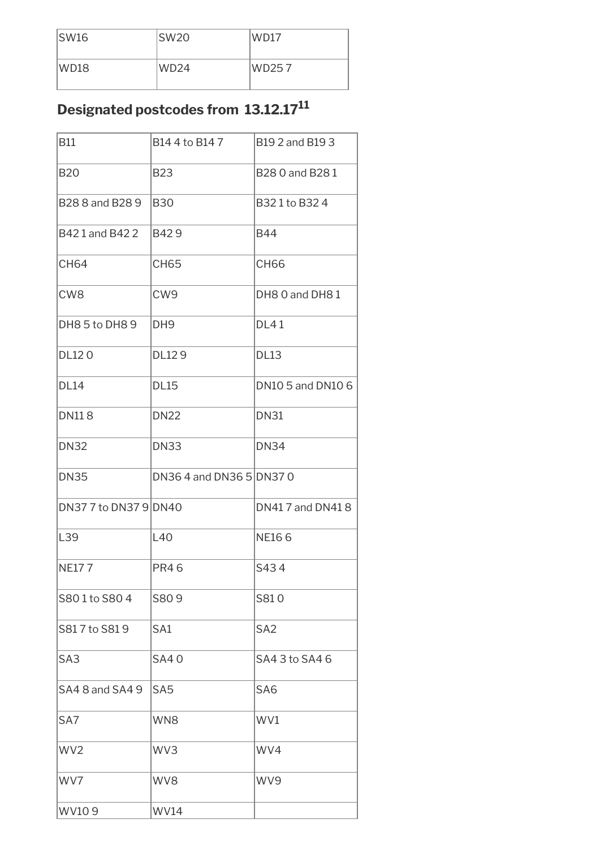| SW16 | SW20             | WD17  |
|------|------------------|-------|
| WD18 | WD <sub>24</sub> | WD257 |

### **Designated postcodes from 13.12.17<sup>11</sup>**

| <b>B11</b>            | B14 4 to B14 7           | <b>B19 2 and B19 3</b> |
|-----------------------|--------------------------|------------------------|
| <b>B20</b>            | <b>B23</b>               | B28 0 and B28 1        |
| B28 8 and B28 9       | <b>B30</b>               | B321 to B324           |
| B421 and B422         | B429                     | B44                    |
| <b>CH64</b>           | <b>CH65</b>              | <b>CH66</b>            |
| CW <sub>8</sub>       | CW <sub>9</sub>          | DH8 0 and DH8 1        |
| DH85 to DH89          | DH <sub>9</sub>          | <b>DL41</b>            |
| <b>DL120</b>          | DL129                    | <b>DL13</b>            |
| <b>DL14</b>           | <b>DL15</b>              | DN10 5 and DN10 6      |
| <b>DN118</b>          | <b>DN22</b>              | <b>DN31</b>            |
| <b>DN32</b>           | <b>DN33</b>              | <b>DN34</b>            |
| <b>DN35</b>           | DN36 4 and DN36 5 DN37 0 |                        |
| DN37 7 to DN37 9 DN40 |                          | DN417 and DN418        |
| L39                   | L40                      | <b>NE166</b>           |
| <b>NE177</b>          | <b>PR46</b>              | S434                   |
| S801 to S804          | S809                     | S810                   |
| S817 to S819          | SA1                      | SA <sub>2</sub>        |
| SA <sub>3</sub>       | <b>SA40</b>              | SA4 3 to SA4 6         |
| SA48 and SA49         | SA <sub>5</sub>          | SA <sub>6</sub>        |
| SA7                   | WN <sub>8</sub>          | WV1                    |
| WV <sub>2</sub>       | WV3                      | WV4                    |
| WV7                   | WV8                      | WV9                    |
| WV109                 | <b>WV14</b>              |                        |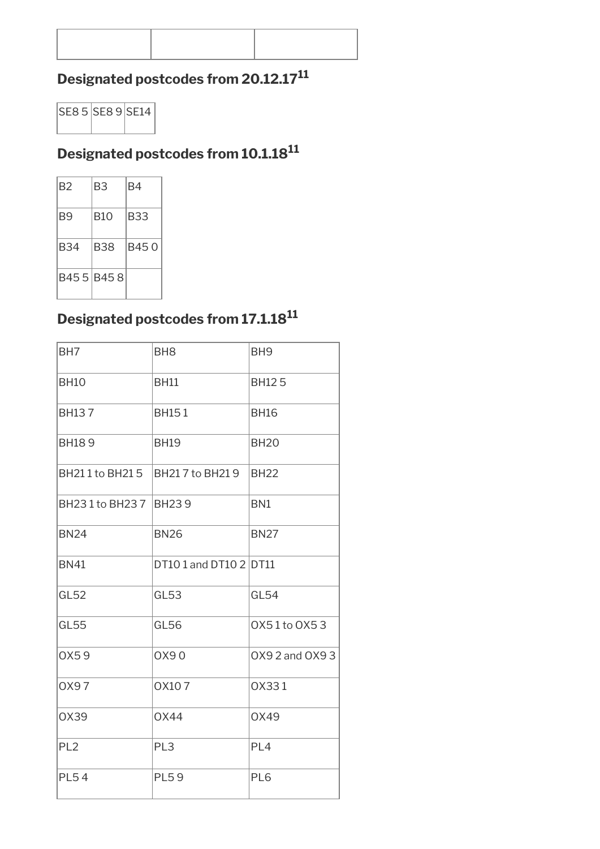#### **Designated postcodes from 20.12.17<sup>11</sup>**



#### **Designated postcodes from 10.1.18<sup>11</sup>**

| B2        | B3  | B4    |
|-----------|-----|-------|
| B9        | B10 | B33   |
| B34       | B38 | B45 0 |
| B455 B458 |     |       |

#### **Designated postcodes from 17.1.18<sup>11</sup>**

| BH <sub>7</sub> | BH <sub>8</sub>        | BH <sub>9</sub> |
|-----------------|------------------------|-----------------|
| <b>BH10</b>     | <b>BH11</b>            | <b>BH125</b>    |
| <b>BH137</b>    | <b>BH151</b>           | <b>BH16</b>     |
| <b>BH189</b>    | <b>BH19</b>            | <b>BH20</b>     |
| BH211 to BH215  | BH217 to BH219         | <b>BH22</b>     |
| BH231 to BH237  | <b>BH239</b>           | BN <sub>1</sub> |
| <b>BN24</b>     | <b>BN26</b>            | <b>BN27</b>     |
| <b>BN41</b>     | DT10 1 and DT10 2 DT11 |                 |
| GL52            | GL53                   | GL54            |
| <b>GL55</b>     | GL56                   | 0X51 to 0X53    |
| 0X59            | 0X90                   | 0X9 2 and 0X9 3 |
| 0X97            | OX107                  | 0X331           |
| OX39            | <b>OX44</b>            | 0X49            |
| PL <sub>2</sub> | PL <sub>3</sub>        | PL <sub>4</sub> |
| <b>PL54</b>     | <b>PL59</b>            | PL6             |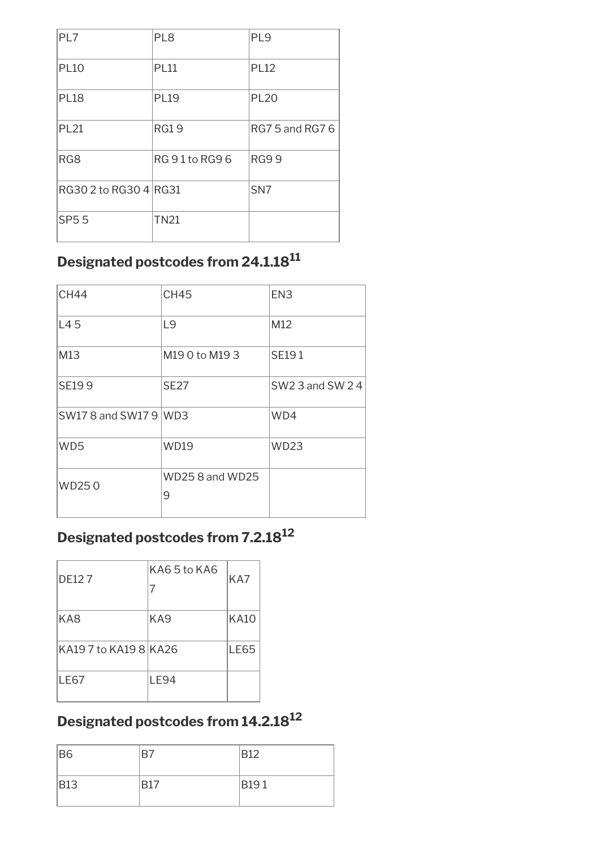| PL7                   | PL <sub>8</sub> | PL <sub>9</sub>        |
|-----------------------|-----------------|------------------------|
| <b>PL10</b>           | <b>PL11</b>     | <b>PL12</b>            |
| <b>PL18</b>           | <b>PL19</b>     | <b>PL20</b>            |
| <b>PL21</b>           | <b>RG19</b>     | <b>RG7 5 and RG7 6</b> |
| RG8                   | RG 91 to RG96   | <b>RG99</b>            |
| RG30 2 to RG30 4 RG31 |                 | SN <sub>7</sub>        |
| <b>SP55</b>           | <b>TN21</b>     |                        |

#### **Designated postcodes from 24.1.18<sup>11</sup>**

| <b>CH44</b>           | <b>CH45</b>                 | EN <sub>3</sub> |
|-----------------------|-----------------------------|-----------------|
| L45                   | L <sub>9</sub>              | M12             |
| M13                   | M190 to M193                | <b>SE191</b>    |
| <b>SE199</b>          | <b>SE27</b>                 | SW2 3 and SW 24 |
| SW17 8 and SW17 9 WD3 |                             | WD4             |
| WD <sub>5</sub>       | <b>WD19</b>                 | <b>WD23</b>     |
| WD250                 | <b>WD25 8 and WD25</b><br>9 |                 |

#### **Designated postcodes from 7.2.18<sup>12</sup>**

| <b>DE127</b>        | KA65 to KA6<br>$\prime$ | KA7         |
|---------------------|-------------------------|-------------|
| KA8                 | KA <sub>9</sub>         | <b>KA10</b> |
| KA197 to KA198 KA26 |                         | <b>LE65</b> |
| <b>LE67</b>         | LE94                    |             |

#### **Designated postcodes from 14.2.18<sup>12</sup>**

| B <sub>6</sub> | B7         | <b>B12</b>  |
|----------------|------------|-------------|
| <b>B13</b>     | <b>B17</b> | <b>B191</b> |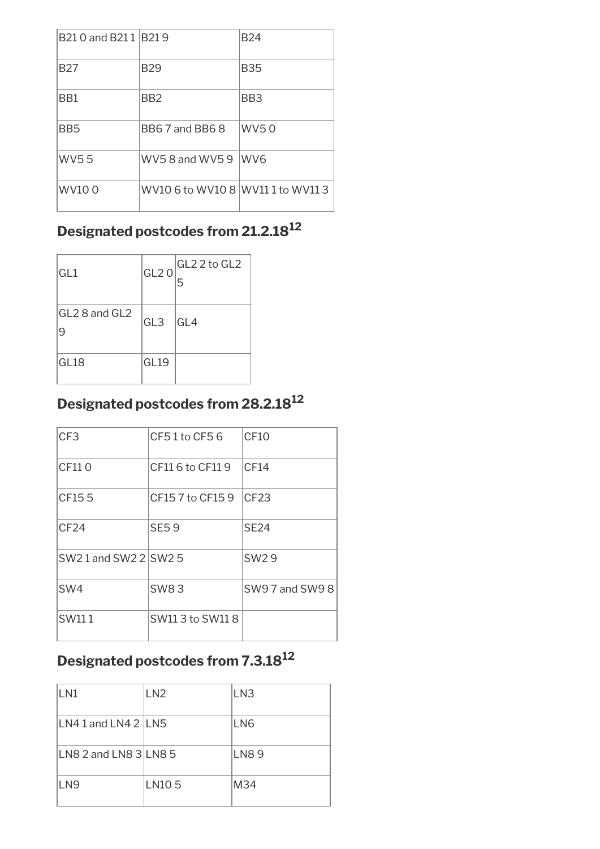| B <sub>21</sub> 0 and B <sub>21</sub> 1 B <sub>21</sub> 9 |                                   | <b>B24</b>      |
|-----------------------------------------------------------|-----------------------------------|-----------------|
| <b>B27</b>                                                | <b>B29</b>                        | <b>B35</b>      |
| BB1                                                       | BB2                               | BB <sub>3</sub> |
| BB <sub>5</sub>                                           | BB6 7 and BB6 8                   | IWV5 0          |
| <b>WV55</b>                                               | WV5 8 and WV5 9 WV6               |                 |
| WV10 0                                                    | WV10 6 to WV10 8 WV11 1 to WV11 3 |                 |

## **Designated postcodes from 21.2.18<sup>12</sup>**

| GL1                | GL2O | GL2 2 to GL2<br>5 |
|--------------------|------|-------------------|
| GL2 8 and GL2<br>9 | GL3  | GL4               |
| GL18               | GL19 |                   |

#### **Designated postcodes from 28.2.18<sup>12</sup>**

| CF <sub>3</sub><br>CF10<br>CF51to CF56<br>CF110<br>CF14<br>CF11 6 to CF11 9<br>CF155<br>CF23<br>CF15 7 to CF15 9<br>CF24<br><b>SE59</b><br><b>SE24</b><br>SW21 and SW2 2 SW2 5<br><b>SW29</b><br>SW4<br><b>SW83</b><br>SW111<br>SW11 3 to SW11 8 |  |                 |
|--------------------------------------------------------------------------------------------------------------------------------------------------------------------------------------------------------------------------------------------------|--|-----------------|
|                                                                                                                                                                                                                                                  |  |                 |
|                                                                                                                                                                                                                                                  |  |                 |
|                                                                                                                                                                                                                                                  |  |                 |
|                                                                                                                                                                                                                                                  |  |                 |
|                                                                                                                                                                                                                                                  |  |                 |
|                                                                                                                                                                                                                                                  |  | SW9 7 and SW9 8 |
|                                                                                                                                                                                                                                                  |  |                 |

# **Designated postcodes from 7.3.18<sup>12</sup>**

| LN1                            | LN <sub>2</sub> | LN <sub>3</sub> |
|--------------------------------|-----------------|-----------------|
| LN4 1 and LN4 2 $\parallel$ N5 |                 | LN6             |
| LN8 2 and LN8 3 LN8 5          |                 | <b>LN89</b>     |
| LN <sub>9</sub>                | LN105           | M34             |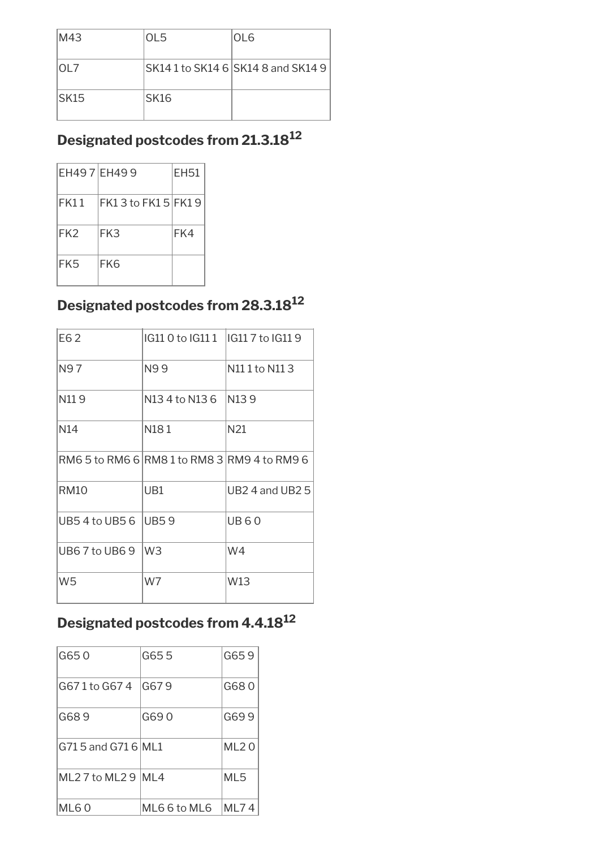| M43   | OL <sub>5</sub>  | OL <sub>6</sub>                     |
|-------|------------------|-------------------------------------|
| IOL 7 |                  | SK14 1 to SK14 6  SK14 8 and SK14 9 |
| ISK15 | SK <sub>16</sub> |                                     |

## **Designated postcodes from 21.3.18<sup>12</sup>**

| EH497 EH499     |                        | <b>EH51</b> |
|-----------------|------------------------|-------------|
| FK11            | $ FK13$ to $FK15 FK19$ |             |
| FK <sub>2</sub> | FK3                    | FK4         |
| FK5             | FK6                    |             |

#### **Designated postcodes from 28.3.18<sup>12</sup>**

| E62                  | IG11 0 to IG11 1   IG11 7 to IG11 9 |                                              |
|----------------------|-------------------------------------|----------------------------------------------|
| N97                  | N99                                 | N111 to N113                                 |
| N119                 | N13 4 to N13 6                      | N <sub>13</sub> 9                            |
| N14                  | N181                                | N21                                          |
|                      |                                     | RM6 5 to RM6 6 RM8 1 to RM8 3 RM9 4 to RM9 6 |
| <b>RM10</b>          | UB1                                 | $UB2$ 4 and UB2 5                            |
| UB5 4 to UB5 6 UB5 9 |                                     | <b>UB60</b>                                  |
| UB67 to UB69         | W <sub>3</sub>                      | W4                                           |
| W <sub>5</sub>       | W7                                  | W13                                          |

### **Designated postcodes from 4.4.18<sup>12</sup>**

| G650                   | G655         | G659        |
|------------------------|--------------|-------------|
| G671 to G674           | IG679        | G680        |
| G689                   | G69 0        | G699        |
| G71 5 and G71 6 ML1    |              | <b>ML20</b> |
| ML 2 7 to ML 2 9 IML 4 |              | ML5         |
| ML60                   | ML6 6 to ML6 | ML74        |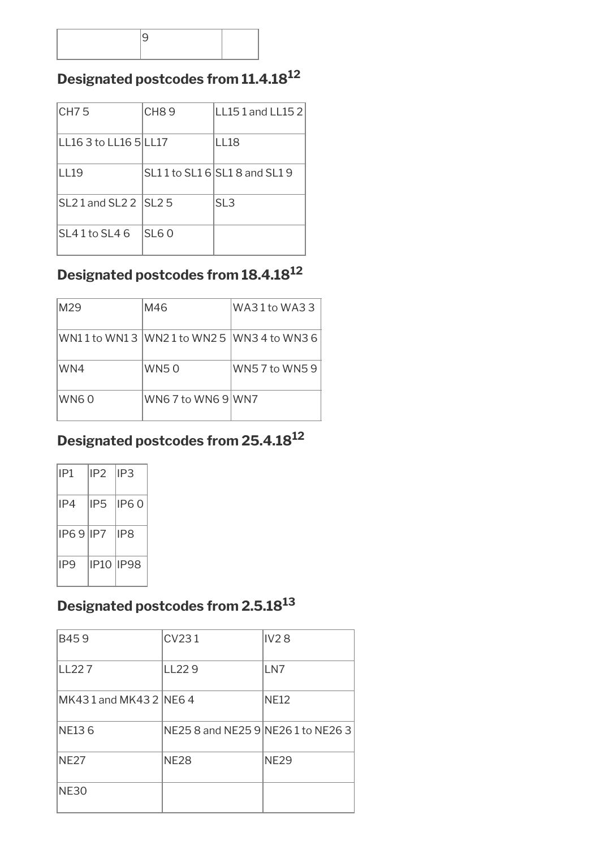#### **Designated postcodes from 11.4.18<sup>12</sup>**

| CH <sub>75</sub>         | CH89        | LL151 and LL152               |
|--------------------------|-------------|-------------------------------|
| LL16 3 to LL16 5 LL17    |             | LL18                          |
| L119                     |             | SL11 to SL1 6 SL1 8 and SL1 9 |
| $SL21$ and $SL22$ $SL25$ |             | SL3                           |
| SL41 to SL46             | <b>SL60</b> |                               |

#### **Designated postcodes from 18.4.18<sup>12</sup>**

| M <sub>29</sub> | M46                                    | IWA31 to WA33  |
|-----------------|----------------------------------------|----------------|
|                 | WN11 to WN13 WN21 to WN25 WN34 to WN36 |                |
| WN4             | WN5 0                                  | WN5 7 to WN5 9 |
| WN6 0           | WN6 7 to WN6 9 WN7                     |                |

#### **Designated postcodes from 25.4.18<sup>12</sup>**

| IP1      | IP2.            | IP3        |
|----------|-----------------|------------|
| IP4      | IP <sub>5</sub> | IP60       |
| IP69 IP7 |                 | IP8        |
| IP9      |                 | IP10 IIP98 |

#### **Designated postcodes from 2.5.18<sup>13</sup>**

| B459                  | CV231                              | <b>IV28</b> |
|-----------------------|------------------------------------|-------------|
| LL227                 | LL <sub>229</sub>                  | LN7         |
| MK431 and MK432 INE64 |                                    | <b>NE12</b> |
| NE <sub>136</sub>     | NE25 8 and NE25 9 NE26 1 to NE26 3 |             |
| <b>NE27</b>           | <b>NE28</b>                        | <b>NE29</b> |
| <b>NE30</b>           |                                    |             |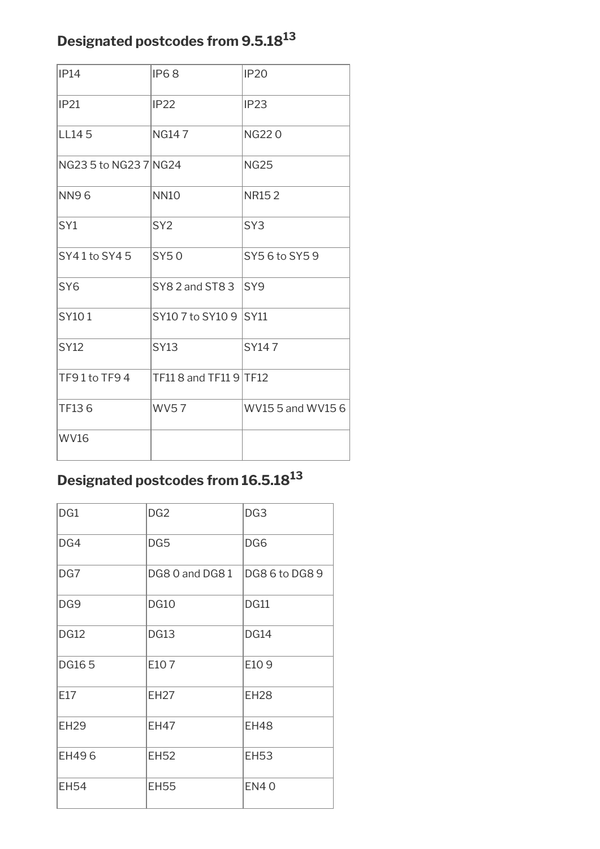### **Designated postcodes from 9.5.18<sup>13</sup>**

| IP14                  | <b>IP68</b>                | <b>IP20</b>       |
|-----------------------|----------------------------|-------------------|
| IP21                  | <b>IP22</b>                | IP23              |
| LL145                 | <b>NG147</b>               | <b>NG220</b>      |
| NG23 5 to NG23 7 NG24 |                            | <b>NG25</b>       |
| <b>NN96</b>           | <b>NN10</b>                | <b>NR152</b>      |
| SY <sub>1</sub>       | SY <sub>2</sub>            | SY <sub>3</sub>   |
| SY41 to SY45          | SY50                       | SY5 6 to SY5 9    |
| SY <sub>6</sub>       | $SY82$ and ST8 3 $ SY9 $   |                   |
| SY101                 | SY10 7 to SY10 9 SY11      |                   |
| <b>SY12</b>           | <b>SY13</b>                | SY147             |
| TF91to TF94           | $TF118$ and $TF119$ $TF12$ |                   |
| TF136                 | <b>WV57</b>                | WV15 5 and WV15 6 |
| <b>WV16</b>           |                            |                   |

# **Designated postcodes from 16.5.18<sup>13</sup>**

| DG1             | DG <sub>2</sub> | DG <sub>3</sub> |
|-----------------|-----------------|-----------------|
| DG4             | DG5             | DG6             |
| DG7             | DG8 0 and DG8 1 | DG86toDG89      |
| DG <sub>9</sub> | <b>DG10</b>     | <b>DG11</b>     |
| <b>DG12</b>     | <b>DG13</b>     | <b>DG14</b>     |
| <b>DG165</b>    | E107            | E109            |
| E17             | <b>EH27</b>     | <b>EH28</b>     |
| <b>EH29</b>     | <b>EH47</b>     | <b>EH48</b>     |
| EH496           | <b>EH52</b>     | <b>EH53</b>     |
| <b>EH54</b>     | <b>EH55</b>     | <b>EN40</b>     |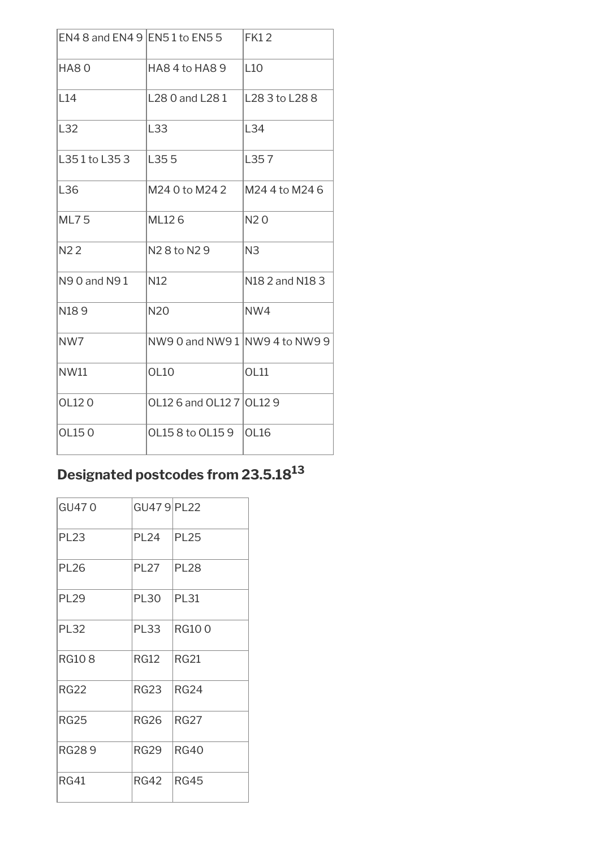|                | EN4 8 and EN4 9 $ EN51$ to EN5 5     | FK12            |
|----------------|--------------------------------------|-----------------|
| HA80           | HA84 to HA89                         | L10             |
| L14            | L28 0 and L28 1                      | L28 3 to L28 8  |
| L32            | L33                                  | L34             |
| L351 to L353   | L355                                 | L357            |
| L36            | M24 0 to M24 2                       | M24 4 to M24 6  |
| <b>ML75</b>    | ML126                                | N <sub>20</sub> |
| N <sub>2</sub> | N <sub>2</sub> 8 to N <sub>2</sub> 9 | N <sub>3</sub>  |
| N90 and N91    | N <sub>12</sub>                      | N18 2 and N18 3 |
| N189           | <b>N20</b>                           | NW4             |
| NW7            | NW90 and NW91 NW94 to NW99           |                 |
| NW11           | <b>OL10</b>                          | OL11            |
| OL120          | OL12 6 and OL12 7   OL12 9           |                 |
| OL150          | OL158 to OL159                       | OL16            |

# **Designated postcodes from 23.5.18<sup>13</sup>**

| GU470        | GU479 PL22  |              |
|--------------|-------------|--------------|
| <b>PL23</b>  | <b>PL24</b> | <b>PL25</b>  |
| <b>PL26</b>  | <b>PL27</b> | <b>PL28</b>  |
| <b>PL29</b>  | <b>PL30</b> | <b>PL31</b>  |
| <b>PL32</b>  | <b>PL33</b> | <b>RG100</b> |
| <b>RG108</b> | <b>RG12</b> | <b>RG21</b>  |
| RG22         | RG23        | <b>RG24</b>  |
| <b>RG25</b>  | <b>RG26</b> | RG27         |
| <b>RG289</b> | <b>RG29</b> | <b>RG40</b>  |
| <b>RG41</b>  | <b>RG42</b> | <b>RG45</b>  |
|              |             |              |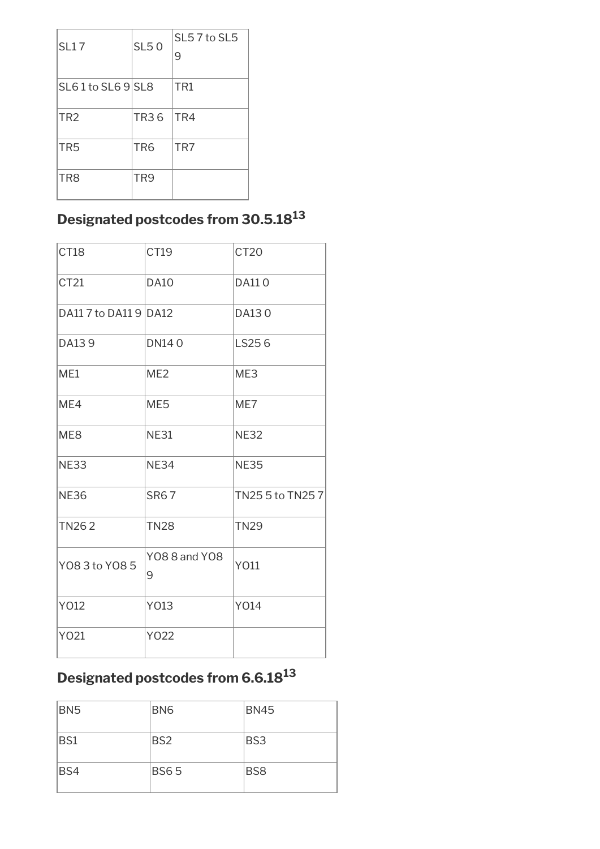| <b>SL17</b>      | <b>SL50</b>     | SL57 to SL5<br>9 |
|------------------|-----------------|------------------|
| SL61 to SL69 SL8 |                 | TR1              |
| TR <sub>2</sub>  | TR36            | TR4              |
| TR <sub>5</sub>  | TR <sub>6</sub> | TR7              |
| TR <sub>8</sub>  | TR <sub>9</sub> |                  |

### **Designated postcodes from 30.5.18<sup>13</sup>**

| <b>CT18</b>           | CT19                      | CT <sub>20</sub> |
|-----------------------|---------------------------|------------------|
| CT21                  | <b>DA10</b>               | <b>DA110</b>     |
| DA11 7 to DA11 9 DA12 |                           | DA130            |
| DA139                 | <b>DN140</b>              | LS256            |
| ME1                   | ME <sub>2</sub>           | ME3              |
| ME4                   | ME <sub>5</sub>           | ME7              |
| ME <sub>8</sub>       | <b>NE31</b>               | <b>NE32</b>      |
| <b>NE33</b>           | <b>NE34</b>               | <b>NE35</b>      |
| <b>NE36</b>           | <b>SR67</b>               | TN25 5 to TN25 7 |
| <b>TN262</b>          | <b>TN28</b>               | <b>TN29</b>      |
| Y08 3 to Y08 5        | <b>YO8 8 and YO8</b><br>9 | Y011             |
| Y012                  | Y013                      | Y014             |
| Y021                  | Y022                      |                  |

# **Designated postcodes from 6.6.18<sup>13</sup>**

| BN <sub>5</sub> | BN <sub>6</sub> | <b>BN45</b>     |
|-----------------|-----------------|-----------------|
| BS1             | BS <sub>2</sub> | BS3             |
| BS4             | <b>BS65</b>     | BS <sub>8</sub> |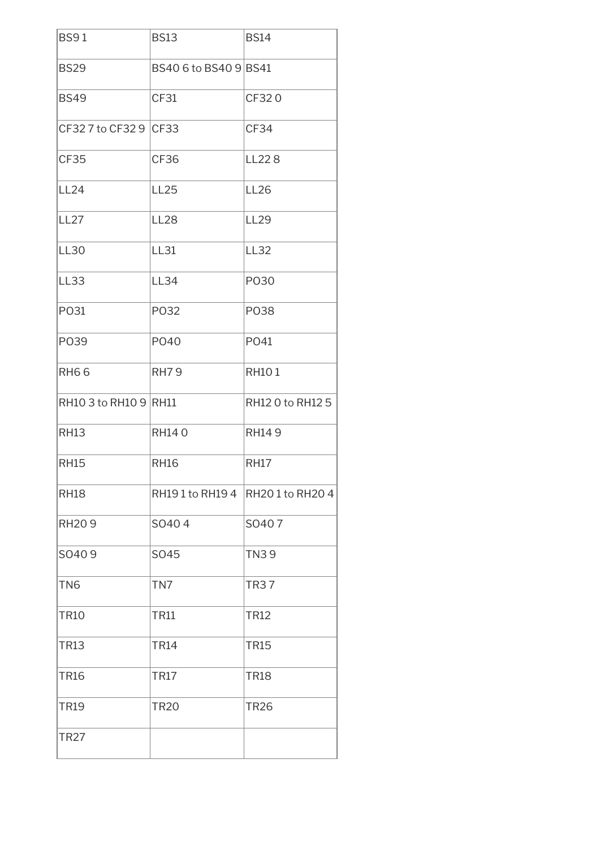| <b>BS91</b>           | <b>BS13</b>           | <b>BS14</b>                     |
|-----------------------|-----------------------|---------------------------------|
| <b>BS29</b>           | BS40 6 to BS40 9 BS41 |                                 |
| <b>BS49</b>           | <b>CF31</b>           | CF320                           |
| CF32 7 to CF32 9 CF33 |                       | CF34                            |
| <b>CF35</b>           | CF36                  | LL228                           |
| <b>LL24</b>           | <b>LL25</b>           | <b>LL26</b>                     |
| <b>LL27</b>           | <b>LL28</b>           | <b>LL29</b>                     |
| <b>LL30</b>           | <b>LL31</b>           | <b>LL32</b>                     |
| <b>LL33</b>           | <b>LL34</b>           | P030                            |
| PO31                  | P032                  | P038                            |
| P039                  | P040                  | PO41                            |
| <b>RH66</b>           | <b>RH79</b>           | <b>RH101</b>                    |
| RH10 3 to RH10 9 RH11 |                       | RH12 0 to RH12 5                |
| <b>RH13</b>           | <b>RH140</b>          | <b>RH149</b>                    |
| <b>RH15</b>           | <b>RH16</b>           | <b>RH17</b>                     |
| <b>RH18</b>           |                       | RH191 to RH194   RH201 to RH204 |
| <b>RH209</b>          | SO404                 | SO407                           |
| SO409                 | SO45                  | <b>TN39</b>                     |
| TN <sub>6</sub>       | TN7                   | <b>TR37</b>                     |
| <b>TR10</b>           | <b>TR11</b>           | <b>TR12</b>                     |
| <b>TR13</b>           | <b>TR14</b>           | <b>TR15</b>                     |
| <b>TR16</b>           | <b>TR17</b>           | <b>TR18</b>                     |
| <b>TR19</b>           | <b>TR20</b>           | <b>TR26</b>                     |
| <b>TR27</b>           |                       |                                 |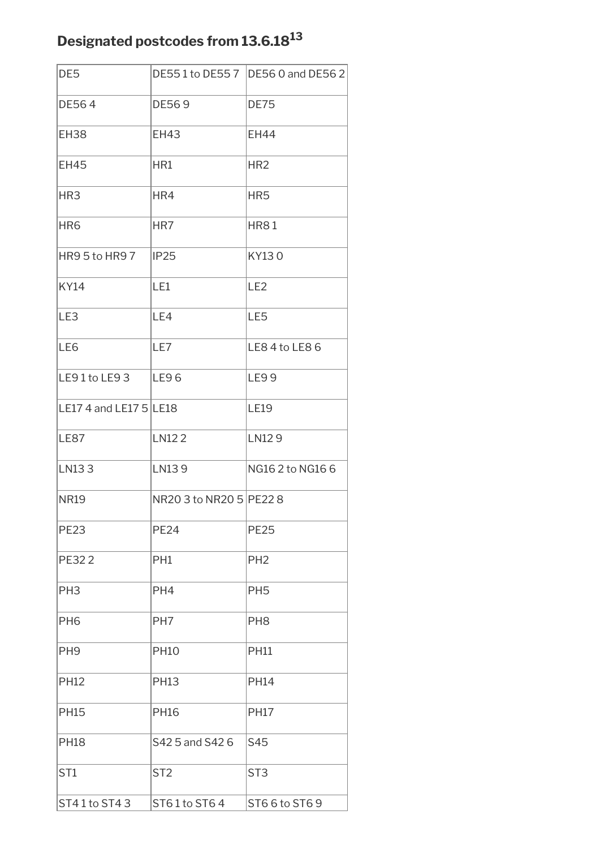### **Designated postcodes from 13.6.18<sup>13</sup>**

| DE <sub>5</sub>          |                           | DE551 to DE557   DE560 and DE562 |
|--------------------------|---------------------------|----------------------------------|
| DE564                    | DE569                     | <b>DE75</b>                      |
| <b>EH38</b>              | <b>EH43</b>               | <b>EH44</b>                      |
| <b>EH45</b>              | HR1                       | HR <sub>2</sub>                  |
| HR <sub>3</sub>          | HR4                       | HR <sub>5</sub>                  |
| HR <sub>6</sub>          | HR7                       | <b>HR81</b>                      |
| HR95to HR97              | IP25                      | KY130                            |
| <b>KY14</b>              | LE1                       | LE <sub>2</sub>                  |
| LE3                      | LE4                       | LE5                              |
| LE6                      | LE7                       | LE8 4 to LE8 6                   |
| $LE91$ to $LE93$         | LE96                      | <b>LE99</b>                      |
| LE17 4 and LE17 $5$ LE18 |                           | <b>LE19</b>                      |
| <b>LE87</b>              | LN122                     | LN129                            |
| LN133                    | LN139                     | NG16 2 to NG16 6                 |
| <b>NR19</b>              | NR20 3 to NR20 5   PE22 8 |                                  |
| <b>PE23</b>              | <b>PE24</b>               | <b>PE25</b>                      |
| <b>PE322</b>             | PH1                       | PH <sub>2</sub>                  |
| PH <sub>3</sub>          | PH <sub>4</sub>           | PH <sub>5</sub>                  |
| PH <sub>6</sub>          | PH <sub>7</sub>           | PH <sub>8</sub>                  |
| PH <sub>9</sub>          | <b>PH10</b>               | <b>PH11</b>                      |
| <b>PH12</b>              | <b>PH13</b>               | <b>PH14</b>                      |
| <b>PH15</b>              | <b>PH16</b>               | <b>PH17</b>                      |
| <b>PH18</b>              | S42 5 and S42 6           | S45                              |
| ST <sub>1</sub>          | ST <sub>2</sub>           | ST <sub>3</sub>                  |
| ST41 to ST43             | ST61to ST64               | ST6 6 to ST6 9                   |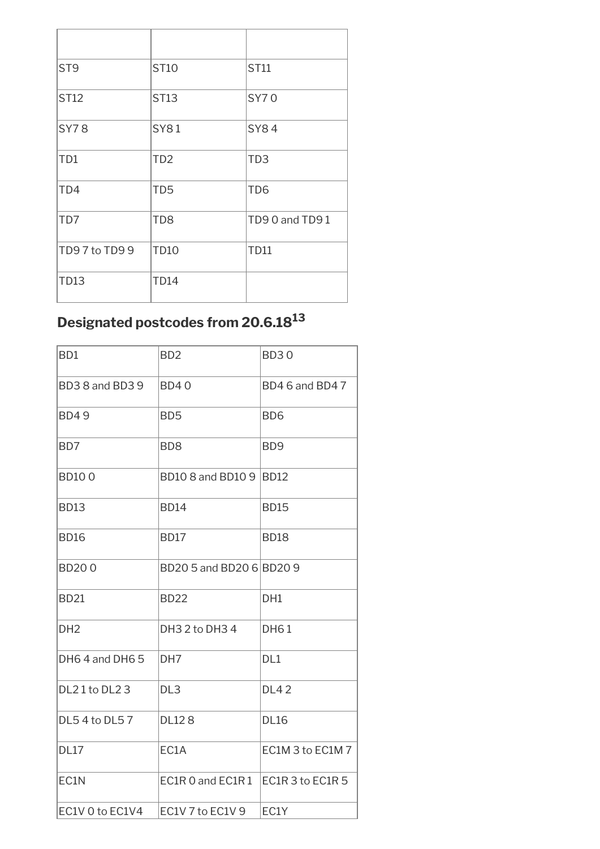| ST <sub>9</sub> | <b>ST10</b>     | ST11            |
|-----------------|-----------------|-----------------|
| ST12            | <b>ST13</b>     | <b>SY70</b>     |
| <b>SY78</b>     | <b>SY81</b>     | <b>SY84</b>     |
| TD1             | TD <sub>2</sub> | TD <sub>3</sub> |
| TD4             | TD <sub>5</sub> | TD <sub>6</sub> |
| TD7             | TD <sub>8</sub> | TD90 and TD91   |
| TD97 to TD99    | <b>TD10</b>     | <b>TD11</b>     |
| <b>TD13</b>     | <b>TD14</b>     |                 |

# **Designated postcodes from 20.6.18<sup>13</sup>**

| B <sub>D1</sub> | B <sub>D</sub> 2                   | <b>BD30</b>      |
|-----------------|------------------------------------|------------------|
| BD38 and BD39   | <b>BD40</b>                        | BD4 6 and BD4 7  |
| <b>BD49</b>     | BD <sub>5</sub>                    | BD <sub>6</sub>  |
| BD7             | B <sub>D</sub> 8                   | B <sub>D</sub> 9 |
| <b>BD100</b>    | BD10 8 and BD10 9 BD12             |                  |
| <b>BD13</b>     | <b>BD14</b>                        | <b>BD15</b>      |
| <b>BD16</b>     | <b>BD17</b>                        | <b>BD18</b>      |
| <b>BD200</b>    | BD20 5 and BD20 6 BD20 9           |                  |
| <b>BD21</b>     | <b>BD22</b>                        | DH1              |
| DH <sub>2</sub> | DH3 2 to DH3 4                     | <b>DH61</b>      |
| DH64 and DH65   | DH <sub>7</sub>                    | DL1              |
| DL21 to DL23    | DL <sub>3</sub>                    | <b>DL42</b>      |
| DL54 to DL57    | <b>DL128</b>                       | <b>DL16</b>      |
| <b>DL17</b>     | EC1A                               | EC1M 3 to EC1M 7 |
| EC1N            | EC1R 0 and EC1R 1 EC1R 3 to EC1R 5 |                  |
| EC1V 0 to EC1V4 | EC1V 7 to EC1V 9                   | EC1Y             |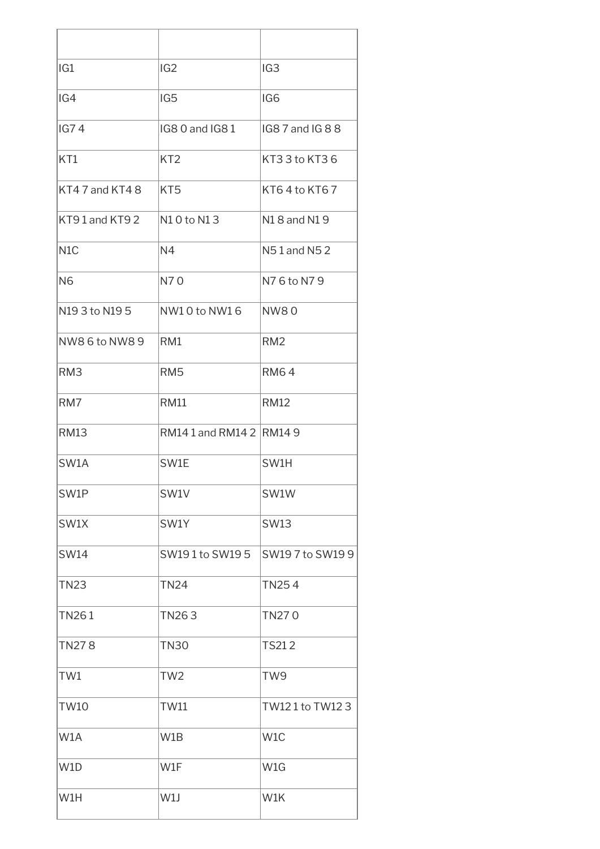| IG <sub>1</sub>  | IG <sub>2</sub>       | IG <sub>3</sub>  |
|------------------|-----------------------|------------------|
| IG4              | IG <sub>5</sub>       | IG <sub>6</sub>  |
| IG74             | IG8 0 and IG81        | IG8 7 and IG 8 8 |
| KT1              | KT <sub>2</sub>       | KT33 to KT36     |
| KT47 and KT48    | KT <sub>5</sub>       | KT64 to KT67     |
| KT91 and KT92    | N10 to N13            | N18 and N19      |
| N <sub>1</sub> C | N <sub>4</sub>        | N51 and N52      |
| N <sub>6</sub>   | N70                   | N76 to N79       |
| N19 3 to N19 5   | NW10 to NW16          | <b>NW80</b>      |
| NW8 6 to NW8 9   | RM1                   | RM <sub>2</sub>  |
| RM <sub>3</sub>  | RM <sub>5</sub>       | <b>RM64</b>      |
| RM7              | <b>RM11</b>           | <b>RM12</b>      |
| <b>RM13</b>      | RM141 and RM142 RM149 |                  |
| SW1A             | SW1E                  | SW1H             |
| SW1P             | SW1V                  | SW1W             |
| SW1X             | SW1Y                  | <b>SW13</b>      |
| SW14             | SW191 to SW195        | SW197 to SW199   |
| <b>TN23</b>      | <b>TN24</b>           | <b>TN254</b>     |
| <b>TN261</b>     | TN263                 | TN270            |
| <b>TN278</b>     | <b>TN30</b>           | <b>TS212</b>     |
| TW1              | TW <sub>2</sub>       | TW9              |
| <b>TW10</b>      | <b>TW11</b>           | TW121 to TW123   |
| W1A              | W1B                   | W <sub>1</sub> C |
| W <sub>1</sub> D | W1F                   | W1G              |
| W1H              | W1J                   | W1K              |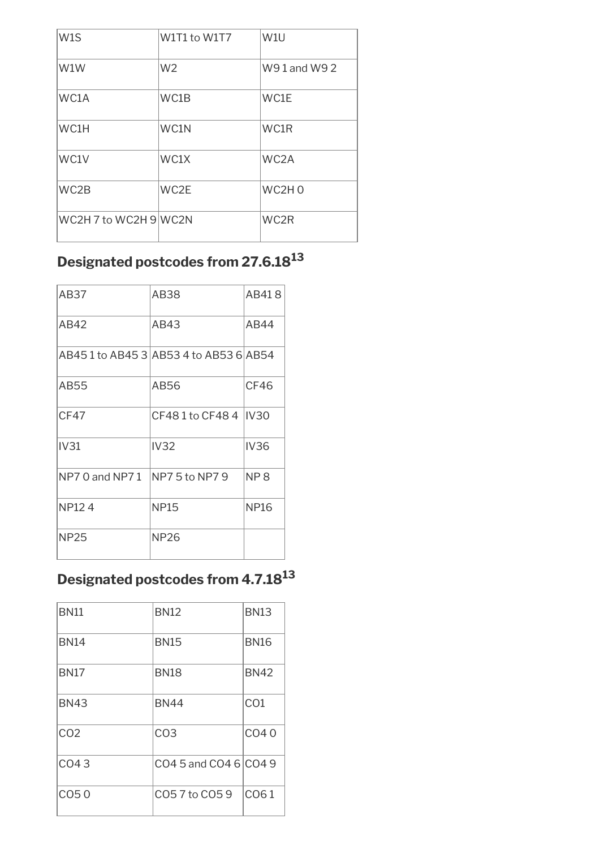| W1S                   | W1T1 to W1T7   | W <sub>1U</sub>   |
|-----------------------|----------------|-------------------|
| W1W                   | W <sub>2</sub> | W91 and W92       |
| WC1A                  | WC1B           | WC1E              |
| WC1H                  | WC1N           | WC1R              |
| WC1V                  | WC1X           | WC <sub>2</sub> A |
| WC2B                  | WC2E           | WC2H <sub>0</sub> |
| WC2H 7 to WC2H 9 WC2N |                | WC2R              |

# **Designated postcodes from 27.6.18<sup>13</sup>**

| AB37              | AB38                                  | AB418           |
|-------------------|---------------------------------------|-----------------|
| AB42              | AB43                                  | AB44            |
|                   | AB451 to AB45 3 AB53 4 to AB53 6 AB54 |                 |
| AB55              | AB56                                  | CF46            |
| CF47              | CF481 to CF484 IV30                   |                 |
| IV31              | IV <sub>32</sub>                      | <b>IV36</b>     |
| $NP70$ and $NP71$ | <b>INP7 5 to NP7 9</b>                | NP <sub>8</sub> |
| <b>NP124</b>      | <b>NP15</b>                           | <b>NP16</b>     |
| <b>NP25</b>       | NP26                                  |                 |

### **Designated postcodes from 4.7.18<sup>13</sup>**

| <b>BN11</b>      | <b>BN12</b>           | <b>BN13</b>     |
|------------------|-----------------------|-----------------|
| <b>BN14</b>      | <b>BN15</b>           | <b>BN16</b>     |
| <b>BN17</b>      | <b>BN18</b>           | <b>BN42</b>     |
| <b>BN43</b>      | <b>BN44</b>           | CO <sub>1</sub> |
| CO <sub>2</sub>  | CO <sub>3</sub>       | CO40            |
| CO43             | CO4 5 and CO4 6 CO4 9 |                 |
| CO <sub>50</sub> | C057 to C059          | CO61            |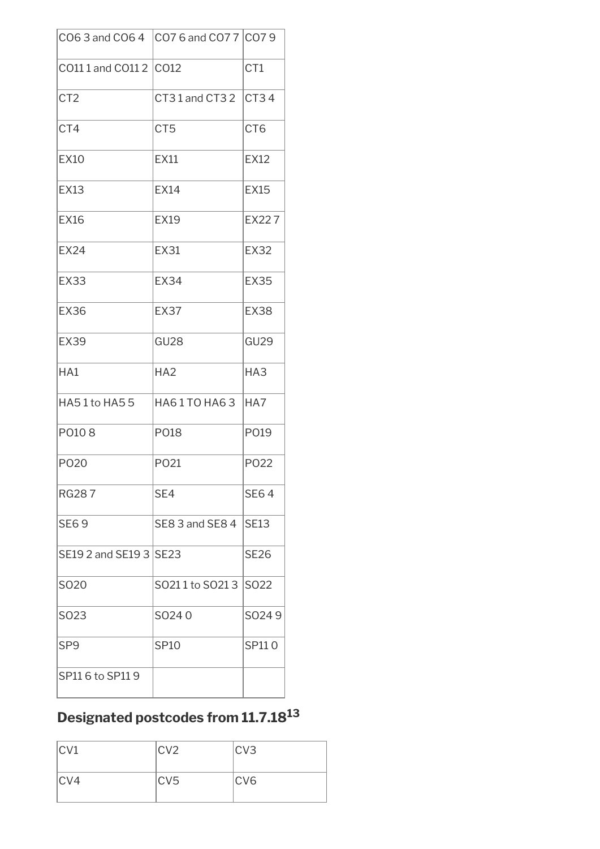| CO6 3 and CO6 4 CO7 6 and CO7 7 CO7 9 |                  |                  |
|---------------------------------------|------------------|------------------|
| CO11 1 and CO11 2 CO12                |                  | CT1              |
| CT <sub>2</sub>                       | CT31 and CT32    | CT34             |
| CT4                                   | CT <sub>5</sub>  | CT <sub>6</sub>  |
| <b>EX10</b>                           | <b>EX11</b>      | <b>EX12</b>      |
| <b>EX13</b>                           | <b>EX14</b>      | <b>EX15</b>      |
| <b>EX16</b>                           | <b>EX19</b>      | <b>EX227</b>     |
| <b>EX24</b>                           | <b>EX31</b>      | <b>EX32</b>      |
| <b>EX33</b>                           | <b>EX34</b>      | <b>EX35</b>      |
| <b>EX36</b>                           | EX37             | <b>EX38</b>      |
| <b>EX39</b>                           | GU <sub>28</sub> | GU <sub>29</sub> |
| HA1                                   | HA2              | HA <sub>3</sub>  |
| HA51 to HA55                          | HA61TO HA63      | HA7              |
| PO108                                 | P018             | P019             |
| P020                                  | PO <sub>21</sub> | P022             |
| <b>RG287</b>                          | SE4              | <b>SE64</b>      |
| <b>SE69</b>                           | SE8 3 and SE8 4  | SE13             |
| SE19 2 and SE19 3   SE23              |                  | <b>SE26</b>      |
| SO <sub>20</sub>                      | SO211 to SO213   | S022             |
| SO23                                  | SO240            | SO249            |
| SP <sub>9</sub>                       | <b>SP10</b>      | SP110            |
| SP116 to SP119                        |                  |                  |

# **Designated postcodes from 11.7.18<sup>13</sup>**

| CV1 | CV2 | CV3 |
|-----|-----|-----|
| CV4 | CV5 | CV6 |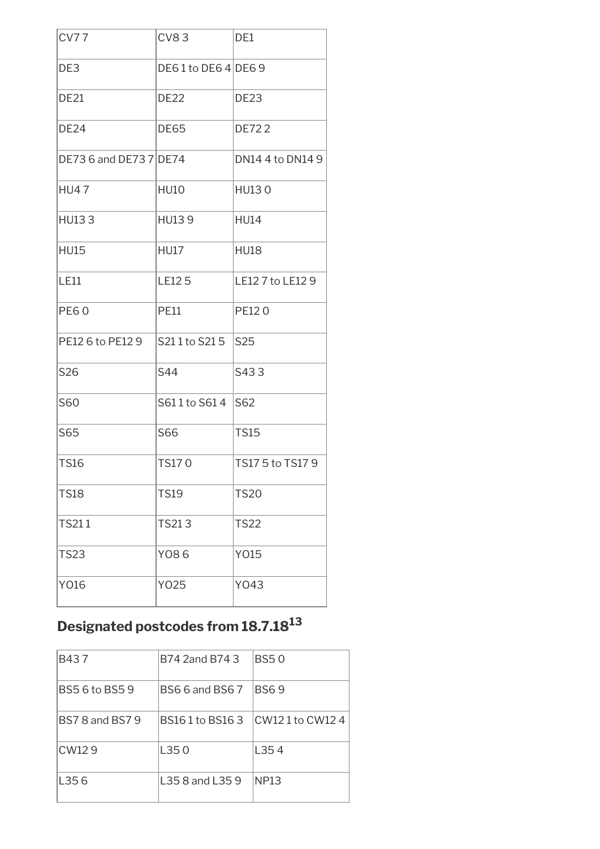| <b>CV77</b>            | <b>CV83</b>       | DE1              |
|------------------------|-------------------|------------------|
| DE3                    | DE61 to DE64 DE69 |                  |
| <b>DE21</b>            | <b>DE22</b>       | <b>DE23</b>      |
| <b>DE24</b>            | <b>DE65</b>       | <b>DE722</b>     |
| DE73 6 and DE73 7 DE74 |                   | DN14 4 to DN14 9 |
| <b>HU47</b>            | <b>HU10</b>       | HU130            |
| <b>HU133</b>           | <b>HU139</b>      | <b>HU14</b>      |
| <b>HU15</b>            | <b>HU17</b>       | <b>HU18</b>      |
| <b>LE11</b>            | <b>LE125</b>      | LE12 7 to LE12 9 |
| <b>PE60</b>            | <b>PE11</b>       | PE120            |
| PE12 6 to PE12 9       | S211 to S215      | S25              |
| S26                    | S44               | S433             |
| S60                    | S611 to S614      | S62              |
| S65                    | S66               | <b>TS15</b>      |
| <b>TS16</b>            | <b>TS170</b>      | TS17 5 to TS17 9 |
| <b>TS18</b>            | <b>TS19</b>       | <b>TS20</b>      |
| <b>TS211</b>           | TS213             | <b>TS22</b>      |
| <b>TS23</b>            | Y086              | Y015             |
| Y016                   | Y025              | Y043             |

# **Designated postcodes from 18.7.18<sup>13</sup>**

| B437                   | B74 2and B74 3         | <b>BS50</b>    |
|------------------------|------------------------|----------------|
| BS5 6 to BS5 9         | <b>BS6 6 and BS6 7</b> | <b>BS69</b>    |
| <b>BS7 8 and BS7 9</b> | BS161 to BS163         | CW121 to CW124 |
| CW <sub>129</sub>      | L35 0                  | L354           |
| L356                   | L35 8 and L35 9        | NP13           |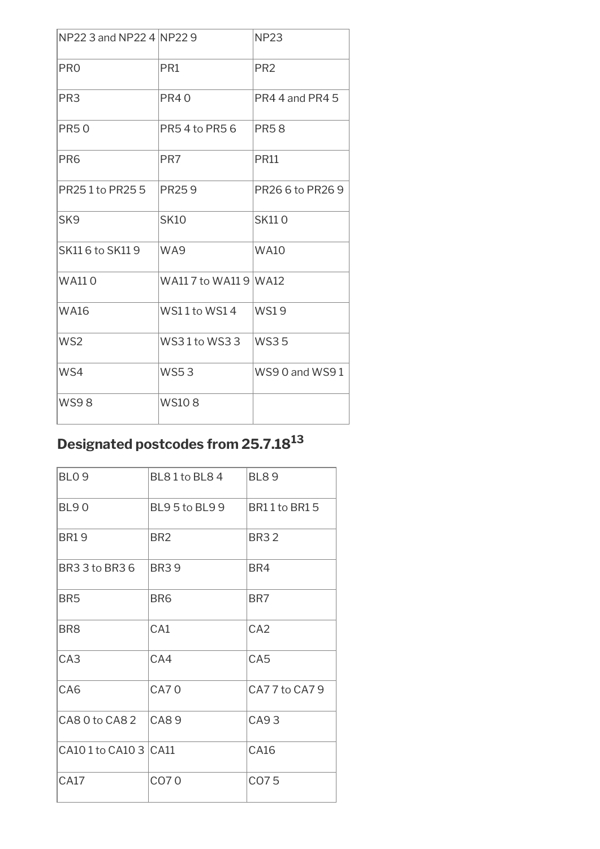| NP22 3 and NP22 4 NP22 9 |                       | <b>NP23</b>      |
|--------------------------|-----------------------|------------------|
| PR <sub>0</sub>          | PR <sub>1</sub>       | PR <sub>2</sub>  |
| PR <sub>3</sub>          | <b>PR40</b>           | PR4 4 and PR4 5  |
| <b>PR50</b>              | PR54 to PR56          | <b>PR58</b>      |
| PR <sub>6</sub>          | PR7                   | <b>PR11</b>      |
| PR251 to PR255           | <b>PR259</b>          | PR26 6 to PR26 9 |
| SK <sub>9</sub>          | <b>SK10</b>           | <b>SK110</b>     |
| SK11 6 to SK11 9         | WA9                   | <b>WA10</b>      |
| <b>WA110</b>             | WA11 7 to WA11 9 WA12 |                  |
| <b>WA16</b>              | WS11 to WS14          | <b>WS19</b>      |
| WS <sub>2</sub>          | WS31 to WS33          | $W$ S35          |
| WS4                      | <b>WS53</b>           | WS90 and WS91    |
| <b>WS98</b>              | <b>WS108</b>          |                  |

### **Designated postcodes from 25.7.18<sup>13</sup>**

| BL81to BL84           | <b>BL89</b>     |
|-----------------------|-----------------|
| <b>BL95to BL99</b>    | BR11 to BR15    |
| BR <sub>2</sub>       | <b>BR32</b>     |
| <b>BR39</b>           | BR4             |
| BR <sub>6</sub>       | BR7             |
| CA <sub>1</sub>       | CA <sub>2</sub> |
| CA4                   | CA <sub>5</sub> |
| <b>CA70</b>           | CA77 to CA79    |
| CAS9                  | CA93            |
| CA10 1 to CA10 3 CA11 | CA16            |
| CO70                  | CO75            |
|                       |                 |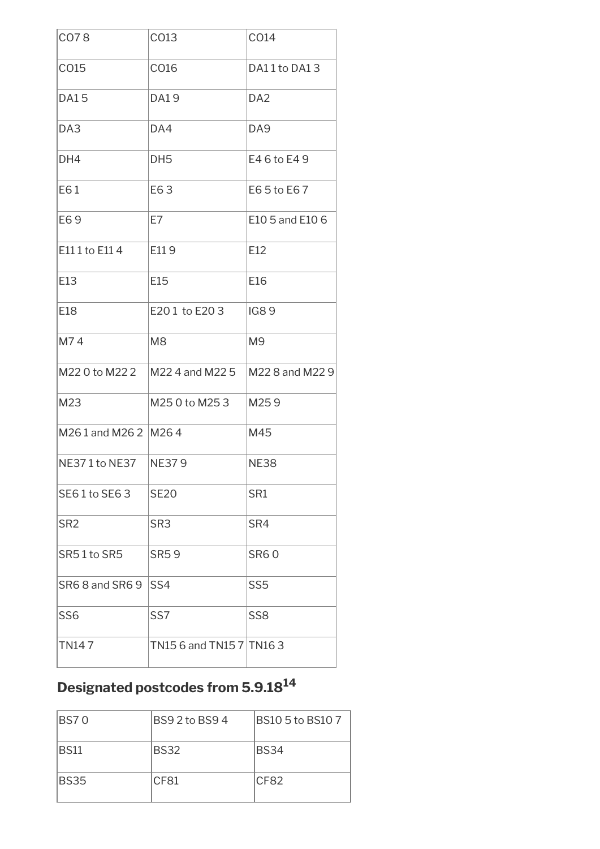| CO78                 | CO13                     | CO14            |
|----------------------|--------------------------|-----------------|
| CO15                 | CO16                     | DA11 to DA13    |
| <b>DA15</b>          | <b>DA19</b>              | DA <sub>2</sub> |
| DA3                  | DA4                      | DA <sub>9</sub> |
| DH4                  | DH <sub>5</sub>          | E46 to E49      |
| E61                  | E63                      | E65 to E67      |
| E69                  | E7                       | E10 5 and E10 6 |
| E111 to E114         | E119                     | E12             |
| E13                  | E15                      | E16             |
| E18                  | E201 to E203             | <b>IG89</b>     |
| M74                  | M <sub>8</sub>           | M <sub>9</sub>  |
| M22 0 to M22 2       | M22 4 and M22 5          | M22 8 and M22 9 |
| M23                  | M25 0 to M25 3           | M259            |
| M261 and M262   M264 |                          | M45             |
| NE371 to NE37        | NE379                    | <b>NE38</b>     |
| SE61 to SE63         | <b>SE20</b>              | SR1             |
| SR <sub>2</sub>      | SR <sub>3</sub>          | SR4             |
| SR51 to SR5          | <b>SR59</b>              | <b>SR60</b>     |
| SR6 8 and SR6 9      | SS4                      | SS <sub>5</sub> |
| SS <sub>6</sub>      | SS7                      | SS <sub>8</sub> |
| <b>TN147</b>         | TN15 6 and TN15 7 TN16 3 |                 |

# **Designated postcodes from 5.9.18<sup>14</sup>**

| <b>BS70</b> | BS9 2 to BS9 4 | BS10 5 to BS10 7 |
|-------------|----------------|------------------|
| BS11        | <b>BS32</b>    | BS34             |
| <b>BS35</b> | CF81           | CF82             |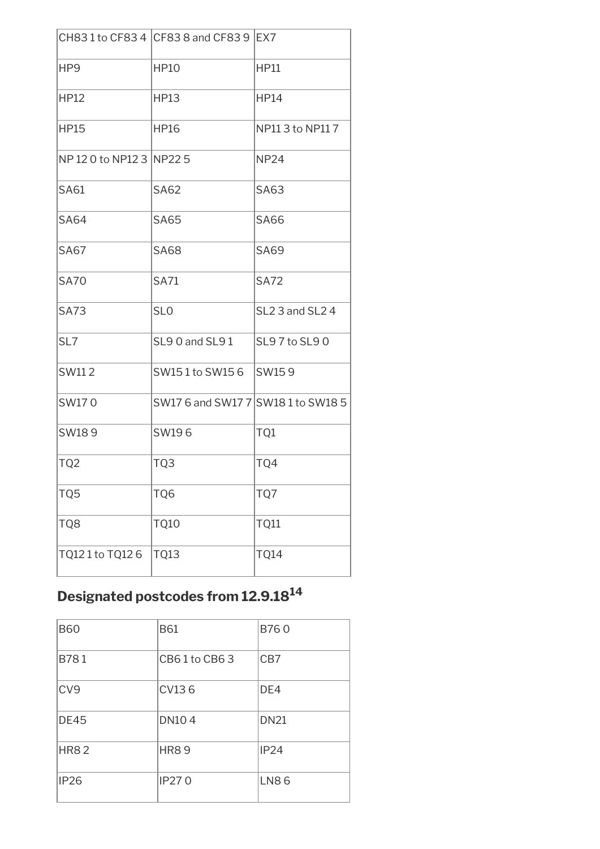|                            | CH831 to CF834 CF838 and CF839 EX7 |                                         |
|----------------------------|------------------------------------|-----------------------------------------|
| HP <sub>9</sub>            | <b>HP10</b>                        | <b>HP11</b>                             |
| <b>HP12</b>                | <b>HP13</b>                        | <b>HP14</b>                             |
| <b>HP15</b>                | <b>HP16</b>                        | NP11 3 to NP11 7                        |
| NP 12 0 to NP12 3   NP22 5 |                                    | <b>NP24</b>                             |
| <b>SA61</b>                | <b>SA62</b>                        | <b>SA63</b>                             |
| <b>SA64</b>                | <b>SA65</b>                        | <b>SA66</b>                             |
| <b>SA67</b>                | <b>SA68</b>                        | <b>SA69</b>                             |
| <b>SA70</b>                | <b>SA71</b>                        | <b>SA72</b>                             |
| <b>SA73</b>                | SL <sub>0</sub>                    | SL <sub>2</sub> 3 and SL <sub>2</sub> 4 |
| SL7                        | SL90 and SL91                      | SL97 to SL90                            |
| SW112                      | SW151 to SW156                     | SW159                                   |
| SW170                      | SW17 6 and SW17 7 SW18 1 to SW18 5 |                                         |
| SW189                      | SW196                              | TQ1                                     |
| TQ <sub>2</sub>            | TQ3                                | TQ4                                     |
| TQ5                        | TQ6                                | TQ7                                     |
| TQ8                        | <b>TQ10</b>                        | TQ11                                    |
| TQ121 to TQ126             | <b>TQ13</b>                        | <b>TQ14</b>                             |

### **Designated postcodes from 12.9.18<sup>14</sup>**

| <b>B60</b>      | <b>B61</b>   | B760        |
|-----------------|--------------|-------------|
| B781            | CB61to CB63  | CB7         |
| CV <sub>9</sub> | CV136        | DE4         |
| <b>DE45</b>     | <b>DN104</b> | <b>DN21</b> |
| <b>HR82</b>     | <b>HR89</b>  | IP24        |
| <b>IP26</b>     | <b>IP270</b> | <b>LN86</b> |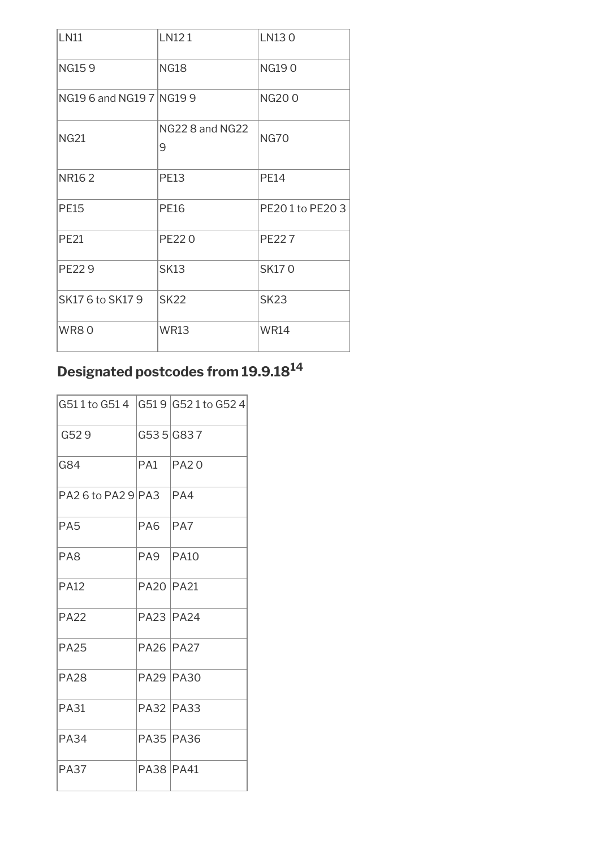| <b>LN11</b>              | LN121                | LN130          |
|--------------------------|----------------------|----------------|
| <b>NG159</b>             | <b>NG18</b>          | <b>NG190</b>   |
| NG19 6 and NG19 7 NG19 9 |                      | <b>NG200</b>   |
| <b>NG21</b>              | NG22 8 and NG22<br>9 | <b>NG70</b>    |
| NR <sub>162</sub>        | PE13                 | <b>PE14</b>    |
| <b>PE15</b>              | <b>PE16</b>          | PE201 to PE203 |
| <b>PE21</b>              | <b>PE220</b>         | PE227          |
| <b>PE229</b>             | <b>SK13</b>          | <b>SK170</b>   |
| SK17 6 to SK17 9         | <b>SK22</b>          | <b>SK23</b>    |
| <b>WR80</b>              | <b>WR13</b>          | <b>WR14</b>    |

### **Designated postcodes from 19.9.18<sup>14</sup>**

| G511 to G514 G519 G521 to G524 |                  |             |
|--------------------------------|------------------|-------------|
| G529                           |                  | G535 G837   |
| G84                            | PA1              | PA20        |
| PA2 6 to PA2 9 PA3             |                  | PA4         |
| PA <sub>5</sub>                | PA6.             | PA7         |
| PA <sub>8</sub>                | PA9              | <b>PA10</b> |
| <b>PA12</b>                    | <b>PA20 PA21</b> |             |
| <b>PA22</b>                    | <b>PA23 PA24</b> |             |
| <b>PA25</b>                    | <b>PA26 PA27</b> |             |
| <b>PA28</b>                    | <b>PA29 PA30</b> |             |
| <b>PA31</b>                    | <b>PA32 PA33</b> |             |
| <b>PA34</b>                    | <b>PA35 PA36</b> |             |
| <b>PA37</b>                    | <b>PA38 PA41</b> |             |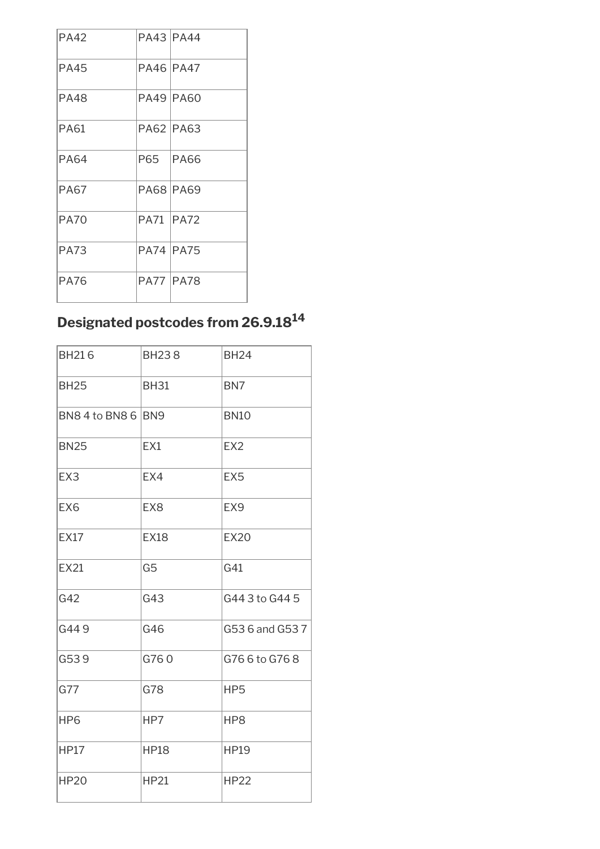| <b>PA42</b> | <b>PA43 PA44</b>  |             |
|-------------|-------------------|-------------|
| PA45        | <b>PA46 PA47</b>  |             |
| <b>PA48</b> | <b>PA49 PA60</b>  |             |
| PA61        | <b>PA62 PA63</b>  |             |
| <b>PA64</b> | P65 I             | <b>PA66</b> |
| <b>PA67</b> | <b>PA68 PA69</b>  |             |
| <b>PA70</b> | <b>PA71 IPA72</b> |             |
| <b>PA73</b> | <b>PA74 PA75</b>  |             |
| PA76        | <b>PA77 PA78</b>  |             |

## **Designated postcodes from 26.9.18<sup>14</sup>**

| <b>BH216</b>       | <b>BH238</b>    | <b>BH24</b>     |
|--------------------|-----------------|-----------------|
| <b>BH25</b>        | <b>BH31</b>     | BN <sub>7</sub> |
| BN8 4 to BN8 6 BN9 |                 | <b>BN10</b>     |
| <b>BN25</b>        | EX1             | EX <sub>2</sub> |
| EX3                | EX4             | EX <sub>5</sub> |
| EX <sub>6</sub>    | EX <sub>8</sub> | EX <sub>9</sub> |
| <b>EX17</b>        | <b>EX18</b>     | <b>EX20</b>     |
| <b>EX21</b>        | G <sub>5</sub>  | G41             |
| G42                | G43             | G44 3 to G44 5  |
| G449               | G46             | G53 6 and G53 7 |
| G539               | G760            | G76 6 to G76 8  |
| G77                | G78             | HP5             |
| HP <sub>6</sub>    | HP7             | HP <sub>8</sub> |
| <b>HP17</b>        | <b>HP18</b>     | <b>HP19</b>     |
| <b>HP20</b>        | <b>HP21</b>     | <b>HP22</b>     |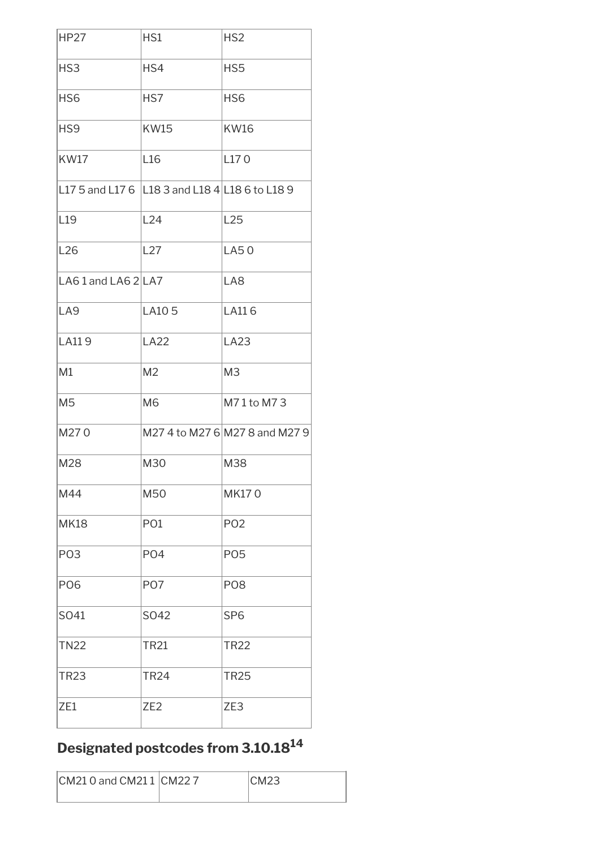| <b>HP27</b>                                        | HS1             | HS <sub>2</sub>                |
|----------------------------------------------------|-----------------|--------------------------------|
| HS3                                                | HS4             | HS5                            |
| HS <sub>6</sub>                                    | HS7             | HS <sub>6</sub>                |
| HS <sub>9</sub>                                    | <b>KW15</b>     | <b>KW16</b>                    |
| <b>KW17</b>                                        | L <sub>16</sub> | L170                           |
| L17 5 and L17 6   L18 3 and L18 4   L18 6 to L18 9 |                 |                                |
| L <sub>19</sub>                                    | L24             | L25                            |
| L <sub>26</sub>                                    | L27             | LA50                           |
| LA61 and LA62LA7                                   |                 | LA8                            |
| LA <sub>9</sub>                                    | LA105           | LA116                          |
| LA119                                              | <b>LA22</b>     | LA23                           |
| M1                                                 | M <sub>2</sub>  | M <sub>3</sub>                 |
| M <sub>5</sub>                                     | M <sub>6</sub>  | M71 to M73                     |
| M270                                               |                 | M27 4 to M27 6 M27 8 and M27 9 |
| M28                                                | M30             | M38                            |
| M44                                                | M50             | <b>MK170</b>                   |
| <b>MK18</b>                                        | PO <sub>1</sub> | PO <sub>2</sub>                |
| PO <sub>3</sub>                                    | PO <sub>4</sub> | <b>PO5</b>                     |
| <b>PO6</b>                                         | PO <sub>7</sub> | P <sub>O</sub> <sub>8</sub>    |
| SO41                                               | SO42            | SP <sub>6</sub>                |
| <b>TN22</b>                                        | <b>TR21</b>     | <b>TR22</b>                    |
| <b>TR23</b>                                        | <b>TR24</b>     | <b>TR25</b>                    |
| ZE1                                                | ZE <sub>2</sub> | ZE3                            |

# **Designated postcodes from 3.10.18<sup>14</sup>**

| CM21 0 and CM21 1 CM22 7 | ICM23 |
|--------------------------|-------|
|                          |       |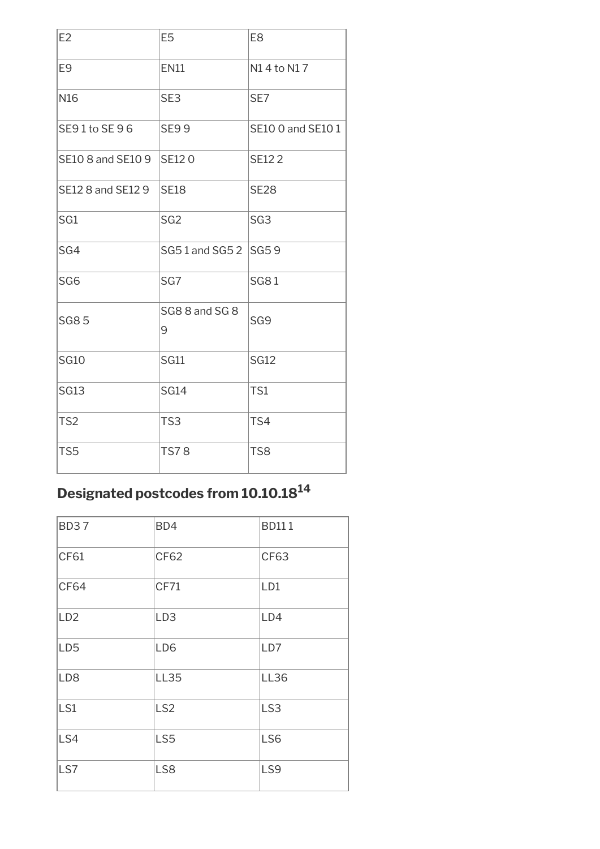| E2                | E <sub>5</sub>      | E <sub>8</sub>    |
|-------------------|---------------------|-------------------|
| E <sub>9</sub>    | <b>EN11</b>         | N14 to N17        |
| N <sub>16</sub>   | SE3                 | SE7               |
| SE91 to SE96      | <b>SE99</b>         | SE10 0 and SE10 1 |
| SE10 8 and SE10 9 | <b>SE120</b>        | <b>SE122</b>      |
| SE12 8 and SE12 9 | <b>SE18</b>         | <b>SE28</b>       |
| SG1               | SG <sub>2</sub>     | SG <sub>3</sub>   |
| SG4               | SG51 and SG52       | <b>SG59</b>       |
| SG <sub>6</sub>   | SG7                 | <b>SG81</b>       |
| <b>SG85</b>       | SG8 8 and SG 8<br>9 | SG <sub>9</sub>   |
| <b>SG10</b>       | <b>SG11</b>         | <b>SG12</b>       |
| <b>SG13</b>       | <b>SG14</b>         | TS1               |
| TS <sub>2</sub>   | TS3                 | TS4               |
| TS <sub>5</sub>   | <b>TS78</b>         | TS8               |

### **Designated postcodes from 10.10.18<sup>14</sup>**

| <b>BD37</b>     | BD4             | <b>BD111</b>    |
|-----------------|-----------------|-----------------|
| CF61            | CF62            | <b>CF63</b>     |
| <b>CF64</b>     | <b>CF71</b>     | LD1             |
| LD <sub>2</sub> | LD <sub>3</sub> | LD4             |
| LD <sub>5</sub> | LD <sub>6</sub> | LD7             |
| LD <sub>8</sub> | <b>LL35</b>     | <b>LL36</b>     |
| LS1             | LS <sub>2</sub> | LS <sub>3</sub> |
| LS4             | LS5             | LS <sub>6</sub> |
| LS7             | LS8             | LS9             |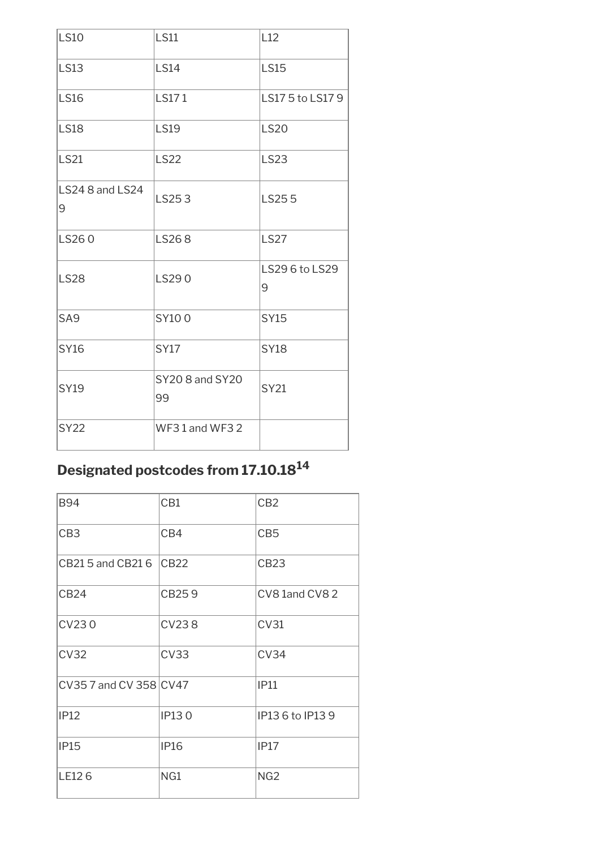| <b>LS10</b>          | <b>LS11</b>           | L12                 |
|----------------------|-----------------------|---------------------|
| <b>LS13</b>          | <b>LS14</b>           | <b>LS15</b>         |
| <b>LS16</b>          | <b>LS171</b>          | LS175 to LS179      |
| <b>LS18</b>          | <b>LS19</b>           | <b>LS20</b>         |
| <b>LS21</b>          | <b>LS22</b>           | <b>LS23</b>         |
| LS24 8 and LS24<br>9 | LS253                 | LS255               |
| LS260                | LS268                 | <b>LS27</b>         |
| <b>LS28</b>          | LS290                 | LS29 6 to LS29<br>9 |
| SA <sub>9</sub>      | SY100                 | <b>SY15</b>         |
| <b>SY16</b>          | <b>SY17</b>           | <b>SY18</b>         |
| <b>SY19</b>          | SY20 8 and SY20<br>99 | <b>SY21</b>         |
| <b>SY22</b>          | WF31 and WF32         |                     |

# **Designated postcodes from 17.10.18<sup>14</sup>**

| <b>B94</b>             | CB1          | CB <sub>2</sub>  |
|------------------------|--------------|------------------|
| CB <sub>3</sub>        | CB4          | CB <sub>5</sub>  |
| CB21 5 and CB21 6      | CB22         | <b>CB23</b>      |
| <b>CB24</b>            | CB259        | CV8 1and CV8 2   |
| <b>CV230</b>           | <b>CV238</b> | CV31             |
| <b>CV32</b>            | CV33         | CV34             |
| CV35 7 and CV 358 CV47 |              | IP11             |
| IP12                   | <b>IP130</b> | IP13 6 to IP13 9 |
| <b>IP15</b>            | <b>IP16</b>  | IP17             |
| LE126                  | NG1          | NG <sub>2</sub>  |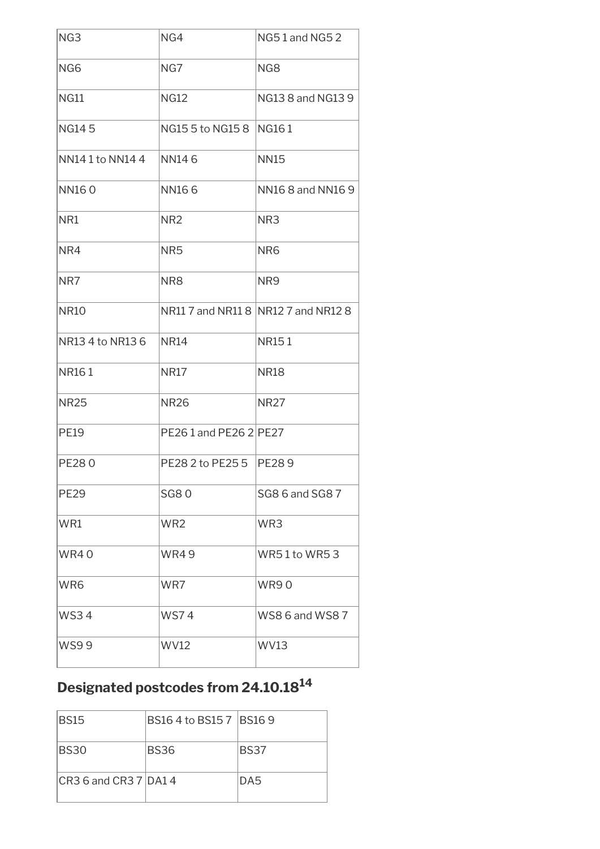| NG <sub>3</sub>  | NG4                       | NG51 and NG52                       |
|------------------|---------------------------|-------------------------------------|
| NG6              | NG7                       | NG8                                 |
| <b>NG11</b>      | <b>NG12</b>               | NG13 8 and NG13 9                   |
| <b>NG145</b>     | NG15 5 to NG15 8          | <b>NG161</b>                        |
| NN141 to NN144   | <b>NN146</b>              | <b>NN15</b>                         |
| <b>NN160</b>     | <b>NN166</b>              | NN16 8 and NN16 9                   |
| NR1              | NR <sub>2</sub>           | NR <sub>3</sub>                     |
| NR4              | NR <sub>5</sub>           | NR <sub>6</sub>                     |
| NR7              | NR8                       | NR9                                 |
| <b>NR10</b>      |                           | NR11 7 and NR11 8 NR12 7 and NR12 8 |
| NR13 4 to NR13 6 | <b>NR14</b>               | <b>NR151</b>                        |
| NR161            | <b>NR17</b>               | <b>NR18</b>                         |
| <b>NR25</b>      | <b>NR26</b>               | <b>NR27</b>                         |
| <b>PE19</b>      | PE261 and PE26 2 PE27     |                                     |
| <b>PE280</b>     | PE28 2 to PE25 5   PE28 9 |                                     |
| <b>PE29</b>      | <b>SG80</b>               | SG8 6 and SG8 7                     |
| WR1              | WR <sub>2</sub>           | WR3                                 |
| <b>WR40</b>      | <b>WR49</b>               | <b>WR51 to WR53</b>                 |
| WR6              | WR7                       | <b>WR90</b>                         |
| <b>WS34</b>      | <b>WS74</b>               | WS8 6 and WS8 7                     |
| <b>WS99</b>      | <b>WV12</b>               | <b>WV13</b>                         |

# **Designated postcodes from 24.10.18<sup>14</sup>**

| <b>BS15</b>             | BS16 4 to BS15 7   BS16 9 |                 |
|-------------------------|---------------------------|-----------------|
| BS30                    | <b>BS36</b>               | BS37            |
| ICR3 6 and CR3 7 IDA1 4 |                           | DA <sub>5</sub> |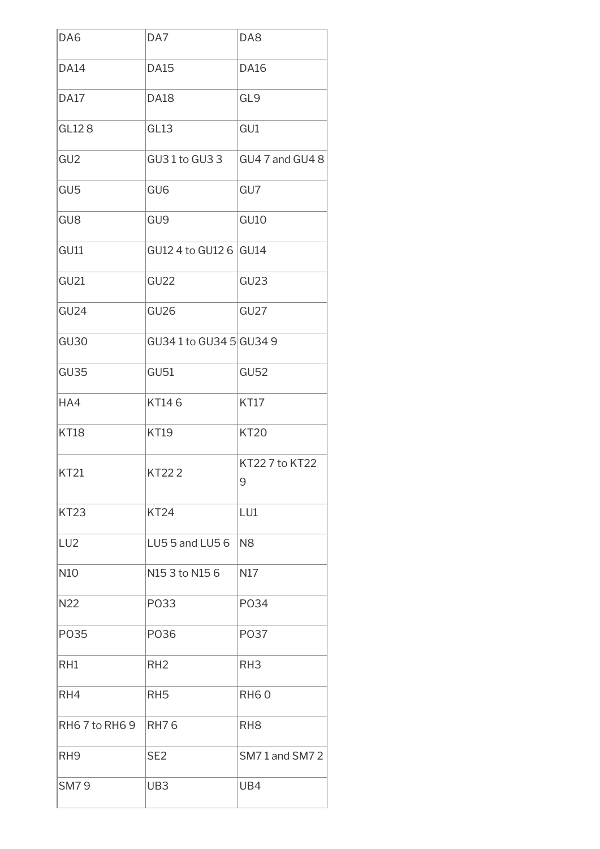| DA <sub>6</sub>  | DA7                     | DA8                |
|------------------|-------------------------|--------------------|
| <b>DA14</b>      | <b>DA15</b>             | <b>DA16</b>        |
| <b>DA17</b>      | <b>DA18</b>             | GL <sub>9</sub>    |
| GL128            | GL13                    | GU1                |
| GU <sub>2</sub>  | GU31 to GU33            | GU4 7 and GU4 8    |
| GU <sub>5</sub>  | GU <sub>6</sub>         | GU7                |
| GU <sub>8</sub>  | GU <sub>9</sub>         | <b>GU10</b>        |
| <b>GU11</b>      | GU12 4 to GU12 6 GU14   |                    |
| <b>GU21</b>      | GU <sub>22</sub>        | GU <sub>23</sub>   |
| GU24             | GU <sub>26</sub>        | GU <sub>27</sub>   |
| GU <sub>30</sub> | GU34 1 to GU34 5 GU34 9 |                    |
| GU35             | <b>GU51</b>             | <b>GU52</b>        |
| HA4              | KT146                   | <b>KT17</b>        |
| <b>KT18</b>      | <b>KT19</b>             | <b>KT20</b>        |
| <b>KT21</b>      | <b>KT222</b>            | KT227 to KT22<br>9 |
| <b>KT23</b>      | <b>KT24</b>             | LU1                |
| LU <sub>2</sub>  | LU55 and LU56           | N <sub>8</sub>     |
| N10              | N15 3 to N15 6          | N17                |
| N22              | P033                    | PO34               |
| P035             | P036                    | P037               |
| RH1              | RH <sub>2</sub>         | RH <sub>3</sub>    |
| RH4              | RH <sub>5</sub>         | <b>RH60</b>        |
| RH67 to RH69     | <b>RH76</b>             | RH <sub>8</sub>    |
| RH <sub>9</sub>  | SE <sub>2</sub>         | SM71 and SM72      |
| <b>SM79</b>      | UB3                     | UB4                |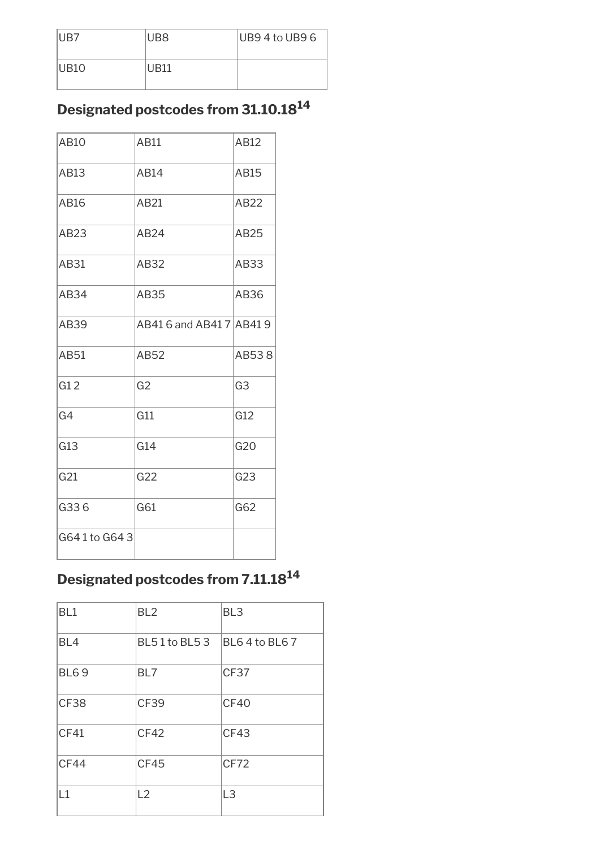| IUB7 | UB8              | $UB94$ to UB9 6 |
|------|------------------|-----------------|
| UB10 | UR <sub>11</sub> |                 |

### **Designated postcodes from 31.10.18<sup>14</sup>**

| AB10         | AB11                     | AB12           |
|--------------|--------------------------|----------------|
| AB13         | AB14                     | AB15           |
| AB16         | AB21                     | AB22           |
| AB23         | AB24                     | AB25           |
| AB31         | AB32                     | AB33           |
| AB34         | AB35                     | AB36           |
| AB39         | AB41 6 and AB41 7 AB41 9 |                |
| AB51         | AB52                     | AB538          |
| G12          | G <sub>2</sub>           | G <sub>3</sub> |
| G4           | G11                      | G12            |
| G13          | G14                      | G20            |
| G21          | G22                      | G23            |
| G336         | G61                      | G62            |
| G641 to G643 |                          |                |

## **Designated postcodes from 7.11.18<sup>14</sup>**

| BL <sub>1</sub> | BL <sub>2</sub> | BL <sub>3</sub> |
|-----------------|-----------------|-----------------|
| BL4             | BL51 to BL53    | BL64 to BL67    |
| <b>BL69</b>     | BL7             | CF37            |
| <b>CF38</b>     | CF39            | CF40            |
| CF41            | CF42            | CF43            |
| CF44            | CF45            | CF72            |
| $\vert$ 1       | L2              | L <sub>3</sub>  |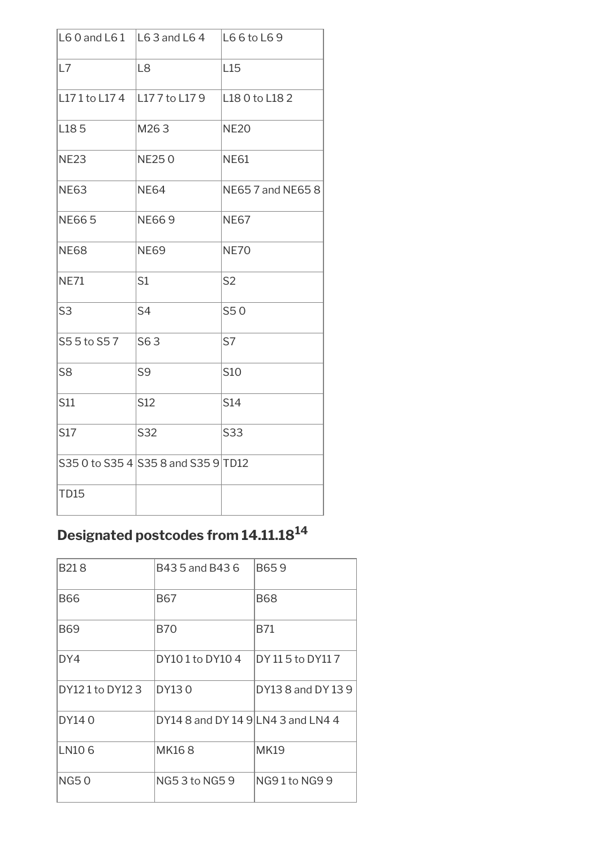|                | L6 0 and L6 1 $\vert$ L6 3 and L6 4 | L6 6 to L6 9             |
|----------------|-------------------------------------|--------------------------|
| L7             | L <sub>8</sub>                      | L15                      |
| L171 to L174   | L17 7 to L17 9                      | L18 0 to L18 2           |
| L185           | M263                                | <b>NE20</b>              |
| <b>NE23</b>    | <b>NE250</b>                        | <b>NE61</b>              |
| <b>NE63</b>    | <b>NE64</b>                         | <b>NE65 7 and NE65 8</b> |
| <b>NE665</b>   | <b>NE669</b>                        | <b>NE67</b>              |
| <b>NE68</b>    | <b>NE69</b>                         | <b>NE70</b>              |
| <b>NE71</b>    | S1                                  | S <sub>2</sub>           |
| S <sub>3</sub> | S4                                  | S50                      |
| S55 to S57     | S63                                 | S7                       |
| S <sub>8</sub> | S <sub>9</sub>                      | S10                      |
| S11            | S12                                 | S14                      |
| S17            | S32                                 | S33                      |
|                | S35 0 to S35 4 S35 8 and S35 9 TD12 |                          |
| <b>TD15</b>    |                                     |                          |

# **Designated postcodes from 14.11.18<sup>14</sup>**

| B <sub>21</sub> 8 | B43 5 and B43 6                    | B659               |
|-------------------|------------------------------------|--------------------|
| <b>B66</b>        | <b>B67</b>                         | <b>B68</b>         |
| <b>B69</b>        | <b>B70</b>                         | B71                |
| DY4               | DY101 to DY104                     | DY 11 5 to DY11 7  |
| DY121 to DY123    | DY130                              | DY13 8 and DY 13 9 |
| DY140             | DY14 8 and DY 14 9 LN4 3 and LN4 4 |                    |
| LN106             | MK168                              | <b>MK19</b>        |
| NG50              | NG5 3 to NG5 9                     | NG91 to NG99       |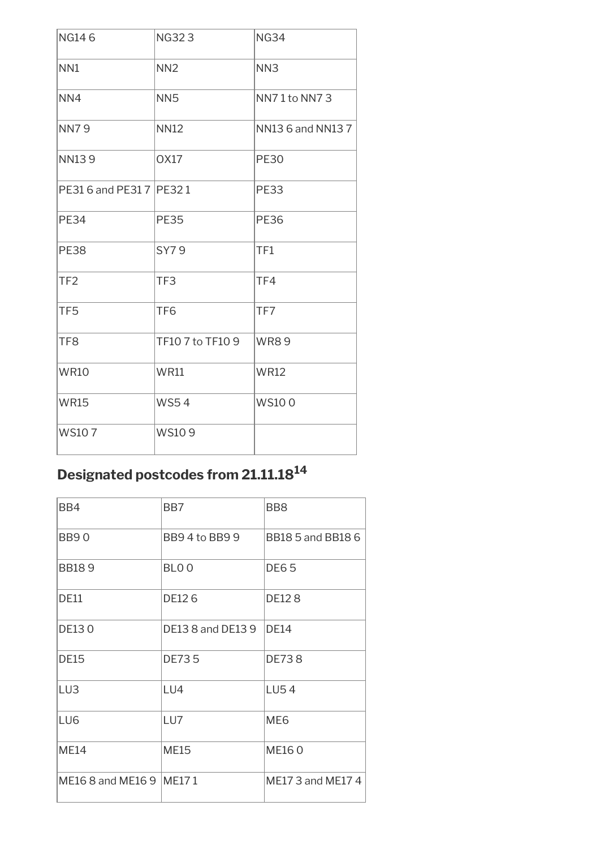| <b>NG146</b>               | <b>NG323</b>     | <b>NG34</b>       |
|----------------------------|------------------|-------------------|
| NN <sub>1</sub>            | NN <sub>2</sub>  | NN <sub>3</sub>   |
| NN4                        | NN <sub>5</sub>  | NN71 to NN73      |
| <b>NN79</b>                | <b>NN12</b>      | NN13 6 and NN13 7 |
| <b>NN139</b>               | <b>OX17</b>      | <b>PE30</b>       |
| PE31 6 and PE31 7   PE32 1 |                  | <b>PE33</b>       |
| <b>PE34</b>                | <b>PE35</b>      | <b>PE36</b>       |
| <b>PE38</b>                | SY79             | TF1               |
| TF <sub>2</sub>            | TF3              | TF4               |
| TF <sub>5</sub>            | TF <sub>6</sub>  | TF7               |
| TF <sub>8</sub>            | TF10 7 to TF10 9 | <b>WR89</b>       |
| <b>WR10</b>                | <b>WR11</b>      | <b>WR12</b>       |
| <b>WR15</b>                | <b>WS54</b>      | <b>WS100</b>      |
| <b>WS107</b>               | <b>WS109</b>     |                   |

### **Designated postcodes from 21.11.18<sup>14</sup>**

| BB4                        | BB7                      | BB <sub>8</sub>          |
|----------------------------|--------------------------|--------------------------|
| <b>BB90</b>                | BB9 4 to BB9 9           | <b>BB18 5 and BB18 6</b> |
| <b>BB189</b>               | BLO <sub>0</sub>         | <b>DE65</b>              |
| <b>DE11</b>                | DE126                    | <b>DE128</b>             |
| <b>DE130</b>               | <b>DE13 8 and DE13 9</b> | <b>DE14</b>              |
| <b>DE15</b>                | <b>DE735</b>             | <b>DE738</b>             |
| LU3                        | LU4                      | <b>LU54</b>              |
| LU <sub>6</sub>            | LU7                      | ME <sub>6</sub>          |
| <b>ME14</b>                | <b>ME15</b>              | <b>ME160</b>             |
| ME16 8 and ME16 9   ME17 1 |                          | ME17 3 and ME17 4        |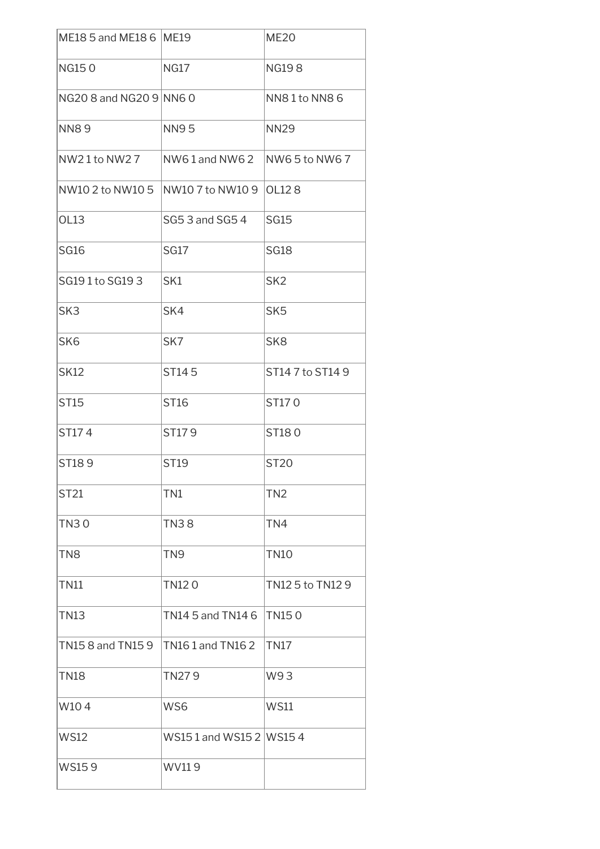| ME18 5 and ME18 6 ME19  |                           | <b>ME20</b>      |
|-------------------------|---------------------------|------------------|
| <b>NG150</b>            | <b>NG17</b>               | <b>NG198</b>     |
| NG20 8 and NG20 9 NN6 0 |                           | NN81to NN86      |
| <b>NN89</b>             | <b>NN95</b>               | <b>NN29</b>      |
| NW2 1 to NW2 7          | NW61 and NW62             | $NW65$ to NW6 7  |
| NW10 2 to NW10 5        | NW10 7 to NW10 9   OL12 8 |                  |
| <b>OL13</b>             | SG5 3 and SG5 4           | <b>SG15</b>      |
| <b>SG16</b>             | <b>SG17</b>               | <b>SG18</b>      |
| SG191 to SG193          | SK1                       | SK <sub>2</sub>  |
| SK <sub>3</sub>         | SK4                       | SK <sub>5</sub>  |
| SK <sub>6</sub>         | SK7                       | SK <sub>8</sub>  |
| <b>SK12</b>             | ST145                     | ST147 to ST149   |
| ST15                    | ST16                      | ST170            |
| ST174                   | ST179                     | ST180            |
| ST189                   | <b>ST19</b>               | <b>ST20</b>      |
| ST21                    | TN1                       | TN <sub>2</sub>  |
| <b>TN30</b>             | <b>TN38</b>               | TN4              |
| TN8                     | TN <sub>9</sub>           | <b>TN10</b>      |
| <b>TN11</b>             | TN120                     | TN12 5 to TN12 9 |
| <b>TN13</b>             | TN14 5 and TN14 6         | <b>TN150</b>     |
| TN15 8 and TN15 9       | TN161 and TN162           | TN <sub>17</sub> |
| <b>TN18</b>             | TN279                     | W93              |
| W104                    | WS6                       | <b>WS11</b>      |
| <b>WS12</b>             | WS151 and WS152 WS154     |                  |
| WS159                   | WV119                     |                  |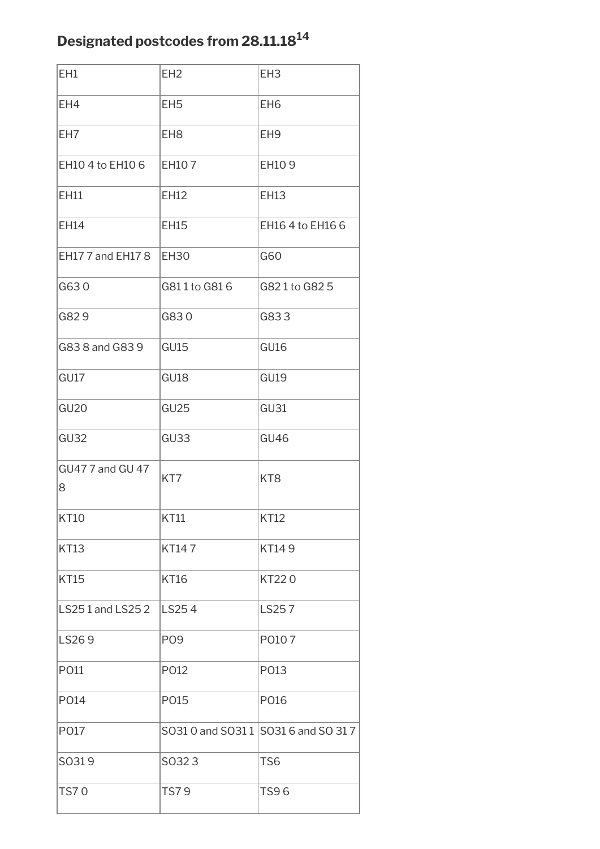### **Designated postcodes from 28.11.18<sup>14</sup>**

| EH1                   | EH <sub>2</sub>  | EH <sub>3</sub>                      |
|-----------------------|------------------|--------------------------------------|
| EH4                   | EH <sub>5</sub>  | EH <sub>6</sub>                      |
| EH7                   | EH <sub>8</sub>  | EH <sub>9</sub>                      |
| EH10 4 to EH10 6      | EH107            | EH109                                |
| EH11                  | <b>EH12</b>      | <b>EH13</b>                          |
| EH14                  | <b>EH15</b>      | EH16 4 to EH16 6                     |
| EH177 and EH178       | <b>EH30</b>      | G60                                  |
| G630                  | G811 to G816     | G821 to G825                         |
| G829                  | G830             | G833                                 |
| G83 8 and G83 9       | <b>GU15</b>      | <b>GU16</b>                          |
| GU17                  | GU18             | <b>GU19</b>                          |
| <b>GU20</b>           | GU <sub>25</sub> | <b>GU31</b>                          |
| GU <sub>32</sub>      | GU33             | <b>GU46</b>                          |
| GU47 7 and GU 47<br>8 | KT7              | KT <sub>8</sub>                      |
| <b>KT10</b>           | <b>KT11</b>      | <b>KT12</b>                          |
| <b>KT13</b>           | KT147            | KT149                                |
| <b>KT15</b>           | <b>KT16</b>      | KT220                                |
| LS251 and LS252       | LS254            | LS257                                |
| LS269                 | PO <sub>9</sub>  | P0107                                |
| P011                  | P012             | P013                                 |
| P014                  | P015             | P016                                 |
| P017                  |                  | SO31 0 and SO31 1 SO31 6 and SO 31 7 |
| SO319                 | SO323            | TS <sub>6</sub>                      |
| <b>TS70</b>           | <b>TS79</b>      | TS96                                 |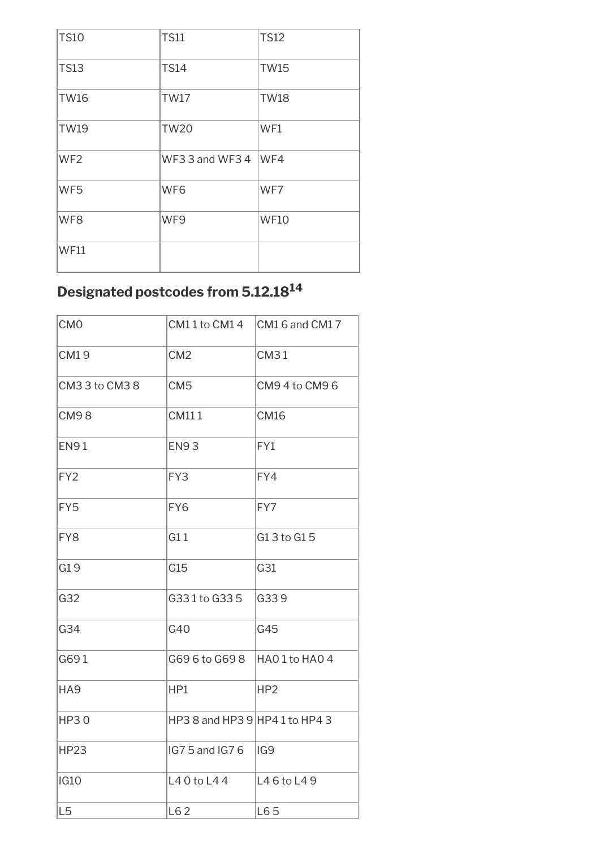| <b>TS10</b>     | <b>TS11</b>     | <b>TS12</b> |
|-----------------|-----------------|-------------|
| <b>TS13</b>     | <b>TS14</b>     | <b>TW15</b> |
| <b>TW16</b>     | <b>TW17</b>     | <b>TW18</b> |
| <b>TW19</b>     | <b>TW20</b>     | WF1         |
| WF <sub>2</sub> | WF3 3 and WF3 4 | WF4         |
| WF5             | WF <sub>6</sub> | WF7         |
| WF8             | WF9             | <b>WF10</b> |
| <b>WF11</b>     |                 |             |

### **Designated postcodes from 5.12.18<sup>14</sup>**

| <b>CMO</b>      | CM11 to CM14                     | CM16 and CM17   |
|-----------------|----------------------------------|-----------------|
| CM19            | CM <sub>2</sub>                  | <b>CM31</b>     |
| CM33 to CM38    | CM <sub>5</sub>                  | CM94to CM96     |
| <b>CM98</b>     | CM111                            | <b>CM16</b>     |
| <b>EN91</b>     | <b>EN93</b>                      | FY1             |
| FY <sub>2</sub> | FY3                              | FY4             |
| FY5             | FY6                              | FY7             |
| FY8             | G11                              | G13 to G15      |
| G19             | G15                              | G31             |
| G32             | G331 to G335                     | G339            |
| G34             | G40                              | G45             |
| G691            | G69 6 to G69 8                   | HAO1 to HAO 4   |
| HA <sub>9</sub> | HP1                              | HP <sub>2</sub> |
| <b>HP30</b>     | HP3 8 and HP3 $9$ HP4 1 to HP4 3 |                 |
| <b>HP23</b>     | IG7 5 and IG7 6                  | IG9             |
| <b>IG10</b>     | L4 0 to L4 4                     | L46 to L49      |
| L <sub>5</sub>  | L62                              | LE65            |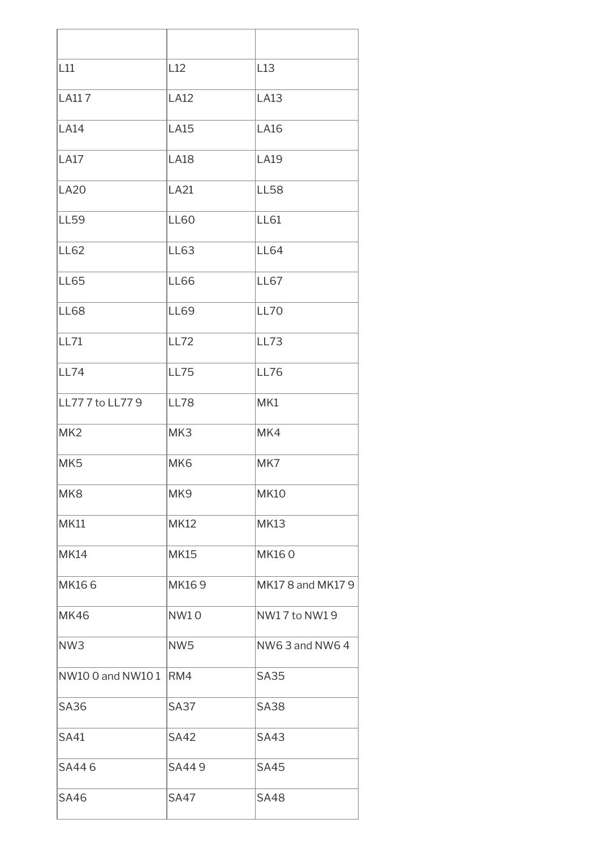| L11                   | L12             | L13               |
|-----------------------|-----------------|-------------------|
| <b>LA117</b>          | <b>LA12</b>     | <b>LA13</b>       |
| <b>LA14</b>           | <b>LA15</b>     | <b>LA16</b>       |
| <b>LA17</b>           | <b>LA18</b>     | <b>LA19</b>       |
| <b>LA20</b>           | <b>LA21</b>     | <b>LL58</b>       |
| <b>LL59</b>           | <b>LL60</b>     | <b>LL61</b>       |
| <b>LL62</b>           | LL63            | <b>LL64</b>       |
| <b>LL65</b>           | <b>LL66</b>     | LL67              |
| <b>LL68</b>           | <b>LL69</b>     | <b>LL70</b>       |
| <b>LL71</b>           | <b>LL72</b>     | <b>LL73</b>       |
| <b>LL74</b>           | <b>LL75</b>     | <b>LL76</b>       |
| LL77 7 to LL77 9      | <b>LL78</b>     | MK1               |
| MK <sub>2</sub>       | MK3             | MK4               |
| MK <sub>5</sub>       | MK <sub>6</sub> | MK7               |
| MK <sub>8</sub>       | MK <sub>9</sub> | <b>MK10</b>       |
| <b>MK11</b>           | <b>MK12</b>     | <b>MK13</b>       |
| <b>MK14</b>           | <b>MK15</b>     | <b>MK160</b>      |
| <b>MK166</b>          | MK169           | MK17 8 and MK17 9 |
| <b>MK46</b>           | <b>NW10</b>     | NW17 to NW19      |
| NW <sub>3</sub>       | NW <sub>5</sub> | NW63 and NW64     |
| NW10 0 and NW10 1 RM4 |                 | <b>SA35</b>       |
| <b>SA36</b>           | <b>SA37</b>     | <b>SA38</b>       |
| <b>SA41</b>           | <b>SA42</b>     | <b>SA43</b>       |
| SA446                 | SA449           | <b>SA45</b>       |
| <b>SA46</b>           |                 |                   |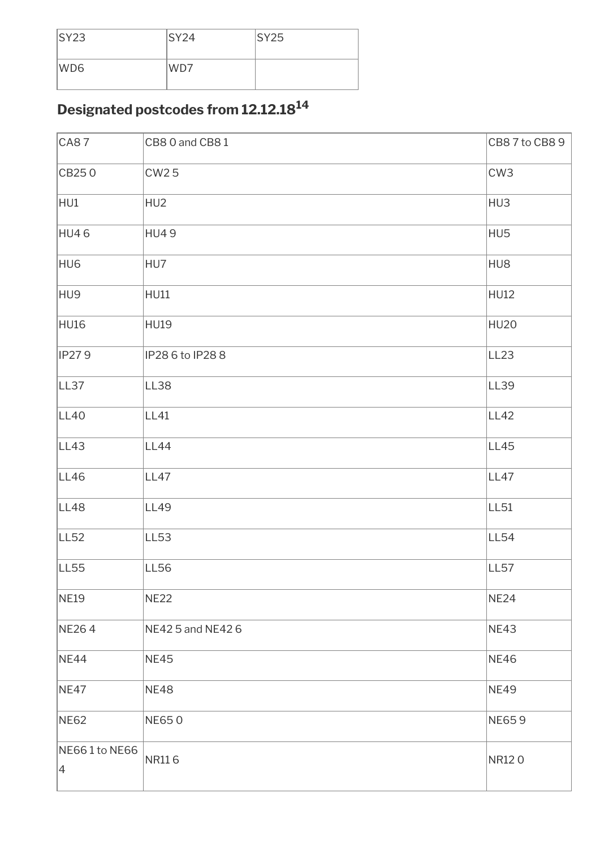| SY23            | SY24 | SY25 |
|-----------------|------|------|
| WD <sub>6</sub> | WD7  |      |

# **Designated postcodes from 12.12.18<sup>14</sup>**

| <b>CA87</b>                      | CB8 0 and CB8 1   | CB8 7 to CB8 9   |
|----------------------------------|-------------------|------------------|
| CB250                            | <b>CW25</b>       | CW <sub>3</sub>  |
| HU1                              | HU <sub>2</sub>   | HU3              |
| HU46                             | <b>HU49</b>       | HU5              |
| HU <sub>6</sub>                  | HU7               | HU8              |
| HU9                              | HU11              | <b>HU12</b>      |
| HU16                             | <b>HU19</b>       | <b>HU20</b>      |
| <b>IP279</b>                     | IP28 6 to IP28 8  | LL <sub>23</sub> |
| LL37                             | LL38              | LL39             |
| LL40                             | LL41              | LL42             |
| LL43                             | LL44              | LL45             |
| LL46                             | LL47              | LL47             |
| LL48                             | LL49              | LL <sub>51</sub> |
| LL <sub>52</sub>                 | LL53              | <b>LL54</b>      |
| LL55                             | LL56              | LL <sub>57</sub> |
| <b>NE19</b>                      | <b>NE22</b>       | <b>NE24</b>      |
| NE264                            | NE42 5 and NE42 6 | <b>NE43</b>      |
| NE44                             | <b>NE45</b>       | <b>NE46</b>      |
| <b>NE47</b>                      | <b>NE48</b>       | <b>NE49</b>      |
| <b>NE62</b>                      | <b>NE650</b>      | <b>NE659</b>     |
| NE661 to NE66<br>$\vert 4 \vert$ | <b>NR116</b>      | NR120            |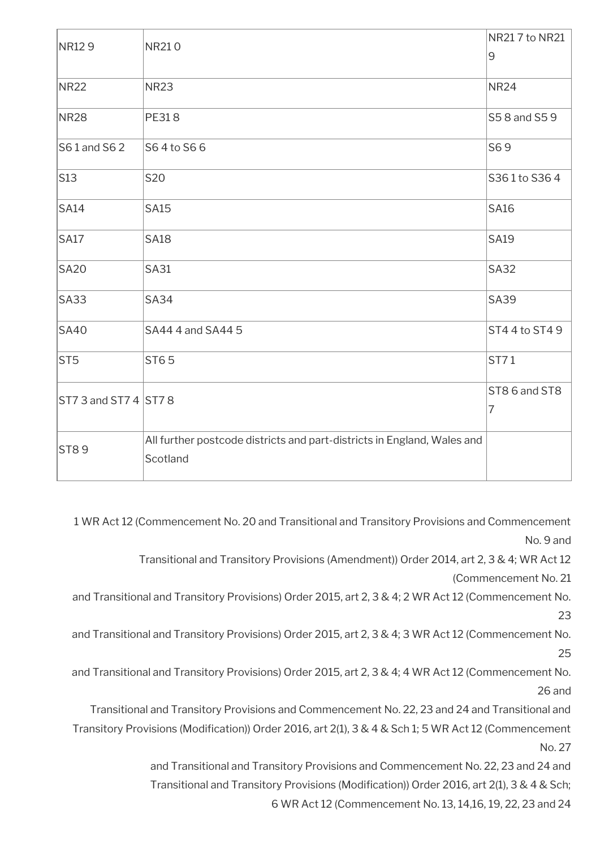| NR129                  | NR210                                                                               | NR217 to NR21  |
|------------------------|-------------------------------------------------------------------------------------|----------------|
|                        |                                                                                     | 9              |
| <b>NR22</b>            | <b>NR23</b>                                                                         | <b>NR24</b>    |
| <b>NR28</b>            | PE318                                                                               | S5 8 and S5 9  |
| $S61$ and S62          | S64 to S66                                                                          | S69            |
| $\vert$ S13            | <b>S20</b>                                                                          | S361 to S364   |
| SA14                   | <b>SA15</b>                                                                         | <b>SA16</b>    |
| SA17                   | <b>SA18</b>                                                                         | <b>SA19</b>    |
| <b>SA20</b>            | <b>SA31</b>                                                                         | <b>SA32</b>    |
| S <sub>A33</sub>       | <b>SA34</b>                                                                         | <b>SA39</b>    |
| SA40                   | SA44 4 and SA44 5                                                                   | ST44 to ST49   |
| ST5                    | <b>ST65</b>                                                                         | ST71           |
| $ST73$ and ST7 4 ST7 8 |                                                                                     | ST86 and ST8   |
|                        |                                                                                     | $\overline{7}$ |
| ST89                   | All further postcode districts and part-districts in England, Wales and<br>Scotland |                |

1 WR Act 12 (Commencement No. 20 and Transitional and Transitory Provisions and Commencement No. 9 and

Transitional and Transitory Provisions (Amendment)) Order 2014, art 2, 3 & 4; WR Act 12

(Commencement No. 21

and Transitional and Transitory Provisions) Order 2015, art 2, 3 & 4; 2 WR Act 12 (Commencement No. 23

and Transitional and Transitory Provisions) Order 2015, art 2, 3 & 4; 3 WR Act 12 (Commencement No. 25

and Transitional and Transitory Provisions) Order 2015, art 2, 3 & 4; 4 WR Act 12 (Commencement No. 26 and

Transitional and Transitory Provisions and Commencement No. 22, 23 and 24 and Transitional and Transitory Provisions (Modifcation)) Order 2016, art 2(1), 3 & 4 & Sch 1; 5 WR Act 12 (Commencement No. 27

> and Transitional and Transitory Provisions and Commencement No. 22, 23 and 24 and Transitional and Transitory Provisions (Modification)) Order 2016, art 2(1), 3 & 4 & Sch; 6 WR Act 12 (Commencement No. 13, 14,16, 19, 22, 23 and 24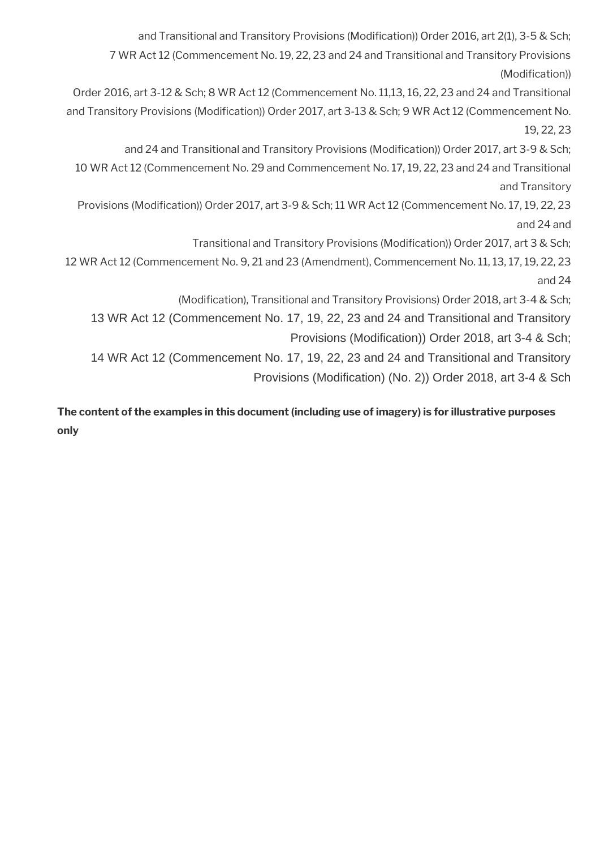and Transitional and Transitory Provisions (Modification)) Order 2016, art 2(1), 3-5 & Sch; 7 WR Act 12 (Commencement No. 19, 22, 23 and 24 and Transitional and Transitory Provisions (Modification)) Order 2016, art 3-12 & Sch; 8 WR Act 12 (Commencement No. 11,13, 16, 22, 23 and 24 and Transitional and Transitory Provisions (Modification)) Order 2017, art 3-13 & Sch; 9 WR Act 12 (Commencement No. 19, 22, 23 and 24 and Transitional and Transitory Provisions (Modification)) Order 2017, art 3-9 & Sch; 10 WR Act 12 (Commencement No. 29 and Commencement No. 17, 19, 22, 23 and 24 and Transitional and Transitory Provisions (Modifcation)) Order 2017, art 3-9 & Sch; 11 WR Act 12 (Commencement No. 17, 19, 22, 23 and 24 and Transitional and Transitory Provisions (Modifcation)) Order 2017, art 3 & Sch; 12 WR Act 12 (Commencement No. 9, 21 and 23 (Amendment), Commencement No. 11, 13, 17, 19, 22, 23 and 24 (Modifcation), Transitional and Transitory Provisions) Order 2018, art 3-4 & Sch; 13 WR Act 12 (Commencement No. 17, 19, 22, 23 and 24 and Transitional and Transitory Provisions (Modification)) Order 2018, art 3-4 & Sch; 14 WR Act 12 (Commencement No. 17, 19, 22, 23 and 24 and Transitional and Transitory Provisions (Modification) (No. 2)) Order 2018, art 3-4 & Sch

**The content of the examples in this document (including use of imagery) is for illustrative purposes only**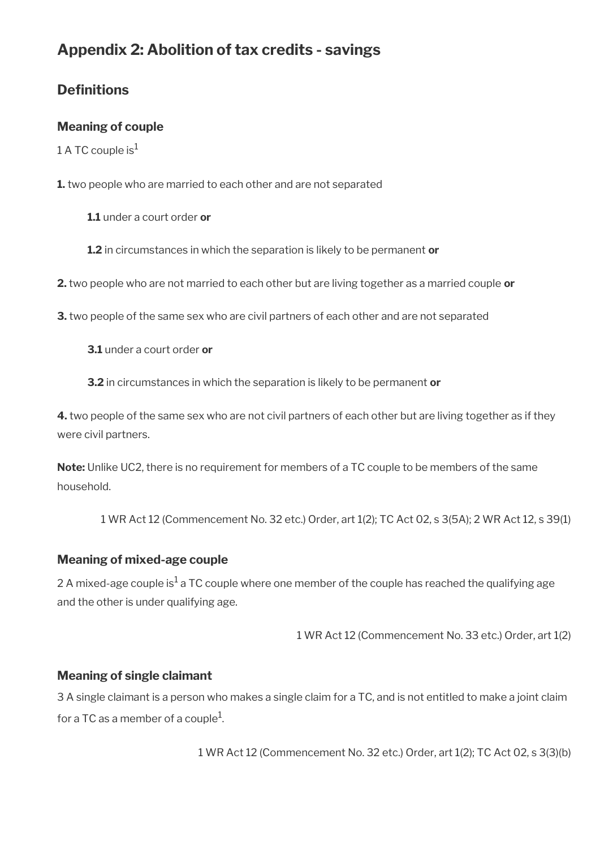# **Appendix 2: Abolition of tax credits - savings**

# **Definitions**

### **Meaning of couple**

1 A TC couple  $is^1$ 

**1.** two people who are married to each other and are not separated

**1.1** under a court order **or**

**1.2** in circumstances in which the separation is likely to be permanent **or**

**2.** two people who are not married to each other but are living together as a married couple **or**

**3.** two people of the same sex who are civil partners of each other and are not separated

**3.1** under a court order **or**

**3.2** in circumstances in which the separation is likely to be permanent **or**

**4.** two people of the same sex who are not civil partners of each other but are living together as if they were civil partners.

**Note:** Unlike UC2, there is no requirement for members of a TC couple to be members of the same household.

1 WR Act 12 (Commencement No. 32 etc.) Order, art 1(2); TC Act 02, s 3(5A); 2 WR Act 12, s 39(1)

#### **Meaning of mixed-age couple**

2 A mixed-age couple is $^{\rm 1}$  a TC couple where one member of the couple has reached the qualifying age and the other is under qualifying age.

1 WR Act 12 (Commencement No. 33 etc.) Order, art 1(2)

#### **Meaning of single claimant**

3 A single claimant is a person who makes a single claim for a TC, and is not entitled to make a joint claim for a TC as a member of a couple $^{\rm 1}$ .

1 WR Act 12 (Commencement No. 32 etc.) Order, art 1(2); TC Act 02, s 3(3)(b)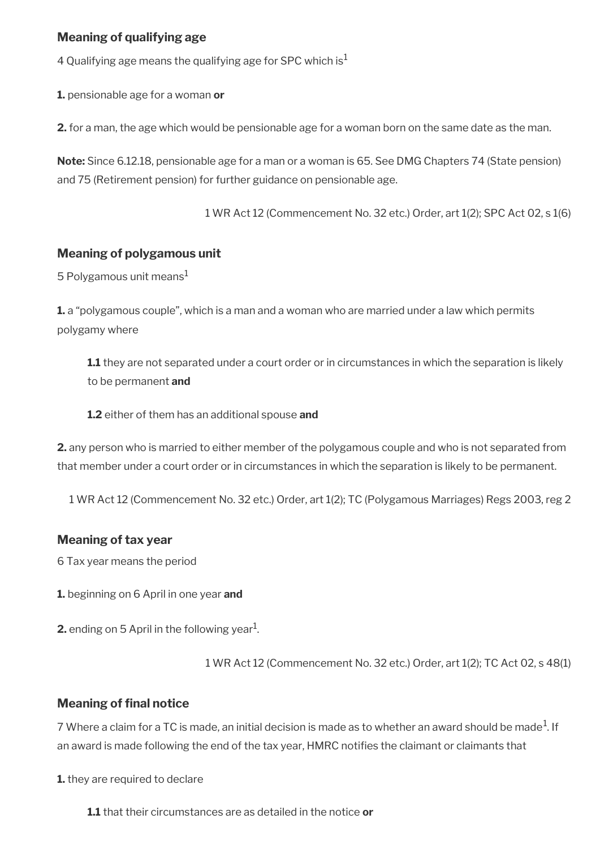### **Meaning of qualifying age**

4 Qualifying age means the qualifying age for SPC which is<sup>1</sup>

**1.** pensionable age for a woman **or**

**2.** for a man, the age which would be pensionable age for a woman born on the same date as the man.

**Note:** Since 6.12.18, pensionable age for a man or a woman is 65. See DMG Chapters 74 (State pension) and 75 (Retirement pension) for further guidance on pensionable age.

1 WR Act 12 (Commencement No. 32 etc.) Order, art 1(2); SPC Act 02, s 1(6)

#### **Meaning of polygamous unit**

5 Polygamous unit means $<sup>1</sup>$ </sup>

**1.** a "polygamous couple", which is a man and a woman who are married under a law which permits polygamy where

**1.1** they are not separated under a court order or in circumstances in which the separation is likely to be permanent **and**

**1.2** either of them has an additional spouse **and**

**2.** any person who is married to either member of the polygamous couple and who is not separated from that member under a court order or in circumstances in which the separation is likely to be permanent.

1 WR Act 12 (Commencement No. 32 etc.) Order, art 1(2); TC (Polygamous Marriages) Regs 2003, reg 2

#### **Meaning of tax year**

6 Tax year means the period

**1.** beginning on 6 April in one year **and**

**2.** ending on 5 April in the following year $^1$ .

1 WR Act 12 (Commencement No. 32 etc.) Order, art 1(2); TC Act 02, s 48(1)

#### **Meaning of final notice**

7 Where a claim for a TC is made, an initial decision is made as to whether an award should be made $^1$ . If an award is made following the end of the tax year, HMRC notifes the claimant or claimants that

**1.** they are required to declare

**1.1** that their circumstances are as detailed in the notice **or**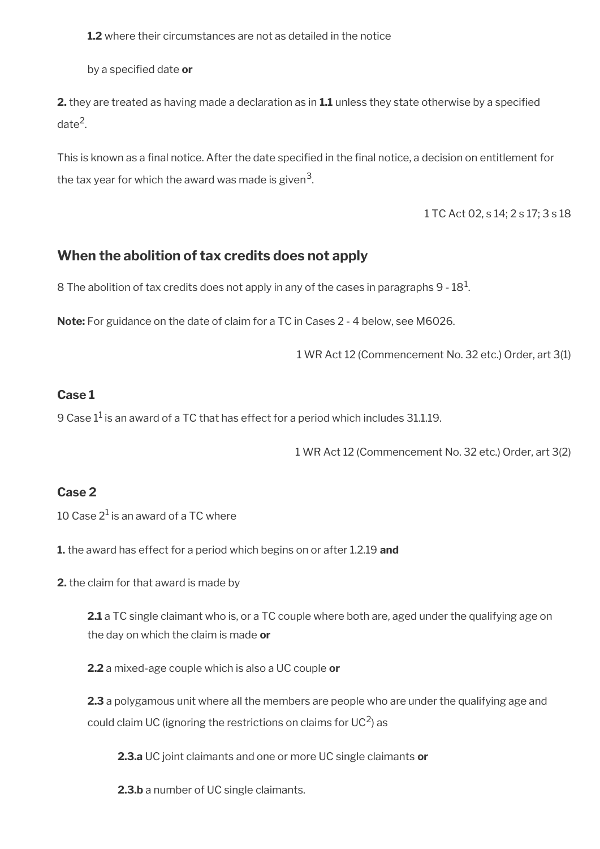**1.2** where their circumstances are not as detailed in the notice

by a specifed date **or**

**2.** they are treated as having made a declaration as in **1.1** unless they state otherwise by a specifed date<sup>2</sup>.

This is known as a fnal notice. After the date specifed in the fnal notice, a decision on entitlement for the tax year for which the award was made is given $^3\!$ 

1 TC Act 02, s 14; 2 s 17; 3 s 18

## **When the abolition of tax credits does not apply**

 $8$  The abolition of tax credits does not apply in any of the cases in paragraphs 9 -  $18^1\!\!$ 

**Note:** For guidance on the date of claim for a TC in Cases 2 - 4 below, see M6026.

1 WR Act 12 (Commencement No. 32 etc.) Order, art 3(1)

#### **Case 1**

9 Case  $1^{\rm 1}$  is an award of a TC that has effect for a period which includes 31.1.19.

1 WR Act 12 (Commencement No. 32 etc.) Order, art 3(2)

#### **Case 2**

10 Case 2 $^1$  is an award of a TC where

**1.** the award has effect for a period which begins on or after 1.2.19 **and**

**2.** the claim for that award is made by

**2.1** a TC single claimant who is, or a TC couple where both are, aged under the qualifying age on the day on which the claim is made **or**

**2.2** a mixed-age couple which is also a UC couple **or**

**2.3** a polygamous unit where all the members are people who are under the qualifying age and could claim UC (ignoring the restrictions on claims for UC<sup>2</sup>) as

**2.3.a** UC joint claimants and one or more UC single claimants **or**

**2.3.b** a number of UC single claimants.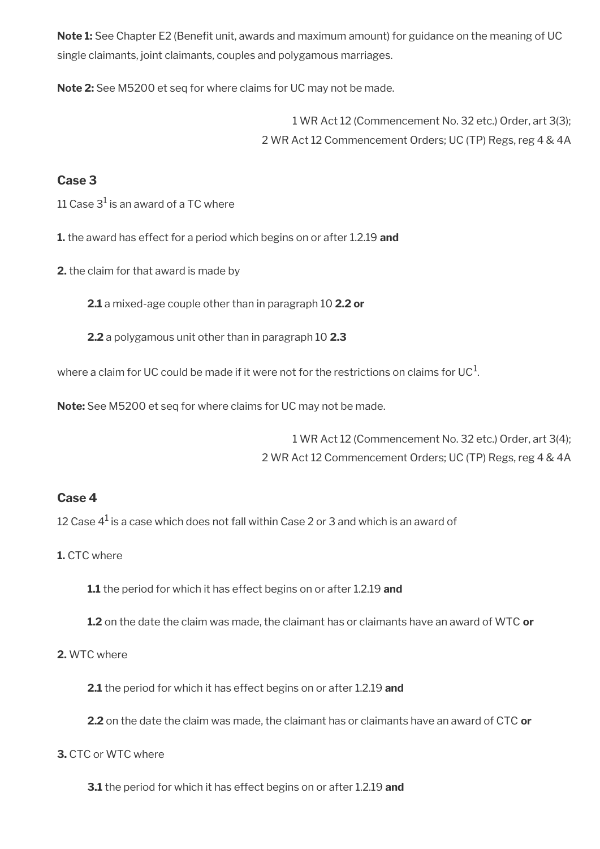**Note 1:** See Chapter E2 (Benefit unit, awards and maximum amount) for guidance on the meaning of UC single claimants, joint claimants, couples and polygamous marriages.

**Note 2:** See M5200 et seq for where claims for UC may not be made.

1 WR Act 12 (Commencement No. 32 etc.) Order, art 3(3); 2 WR Act 12 Commencement Orders; UC (TP) Regs, reg 4 & 4A

#### **Case 3**

11 Case  $3^1$  is an award of a TC where

**1.** the award has effect for a period which begins on or after 1.2.19 **and**

**2.** the claim for that award is made by

**2.1** a mixed-age couple other than in paragraph 10 **2.2 or**

**2.2** a polygamous unit other than in paragraph 10 **2.3**

where a claim for UC could be made if it were not for the restrictions on claims for UC $^1\!$ 

**Note:** See M5200 et seq for where claims for UC may not be made.

1 WR Act 12 (Commencement No. 32 etc.) Order, art 3(4); 2 WR Act 12 Commencement Orders; UC (TP) Regs, reg 4 & 4A

#### **Case 4**

12 Case  $4^1$  is a case which does not fall within Case 2 or 3 and which is an award of

**1.** CTC where

**1.1** the period for which it has effect begins on or after 1.2.19 **and**

**1.2** on the date the claim was made, the claimant has or claimants have an award of WTC **or**

#### **2.** WTC where

**2.1** the period for which it has effect begins on or after 1.2.19 **and**

**2.2** on the date the claim was made, the claimant has or claimants have an award of CTC **or**

#### **3.** CTC or WTC where

**3.1** the period for which it has effect begins on or after 1.2.19 **and**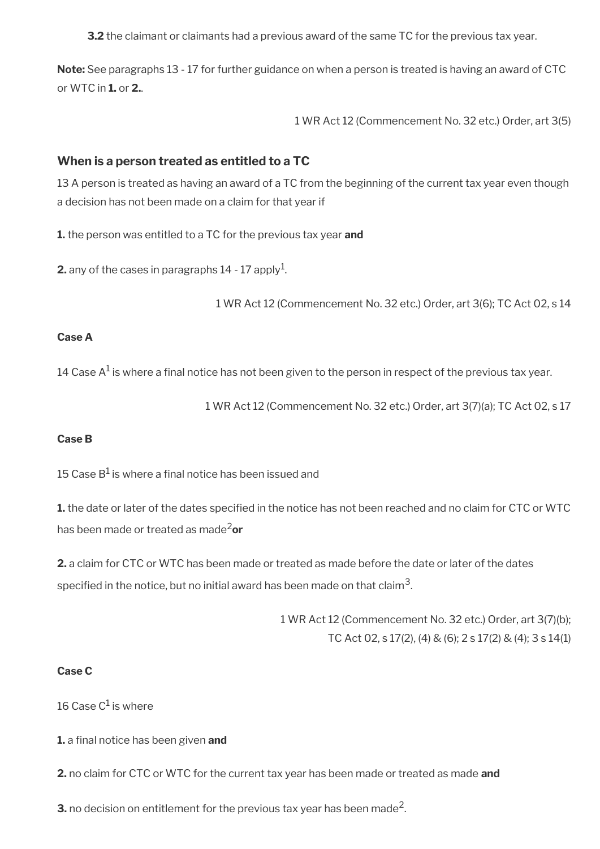**3.2** the claimant or claimants had a previous award of the same TC for the previous tax year.

**Note:** See paragraphs 13 - 17 for further guidance on when a person is treated is having an award of CTC or WTC in **1.** or **2.**.

1 WR Act 12 (Commencement No. 32 etc.) Order, art 3(5)

#### **When is a person treated as entitled to a TC**

13 A person is treated as having an award of a TC from the beginning of the current tax year even though a decision has not been made on a claim for that year if

**1.** the person was entitled to a TC for the previous tax year **and**

**2.** any of the cases in paragraphs  $14$  -  $17$  apply $^1$ .

1 WR Act 12 (Commencement No. 32 etc.) Order, art 3(6); TC Act 02, s 14

#### **Case A**

14 Case A $^{\rm 1}$  is where a final notice has not been given to the person in respect of the previous tax year.

1 WR Act 12 (Commencement No. 32 etc.) Order, art 3(7)(a); TC Act 02, s 17

#### **Case B**

15 Case B $^1$  is where a final notice has been issued and

**1.** the date or later of the dates specified in the notice has not been reached and no claim for CTC or WTC has been made or treated as made2**or**

**2.** a claim for CTC or WTC has been made or treated as made before the date or later of the dates specified in the notice, but no initial award has been made on that claim $^{\mathsf{3}}$ .

> 1 WR Act 12 (Commencement No. 32 etc.) Order, art 3(7)(b); TC Act 02, s 17(2), (4) & (6); 2 s 17(2) & (4); 3 s 14(1)

#### **Case C**

16 Case C $^1$  is where

**1.** a final notice has been given and

**2.** no claim for CTC or WTC for the current tax year has been made or treated as made **and**

**3.** no decision on entitlement for the previous tax year has been made<sup>2</sup>.